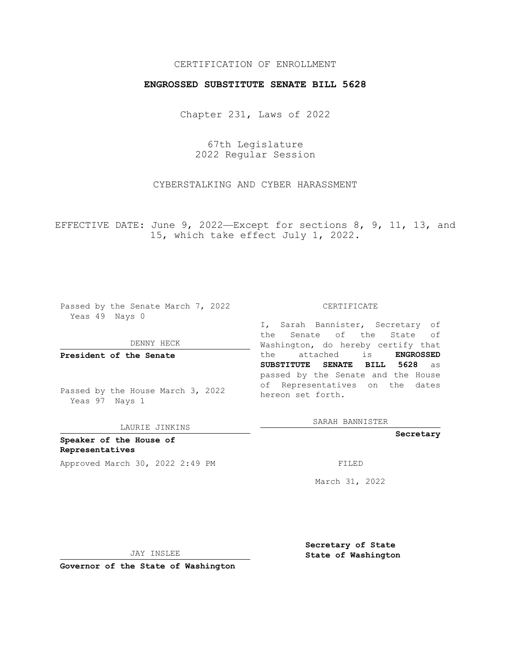## CERTIFICATION OF ENROLLMENT

## **ENGROSSED SUBSTITUTE SENATE BILL 5628**

Chapter 231, Laws of 2022

67th Legislature 2022 Regular Session

CYBERSTALKING AND CYBER HARASSMENT

EFFECTIVE DATE: June 9, 2022—Except for sections 8, 9, 11, 13, and 15, which take effect July 1, 2022.

Passed by the Senate March 7, 2022 Yeas 49 Nays 0

DENNY HECK

**President of the Senate**

Passed by the House March 3, 2022 Yeas 97 Nays 1

LAURIE JINKINS

**Speaker of the House of Representatives** Approved March 30, 2022 2:49 PM FILED

#### CERTIFICATE

I, Sarah Bannister, Secretary of the Senate of the State of Washington, do hereby certify that the attached is **ENGROSSED SUBSTITUTE SENATE BILL 5628** as passed by the Senate and the House of Representatives on the dates hereon set forth.

SARAH BANNISTER

**Secretary**

March 31, 2022

JAY INSLEE

**Secretary of State State of Washington**

**Governor of the State of Washington**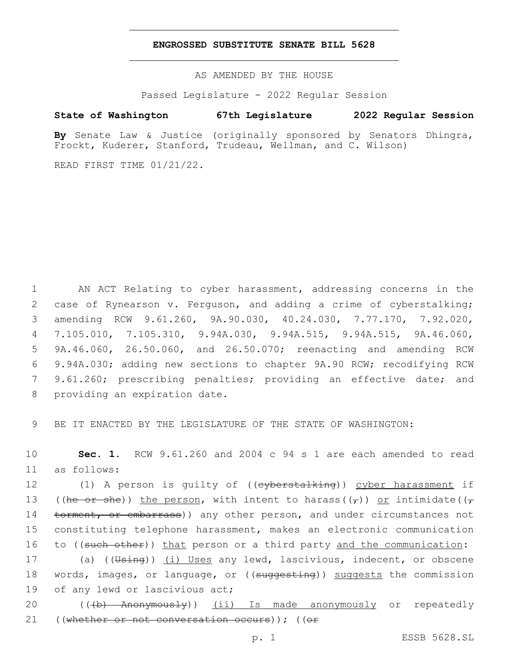### **ENGROSSED SUBSTITUTE SENATE BILL 5628**

AS AMENDED BY THE HOUSE

Passed Legislature - 2022 Regular Session

# **State of Washington 67th Legislature 2022 Regular Session**

**By** Senate Law & Justice (originally sponsored by Senators Dhingra, Frockt, Kuderer, Stanford, Trudeau, Wellman, and C. Wilson)

READ FIRST TIME 01/21/22.

 AN ACT Relating to cyber harassment, addressing concerns in the case of Rynearson v. Ferguson, and adding a crime of cyberstalking; amending RCW 9.61.260, 9A.90.030, 40.24.030, 7.77.170, 7.92.020, 7.105.010, 7.105.310, 9.94A.030, 9.94A.515, 9.94A.515, 9A.46.060, 9A.46.060, 26.50.060, and 26.50.070; reenacting and amending RCW 9.94A.030; adding new sections to chapter 9A.90 RCW; recodifying RCW 9.61.260; prescribing penalties; providing an effective date; and 8 providing an expiration date.

9 BE IT ENACTED BY THE LEGISLATURE OF THE STATE OF WASHINGTON:

10 **Sec. 1.** RCW 9.61.260 and 2004 c 94 s 1 are each amended to read as follows:11

12 (1) A person is guilty of ((e<del>yberstalking</del>)) cyber harassment if 13 ((he or she)) the person, with intent to harass( $(\tau)$ ) or intimidate( $(\tau)$ 14 torment, or embarrass)) any other person, and under circumstances not 15 constituting telephone harassment, makes an electronic communication 16 to ((such other)) that person or a third party and the communication:

17 (a) ((Using)) (i) Uses any lewd, lascivious, indecent, or obscene 18 words, images, or language, or ((suggesting)) suggests the commission 19 of any lewd or lascivious act;

20 (((b) Anonymously)) (ii) Is made anonymously or repeatedly 21 ((whether or not conversation occurs)); ((or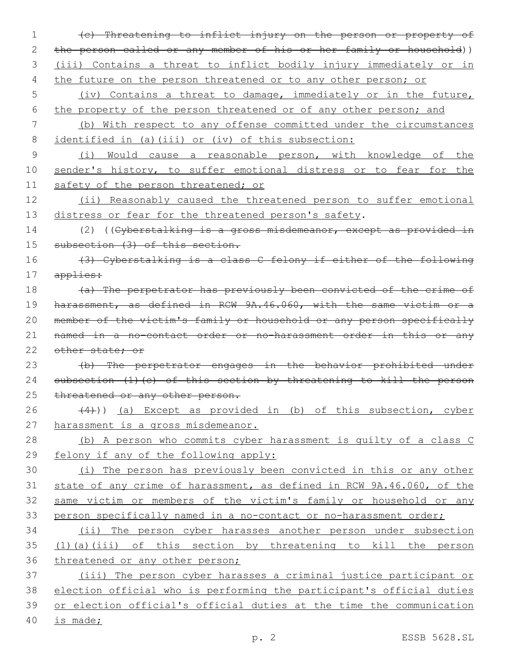(c) Threatening to inflict injury on the person or property of the person called or any member of his or her family or household)) (iii) Contains a threat to inflict bodily injury immediately or in 4 the future on the person threatened or to any other person; or (iv) Contains a threat to damage, immediately or in the future, 6 the property of the person threatened or of any other person; and (b) With respect to any offense committed under the circumstances identified in (a)(iii) or (iv) of this subsection: (i) Would cause a reasonable person, with knowledge of the 10 sender's history, to suffer emotional distress or to fear for the 11 safety of the person threatened; or (ii) Reasonably caused the threatened person to suffer emotional 13 distress or fear for the threatened person's safety. 14 (2) ((Cyberstalking is a gross misdemeanor, except as provided in 15 subsection (3) of this section. (3) Cyberstalking is a class C felony if either of the following applies: 18 (a) The perpetrator has previously been convicted of the crime of harassment, as defined in RCW 9A.46.060, with the same victim or a 20 member of the victim's family or household or any person specifically named in a no-contact order or no-harassment order in this or any 22 other state: or (b) The perpetrator engages in the behavior prohibited under 24 subsection (1)(c) of this section by threatening to kill the person 25 threatened or any other person.  $(4)$ )) (a) Except as provided in (b) of this subsection, cyber harassment is a gross misdemeanor. (b) A person who commits cyber harassment is guilty of a class C felony if any of the following apply: (i) The person has previously been convicted in this or any other state of any crime of harassment, as defined in RCW 9A.46.060, of the same victim or members of the victim's family or household or any person specifically named in a no-contact or no-harassment order; (ii) The person cyber harasses another person under subsection (1)(a)(iii) of this section by threatening to kill the person 36 threatened or any other person; (iii) The person cyber harasses a criminal justice participant or election official who is performing the participant's official duties or election official's official duties at the time the communication is made;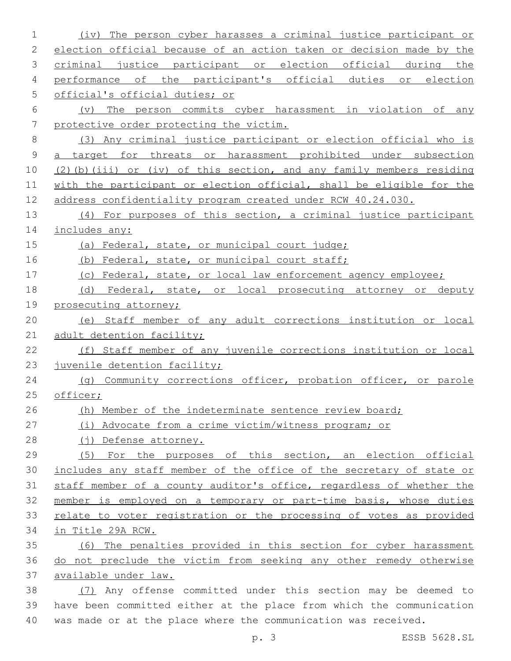| 1           | The person cyber harasses a criminal justice participant or<br>(iv)    |
|-------------|------------------------------------------------------------------------|
| 2           | election official because of an action taken or decision made by the   |
| 3           | criminal justice participant or election official during the           |
| 4           | performance of the participant's official duties or election           |
| 5           | official's official duties; or                                         |
| 6           | The person commits cyber harassment in violation of any<br>$(\nabla)$  |
| 7           | protective order protecting the victim.                                |
| 8           | (3) Any criminal justice participant or election official who is       |
| $\mathsf 9$ | a target for threats or harassment prohibited under subsection         |
| 10          | (2) (b) (iii) or (iv) of this section, and any family members residing |
| 11          | with the participant or election official, shall be eligible for the   |
| 12          | address confidentiality program created under RCW 40.24.030.           |
| 13          | (4) For purposes of this section, a criminal justice participant       |
| 14          | includes any:                                                          |
| 15          | (a) Federal, state, or municipal court judge;                          |
| 16          | (b) Federal, state, or municipal court staff;                          |
| 17          | (c) Federal, state, or local law enforcement agency employee;          |
| 18          | (d) Federal, state, or local prosecuting attorney or deputy            |
| 19          | prosecuting attorney;                                                  |
| 20          | (e) Staff member of any adult corrections institution or local         |
| 21          | adult detention facility;                                              |
| 22          | (f) Staff member of any juvenile corrections institution or local      |
| 23          | juvenile detention facility;                                           |
| 24          | (q) Community corrections officer, probation officer, or parole        |
| 25          | officer;                                                               |
| 26          | (h) Member of the indeterminate sentence review board;                 |
| 27          | (i) Advocate from a crime victim/witness program; or                   |
| 28          | (j) Defense attorney.                                                  |
| 29          | For the purposes of this section, an election official<br>(5)          |
| 30          | includes any staff member of the office of the secretary of state or   |
| 31          | staff member of a county auditor's office, regardless of whether the   |
| 32          | member is employed on a temporary or part-time basis, whose duties     |
| 33          | relate to voter registration or the processing of votes as provided    |
| 34          | in Title 29A RCW.                                                      |
| 35          | (6) The penalties provided in this section for cyber harassment        |
| 36          | do not preclude the victim from seeking any other remedy otherwise     |
| 37          | available under law.                                                   |
| 38          | (7) Any offense committed under this section may be deemed to          |
| 39          | have been committed either at the place from which the communication   |
| 40          | was made or at the place where the communication was received.         |

p. 3 ESSB 5628.SL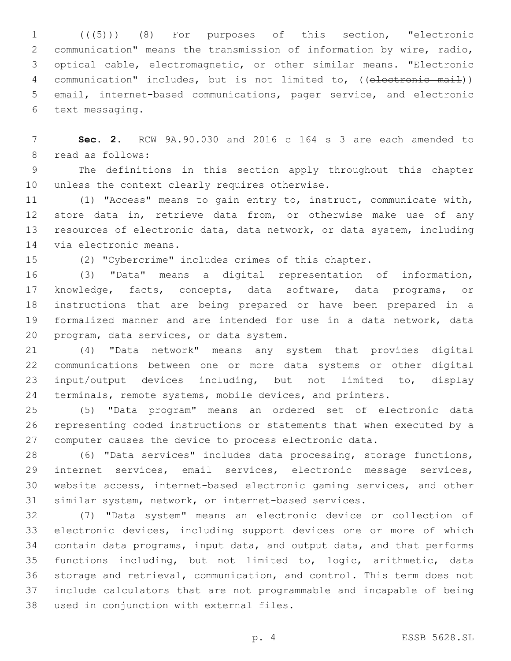1 (( $(45)$ )) (8) For purposes of this section, "electronic communication" means the transmission of information by wire, radio, optical cable, electromagnetic, or other similar means. "Electronic 4 communication" includes, but is not limited to, ((electronic mail)) email, internet-based communications, pager service, and electronic 6 text messaging.

 **Sec. 2.** RCW 9A.90.030 and 2016 c 164 s 3 are each amended to 8 read as follows:

 The definitions in this section apply throughout this chapter 10 unless the context clearly requires otherwise.

 (1) "Access" means to gain entry to, instruct, communicate with, store data in, retrieve data from, or otherwise make use of any resources of electronic data, data network, or data system, including 14 via electronic means.

(2) "Cybercrime" includes crimes of this chapter.

 (3) "Data" means a digital representation of information, knowledge, facts, concepts, data software, data programs, or instructions that are being prepared or have been prepared in a formalized manner and are intended for use in a data network, data 20 program, data services, or data system.

 (4) "Data network" means any system that provides digital communications between one or more data systems or other digital input/output devices including, but not limited to, display terminals, remote systems, mobile devices, and printers.

 (5) "Data program" means an ordered set of electronic data representing coded instructions or statements that when executed by a computer causes the device to process electronic data.

 (6) "Data services" includes data processing, storage functions, internet services, email services, electronic message services, website access, internet-based electronic gaming services, and other similar system, network, or internet-based services.

 (7) "Data system" means an electronic device or collection of electronic devices, including support devices one or more of which contain data programs, input data, and output data, and that performs functions including, but not limited to, logic, arithmetic, data storage and retrieval, communication, and control. This term does not include calculators that are not programmable and incapable of being 38 used in conjunction with external files.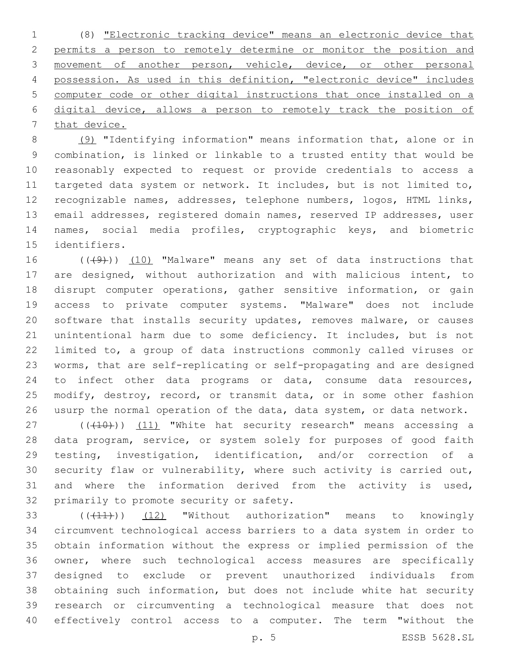(8) "Electronic tracking device" means an electronic device that permits a person to remotely determine or monitor the position and 3 movement of another person, vehicle, device, or other personal possession. As used in this definition, "electronic device" includes computer code or other digital instructions that once installed on a digital device, allows a person to remotely track the position of 7 that device.

 (9) "Identifying information" means information that, alone or in combination, is linked or linkable to a trusted entity that would be reasonably expected to request or provide credentials to access a targeted data system or network. It includes, but is not limited to, recognizable names, addresses, telephone numbers, logos, HTML links, email addresses, registered domain names, reserved IP addresses, user names, social media profiles, cryptographic keys, and biometric 15 identifiers.

16 (((49))) (10) "Malware" means any set of data instructions that are designed, without authorization and with malicious intent, to disrupt computer operations, gather sensitive information, or gain access to private computer systems. "Malware" does not include software that installs security updates, removes malware, or causes unintentional harm due to some deficiency. It includes, but is not limited to, a group of data instructions commonly called viruses or worms, that are self-replicating or self-propagating and are designed to infect other data programs or data, consume data resources, modify, destroy, record, or transmit data, or in some other fashion usurp the normal operation of the data, data system, or data network.

27 (((410)) (11) "White hat security research" means accessing a data program, service, or system solely for purposes of good faith testing, investigation, identification, and/or correction of a security flaw or vulnerability, where such activity is carried out, and where the information derived from the activity is used, 32 primarily to promote security or safety.

33 (((41))) (12) "Without authorization" means to knowingly circumvent technological access barriers to a data system in order to obtain information without the express or implied permission of the owner, where such technological access measures are specifically designed to exclude or prevent unauthorized individuals from obtaining such information, but does not include white hat security research or circumventing a technological measure that does not effectively control access to a computer. The term "without the

p. 5 ESSB 5628.SL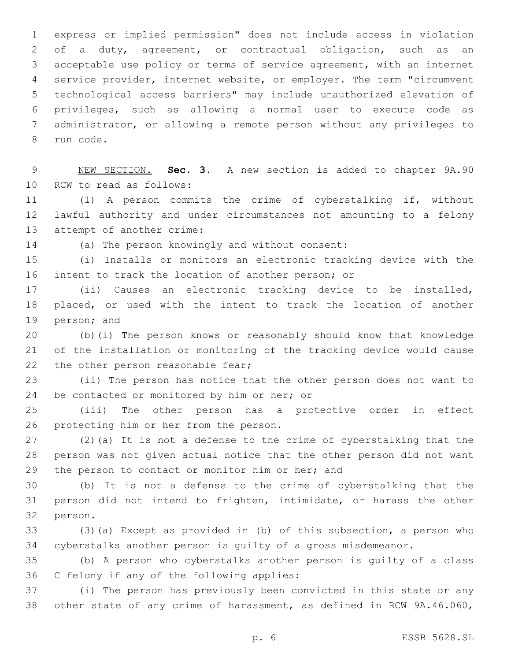express or implied permission" does not include access in violation of a duty, agreement, or contractual obligation, such as an acceptable use policy or terms of service agreement, with an internet service provider, internet website, or employer. The term "circumvent technological access barriers" may include unauthorized elevation of privileges, such as allowing a normal user to execute code as administrator, or allowing a remote person without any privileges to 8 run code.

 NEW SECTION. **Sec. 3.** A new section is added to chapter 9A.90 10 RCW to read as follows:

 (1) A person commits the crime of cyberstalking if, without lawful authority and under circumstances not amounting to a felony 13 attempt of another crime:

14 (a) The person knowingly and without consent:

 (i) Installs or monitors an electronic tracking device with the intent to track the location of another person; or

 (ii) Causes an electronic tracking device to be installed, placed, or used with the intent to track the location of another 19 person; and

 (b)(i) The person knows or reasonably should know that knowledge of the installation or monitoring of the tracking device would cause 22 the other person reasonable fear;

 (ii) The person has notice that the other person does not want to 24 be contacted or monitored by him or her; or

 (iii) The other person has a protective order in effect 26 protecting him or her from the person.

 (2)(a) It is not a defense to the crime of cyberstalking that the person was not given actual notice that the other person did not want 29 the person to contact or monitor him or her; and

 (b) It is not a defense to the crime of cyberstalking that the person did not intend to frighten, intimidate, or harass the other 32 person.

 (3)(a) Except as provided in (b) of this subsection, a person who cyberstalks another person is guilty of a gross misdemeanor.

 (b) A person who cyberstalks another person is guilty of a class 36 C felony if any of the following applies:

 (i) The person has previously been convicted in this state or any other state of any crime of harassment, as defined in RCW 9A.46.060,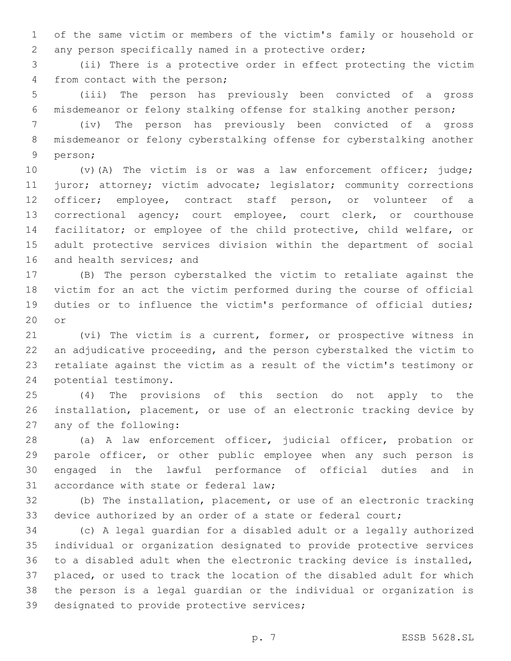of the same victim or members of the victim's family or household or any person specifically named in a protective order;

 (ii) There is a protective order in effect protecting the victim 4 from contact with the person;

 (iii) The person has previously been convicted of a gross misdemeanor or felony stalking offense for stalking another person;

 (iv) The person has previously been convicted of a gross misdemeanor or felony cyberstalking offense for cyberstalking another 9 person;

 (v)(A) The victim is or was a law enforcement officer; judge; 11 juror; attorney; victim advocate; legislator; community corrections officer; employee, contract staff person, or volunteer of a correctional agency; court employee, court clerk, or courthouse facilitator; or employee of the child protective, child welfare, or adult protective services division within the department of social 16 and health services; and

 (B) The person cyberstalked the victim to retaliate against the victim for an act the victim performed during the course of official duties or to influence the victim's performance of official duties; 20 or

 (vi) The victim is a current, former, or prospective witness in an adjudicative proceeding, and the person cyberstalked the victim to retaliate against the victim as a result of the victim's testimony or 24 potential testimony.

 (4) The provisions of this section do not apply to the installation, placement, or use of an electronic tracking device by 27 any of the following:

 (a) A law enforcement officer, judicial officer, probation or parole officer, or other public employee when any such person is engaged in the lawful performance of official duties and in 31 accordance with state or federal law;

 (b) The installation, placement, or use of an electronic tracking 33 device authorized by an order of a state or federal court;

 (c) A legal guardian for a disabled adult or a legally authorized individual or organization designated to provide protective services to a disabled adult when the electronic tracking device is installed, placed, or used to track the location of the disabled adult for which the person is a legal guardian or the individual or organization is 39 designated to provide protective services;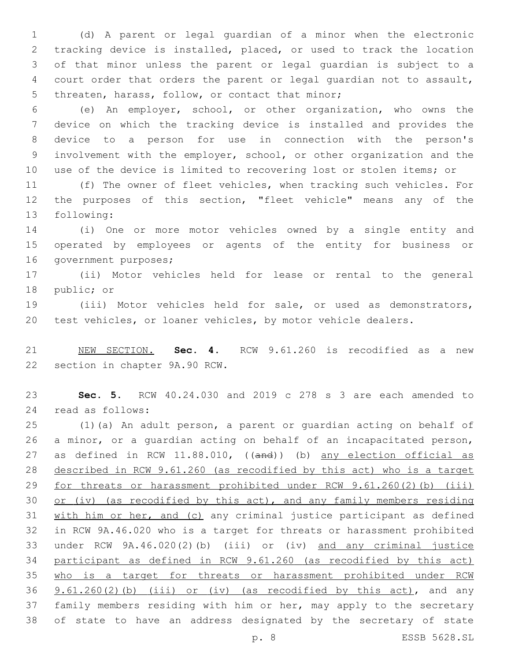(d) A parent or legal guardian of a minor when the electronic tracking device is installed, placed, or used to track the location of that minor unless the parent or legal guardian is subject to a court order that orders the parent or legal guardian not to assault, 5 threaten, harass, follow, or contact that minor;

 (e) An employer, school, or other organization, who owns the device on which the tracking device is installed and provides the device to a person for use in connection with the person's involvement with the employer, school, or other organization and the use of the device is limited to recovering lost or stolen items; or

 (f) The owner of fleet vehicles, when tracking such vehicles. For the purposes of this section, "fleet vehicle" means any of the 13 following:

 (i) One or more motor vehicles owned by a single entity and operated by employees or agents of the entity for business or 16 government purposes;

 (ii) Motor vehicles held for lease or rental to the general 18 public; or

 (iii) Motor vehicles held for sale, or used as demonstrators, test vehicles, or loaner vehicles, by motor vehicle dealers.

 NEW SECTION. **Sec. 4.** RCW 9.61.260 is recodified as a new section in chapter 9A.90 RCW.

 **Sec. 5.** RCW 40.24.030 and 2019 c 278 s 3 are each amended to read as follows:24

 (1)(a) An adult person, a parent or guardian acting on behalf of a minor, or a guardian acting on behalf of an incapacitated person, 27 as defined in RCW 11.88.010, ((and)) (b) any election official as described in RCW 9.61.260 (as recodified by this act) who is a target for threats or harassment prohibited under RCW 9.61.260(2)(b) (iii) or (iv) (as recodified by this act), and any family members residing with him or her, and (c) any criminal justice participant as defined in RCW 9A.46.020 who is a target for threats or harassment prohibited under RCW 9A.46.020(2)(b) (iii) or (iv) and any criminal justice participant as defined in RCW 9.61.260 (as recodified by this act) who is a target for threats or harassment prohibited under RCW  $9.61.260(2)$  (b) (iii) or (iv) (as recodified by this act), and any family members residing with him or her, may apply to the secretary of state to have an address designated by the secretary of state

p. 8 ESSB 5628.SL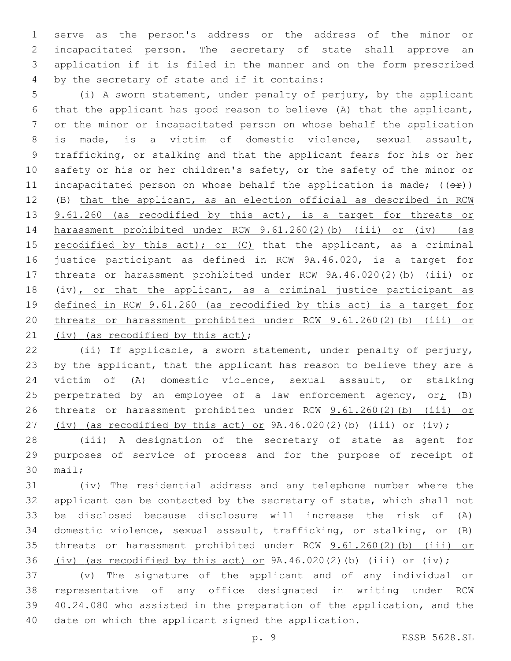serve as the person's address or the address of the minor or incapacitated person. The secretary of state shall approve an application if it is filed in the manner and on the form prescribed 4 by the secretary of state and if it contains:

 (i) A sworn statement, under penalty of perjury, by the applicant that the applicant has good reason to believe (A) that the applicant, or the minor or incapacitated person on whose behalf the application is made, is a victim of domestic violence, sexual assault, trafficking, or stalking and that the applicant fears for his or her safety or his or her children's safety, or the safety of the minor or 11 incapacitated person on whose behalf the application is made;  $((\theta \hat{r}))$  (B) that the applicant, as an election official as described in RCW 13 9.61.260 (as recodified by this act), is a target for threats or harassment prohibited under RCW 9.61.260(2)(b) (iii) or (iv) (as 15 recodified by this act); or  $(C)$  that the applicant, as a criminal justice participant as defined in RCW 9A.46.020, is a target for threats or harassment prohibited under RCW 9A.46.020(2)(b) (iii) or 18 (iv), or that the applicant, as a criminal justice participant as defined in RCW 9.61.260 (as recodified by this act) is a target for threats or harassment prohibited under RCW 9.61.260(2)(b) (iii) or 21 (iv) (as recodified by this  $act$ );

 (ii) If applicable, a sworn statement, under penalty of perjury, by the applicant, that the applicant has reason to believe they are a victim of (A) domestic violence, sexual assault, or stalking 25 perpetrated by an employee of a law enforcement agency,  $or_{i}$  (B) threats or harassment prohibited under RCW 9.61.260(2)(b) (iii) or 27 (iv) (as recodified by this act) or  $9A.46.020(2)$  (b) (iii) or (iv);

 (iii) A designation of the secretary of state as agent for purposes of service of process and for the purpose of receipt of 30 mail;

 (iv) The residential address and any telephone number where the applicant can be contacted by the secretary of state, which shall not be disclosed because disclosure will increase the risk of (A) domestic violence, sexual assault, trafficking, or stalking, or (B) threats or harassment prohibited under RCW 9.61.260(2)(b) (iii) or 36 (iv) (as recodified by this act) or  $9A.46.020(2)$  (b) (iii) or (iv);

 (v) The signature of the applicant and of any individual or representative of any office designated in writing under RCW 40.24.080 who assisted in the preparation of the application, and the date on which the applicant signed the application.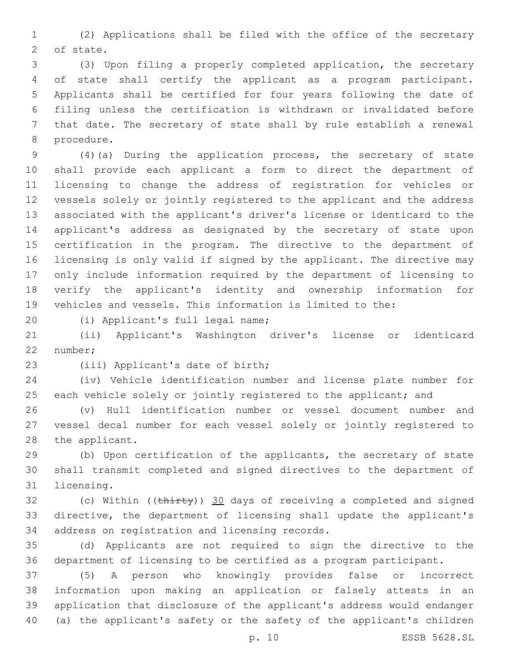(2) Applications shall be filed with the office of the secretary 2 of state.

 (3) Upon filing a properly completed application, the secretary of state shall certify the applicant as a program participant. Applicants shall be certified for four years following the date of filing unless the certification is withdrawn or invalidated before that date. The secretary of state shall by rule establish a renewal 8 procedure.

 (4)(a) During the application process, the secretary of state shall provide each applicant a form to direct the department of licensing to change the address of registration for vehicles or vessels solely or jointly registered to the applicant and the address associated with the applicant's driver's license or identicard to the applicant's address as designated by the secretary of state upon certification in the program. The directive to the department of licensing is only valid if signed by the applicant. The directive may only include information required by the department of licensing to verify the applicant's identity and ownership information for vehicles and vessels. This information is limited to the:

(i) Applicant's full legal name;20

 (ii) Applicant's Washington driver's license or identicard 22 number;

23 (iii) Applicant's date of birth;

 (iv) Vehicle identification number and license plate number for 25 each vehicle solely or jointly registered to the applicant; and

 (v) Hull identification number or vessel document number and vessel decal number for each vessel solely or jointly registered to 28 the applicant.

 (b) Upon certification of the applicants, the secretary of state shall transmit completed and signed directives to the department of 31 licensing.

32 (c) Within ((thirty)) 30 days of receiving a completed and signed directive, the department of licensing shall update the applicant's 34 address on registration and licensing records.

 (d) Applicants are not required to sign the directive to the department of licensing to be certified as a program participant.

 (5) A person who knowingly provides false or incorrect information upon making an application or falsely attests in an application that disclosure of the applicant's address would endanger (a) the applicant's safety or the safety of the applicant's children

p. 10 ESSB 5628.SL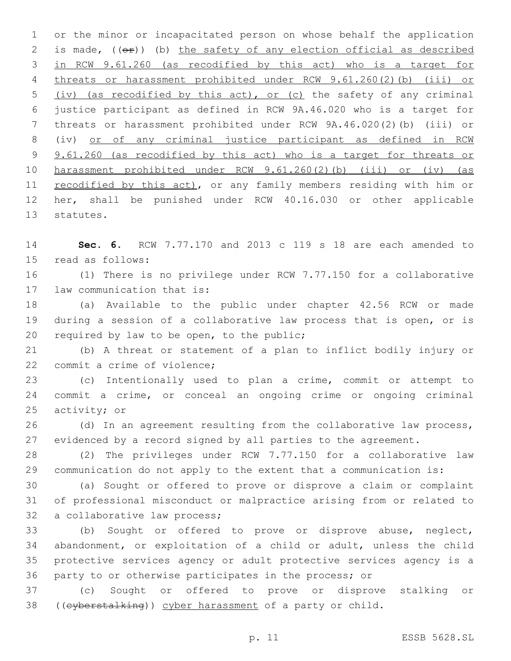or the minor or incapacitated person on whose behalf the application 2 is made,  $((e^{\pi}))$  (b) the safety of any election official as described in RCW 9.61.260 (as recodified by this act) who is a target for threats or harassment prohibited under RCW 9.61.260(2)(b) (iii) or (iv) (as recodified by this act), or (c) the safety of any criminal justice participant as defined in RCW 9A.46.020 who is a target for threats or harassment prohibited under RCW 9A.46.020(2)(b) (iii) or (iv) or of any criminal justice participant as defined in RCW 9 9.61.260 (as recodified by this act) who is a target for threats or harassment prohibited under RCW 9.61.260(2)(b) (iii) or (iv) (as 11 recodified by this act), or any family members residing with him or her, shall be punished under RCW 40.16.030 or other applicable 13 statutes.

 **Sec. 6.** RCW 7.77.170 and 2013 c 119 s 18 are each amended to 15 read as follows:

 (1) There is no privilege under RCW 7.77.150 for a collaborative 17 law communication that is:

 (a) Available to the public under chapter 42.56 RCW or made during a session of a collaborative law process that is open, or is 20 required by law to be open, to the public;

 (b) A threat or statement of a plan to inflict bodily injury or 22 commit a crime of violence;

 (c) Intentionally used to plan a crime, commit or attempt to commit a crime, or conceal an ongoing crime or ongoing criminal 25 activity; or

26 (d) In an agreement resulting from the collaborative law process, evidenced by a record signed by all parties to the agreement.

 (2) The privileges under RCW 7.77.150 for a collaborative law communication do not apply to the extent that a communication is:

 (a) Sought or offered to prove or disprove a claim or complaint of professional misconduct or malpractice arising from or related to 32 a collaborative law process;

 (b) Sought or offered to prove or disprove abuse, neglect, abandonment, or exploitation of a child or adult, unless the child protective services agency or adult protective services agency is a party to or otherwise participates in the process; or

 (c) Sought or offered to prove or disprove stalking or ((cyberstalking)) cyber harassment of a party or child.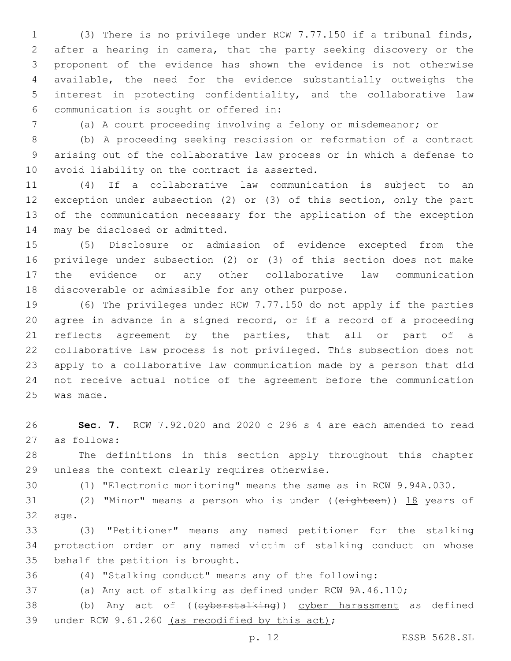(3) There is no privilege under RCW 7.77.150 if a tribunal finds, after a hearing in camera, that the party seeking discovery or the proponent of the evidence has shown the evidence is not otherwise available, the need for the evidence substantially outweighs the interest in protecting confidentiality, and the collaborative law communication is sought or offered in:6

(a) A court proceeding involving a felony or misdemeanor; or

 (b) A proceeding seeking rescission or reformation of a contract arising out of the collaborative law process or in which a defense to 10 avoid liability on the contract is asserted.

 (4) If a collaborative law communication is subject to an exception under subsection (2) or (3) of this section, only the part of the communication necessary for the application of the exception 14 may be disclosed or admitted.

 (5) Disclosure or admission of evidence excepted from the privilege under subsection (2) or (3) of this section does not make the evidence or any other collaborative law communication 18 discoverable or admissible for any other purpose.

 (6) The privileges under RCW 7.77.150 do not apply if the parties agree in advance in a signed record, or if a record of a proceeding reflects agreement by the parties, that all or part of a collaborative law process is not privileged. This subsection does not apply to a collaborative law communication made by a person that did not receive actual notice of the agreement before the communication 25 was made.

 **Sec. 7.** RCW 7.92.020 and 2020 c 296 s 4 are each amended to read as follows:27

 The definitions in this section apply throughout this chapter 29 unless the context clearly requires otherwise.

(1) "Electronic monitoring" means the same as in RCW 9.94A.030.

31 (2) "Minor" means a person who is under ((eighteen)) 18 years of 32 age.

 (3) "Petitioner" means any named petitioner for the stalking protection order or any named victim of stalking conduct on whose 35 behalf the petition is brought.

(4) "Stalking conduct" means any of the following:

(a) Any act of stalking as defined under RCW 9A.46.110;

38 (b) Any act of ((eyberstalking)) cyber harassment as defined 39 under RCW 9.61.260 (as recodified by this act);

p. 12 ESSB 5628.SL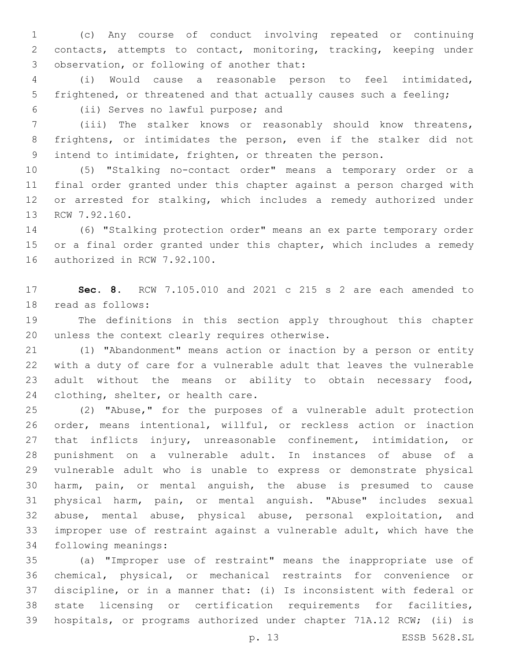(c) Any course of conduct involving repeated or continuing contacts, attempts to contact, monitoring, tracking, keeping under 3 observation, or following of another that:

 (i) Would cause a reasonable person to feel intimidated, frightened, or threatened and that actually causes such a feeling; (ii) Serves no lawful purpose; and6

 (iii) The stalker knows or reasonably should know threatens, frightens, or intimidates the person, even if the stalker did not intend to intimidate, frighten, or threaten the person.

 (5) "Stalking no-contact order" means a temporary order or a final order granted under this chapter against a person charged with or arrested for stalking, which includes a remedy authorized under 13 RCW 7.92.160.

 (6) "Stalking protection order" means an ex parte temporary order 15 or a final order granted under this chapter, which includes a remedy 16 authorized in RCW 7.92.100.

 **Sec. 8.** RCW 7.105.010 and 2021 c 215 s 2 are each amended to 18 read as follows:

 The definitions in this section apply throughout this chapter 20 unless the context clearly requires otherwise.

 (1) "Abandonment" means action or inaction by a person or entity with a duty of care for a vulnerable adult that leaves the vulnerable adult without the means or ability to obtain necessary food, 24 clothing, shelter, or health care.

 (2) "Abuse," for the purposes of a vulnerable adult protection order, means intentional, willful, or reckless action or inaction that inflicts injury, unreasonable confinement, intimidation, or punishment on a vulnerable adult. In instances of abuse of a vulnerable adult who is unable to express or demonstrate physical harm, pain, or mental anguish, the abuse is presumed to cause physical harm, pain, or mental anguish. "Abuse" includes sexual abuse, mental abuse, physical abuse, personal exploitation, and improper use of restraint against a vulnerable adult, which have the 34 following meanings:

 (a) "Improper use of restraint" means the inappropriate use of chemical, physical, or mechanical restraints for convenience or discipline, or in a manner that: (i) Is inconsistent with federal or state licensing or certification requirements for facilities, hospitals, or programs authorized under chapter 71A.12 RCW; (ii) is

p. 13 ESSB 5628.SL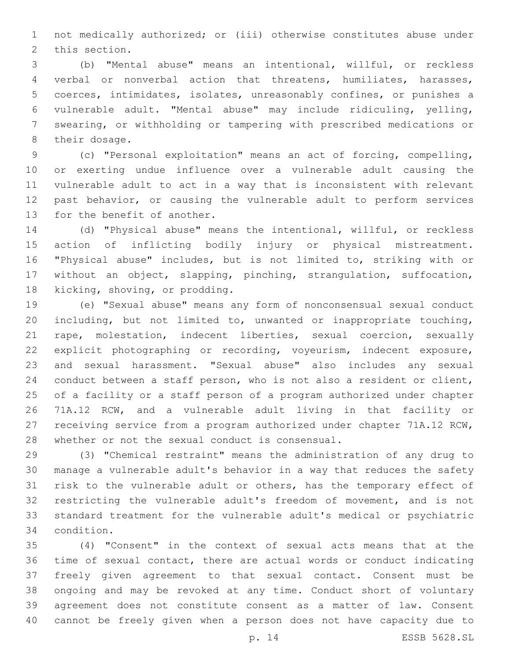not medically authorized; or (iii) otherwise constitutes abuse under 2 this section.

 (b) "Mental abuse" means an intentional, willful, or reckless verbal or nonverbal action that threatens, humiliates, harasses, coerces, intimidates, isolates, unreasonably confines, or punishes a vulnerable adult. "Mental abuse" may include ridiculing, yelling, swearing, or withholding or tampering with prescribed medications or 8 their dosage.

 (c) "Personal exploitation" means an act of forcing, compelling, or exerting undue influence over a vulnerable adult causing the vulnerable adult to act in a way that is inconsistent with relevant past behavior, or causing the vulnerable adult to perform services 13 for the benefit of another.

 (d) "Physical abuse" means the intentional, willful, or reckless action of inflicting bodily injury or physical mistreatment. "Physical abuse" includes, but is not limited to, striking with or without an object, slapping, pinching, strangulation, suffocation, 18 kicking, shoving, or prodding.

 (e) "Sexual abuse" means any form of nonconsensual sexual conduct including, but not limited to, unwanted or inappropriate touching, rape, molestation, indecent liberties, sexual coercion, sexually explicit photographing or recording, voyeurism, indecent exposure, and sexual harassment. "Sexual abuse" also includes any sexual conduct between a staff person, who is not also a resident or client, of a facility or a staff person of a program authorized under chapter 71A.12 RCW, and a vulnerable adult living in that facility or receiving service from a program authorized under chapter 71A.12 RCW, 28 whether or not the sexual conduct is consensual.

 (3) "Chemical restraint" means the administration of any drug to manage a vulnerable adult's behavior in a way that reduces the safety risk to the vulnerable adult or others, has the temporary effect of restricting the vulnerable adult's freedom of movement, and is not standard treatment for the vulnerable adult's medical or psychiatric 34 condition.

 (4) "Consent" in the context of sexual acts means that at the time of sexual contact, there are actual words or conduct indicating freely given agreement to that sexual contact. Consent must be ongoing and may be revoked at any time. Conduct short of voluntary agreement does not constitute consent as a matter of law. Consent cannot be freely given when a person does not have capacity due to

p. 14 ESSB 5628.SL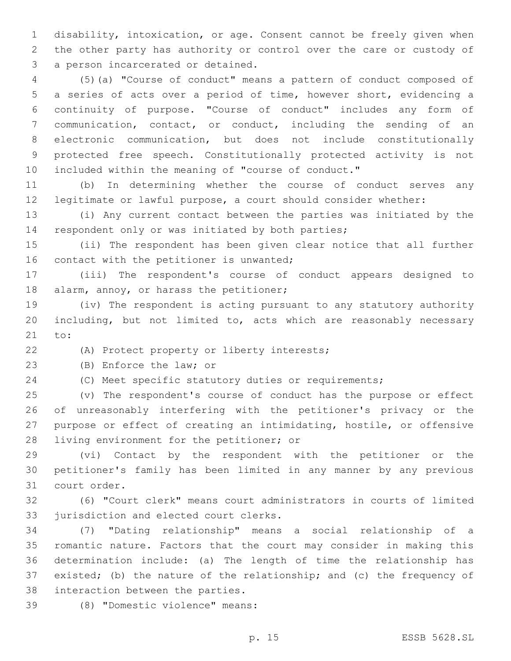disability, intoxication, or age. Consent cannot be freely given when the other party has authority or control over the care or custody of 3 a person incarcerated or detained.

 (5)(a) "Course of conduct" means a pattern of conduct composed of a series of acts over a period of time, however short, evidencing a continuity of purpose. "Course of conduct" includes any form of communication, contact, or conduct, including the sending of an electronic communication, but does not include constitutionally protected free speech. Constitutionally protected activity is not included within the meaning of "course of conduct."

 (b) In determining whether the course of conduct serves any legitimate or lawful purpose, a court should consider whether:

 (i) Any current contact between the parties was initiated by the 14 respondent only or was initiated by both parties;

 (ii) The respondent has been given clear notice that all further 16 contact with the petitioner is unwanted;

 (iii) The respondent's course of conduct appears designed to 18 alarm, annoy, or harass the petitioner;

 (iv) The respondent is acting pursuant to any statutory authority including, but not limited to, acts which are reasonably necessary 21 to:

(A) Protect property or liberty interests;

23 (B) Enforce the law; or

(C) Meet specific statutory duties or requirements;

 (v) The respondent's course of conduct has the purpose or effect of unreasonably interfering with the petitioner's privacy or the purpose or effect of creating an intimidating, hostile, or offensive 28 living environment for the petitioner; or

 (vi) Contact by the respondent with the petitioner or the petitioner's family has been limited in any manner by any previous 31 court order.

 (6) "Court clerk" means court administrators in courts of limited 33 jurisdiction and elected court clerks.

 (7) "Dating relationship" means a social relationship of a romantic nature. Factors that the court may consider in making this determination include: (a) The length of time the relationship has existed; (b) the nature of the relationship; and (c) the frequency of 38 interaction between the parties.

(8) "Domestic violence" means:39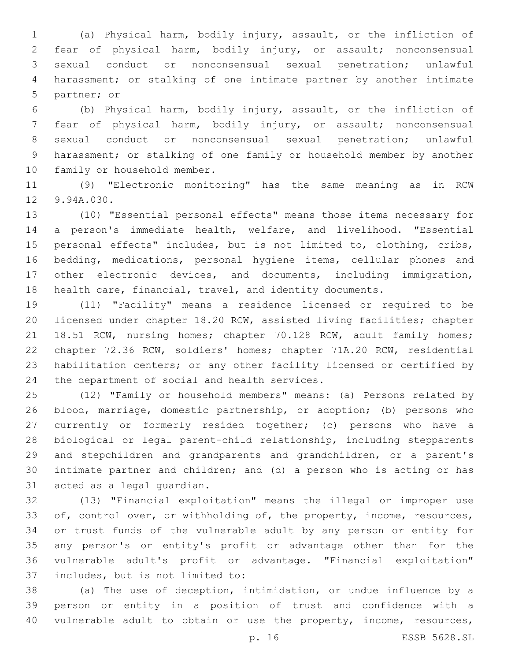(a) Physical harm, bodily injury, assault, or the infliction of fear of physical harm, bodily injury, or assault; nonconsensual sexual conduct or nonconsensual sexual penetration; unlawful harassment; or stalking of one intimate partner by another intimate 5 partner; or

 (b) Physical harm, bodily injury, assault, or the infliction of fear of physical harm, bodily injury, or assault; nonconsensual sexual conduct or nonconsensual sexual penetration; unlawful harassment; or stalking of one family or household member by another 10 family or household member.

 (9) "Electronic monitoring" has the same meaning as in RCW 12 9.94A.030.

 (10) "Essential personal effects" means those items necessary for a person's immediate health, welfare, and livelihood. "Essential personal effects" includes, but is not limited to, clothing, cribs, bedding, medications, personal hygiene items, cellular phones and other electronic devices, and documents, including immigration, health care, financial, travel, and identity documents.

 (11) "Facility" means a residence licensed or required to be licensed under chapter 18.20 RCW, assisted living facilities; chapter 21 18.51 RCW, nursing homes; chapter 70.128 RCW, adult family homes; chapter 72.36 RCW, soldiers' homes; chapter 71A.20 RCW, residential habilitation centers; or any other facility licensed or certified by 24 the department of social and health services.

 (12) "Family or household members" means: (a) Persons related by blood, marriage, domestic partnership, or adoption; (b) persons who currently or formerly resided together; (c) persons who have a biological or legal parent-child relationship, including stepparents and stepchildren and grandparents and grandchildren, or a parent's intimate partner and children; and (d) a person who is acting or has 31 acted as a legal quardian.

 (13) "Financial exploitation" means the illegal or improper use 33 of, control over, or withholding of, the property, income, resources, or trust funds of the vulnerable adult by any person or entity for any person's or entity's profit or advantage other than for the vulnerable adult's profit or advantage. "Financial exploitation" 37 includes, but is not limited to:

 (a) The use of deception, intimidation, or undue influence by a person or entity in a position of trust and confidence with a 40 vulnerable adult to obtain or use the property, income, resources,

p. 16 ESSB 5628.SL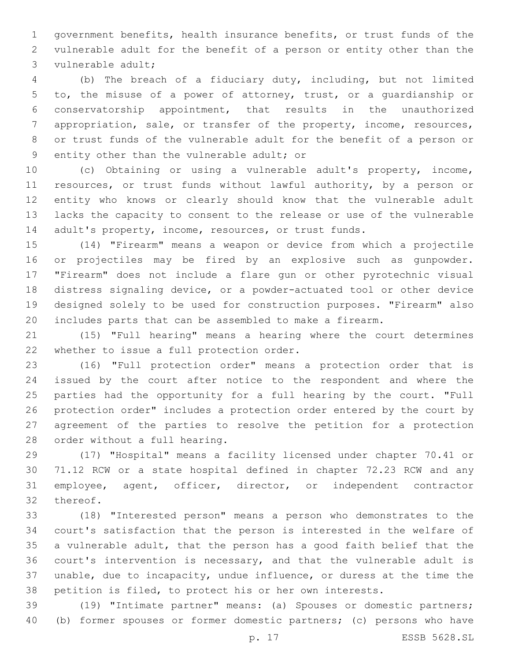government benefits, health insurance benefits, or trust funds of the vulnerable adult for the benefit of a person or entity other than the 3 vulnerable adult;

 (b) The breach of a fiduciary duty, including, but not limited to, the misuse of a power of attorney, trust, or a guardianship or conservatorship appointment, that results in the unauthorized 7 appropriation, sale, or transfer of the property, income, resources, or trust funds of the vulnerable adult for the benefit of a person or 9 entity other than the vulnerable adult; or

 (c) Obtaining or using a vulnerable adult's property, income, resources, or trust funds without lawful authority, by a person or entity who knows or clearly should know that the vulnerable adult lacks the capacity to consent to the release or use of the vulnerable 14 adult's property, income, resources, or trust funds.

 (14) "Firearm" means a weapon or device from which a projectile or projectiles may be fired by an explosive such as gunpowder. "Firearm" does not include a flare gun or other pyrotechnic visual distress signaling device, or a powder-actuated tool or other device designed solely to be used for construction purposes. "Firearm" also includes parts that can be assembled to make a firearm.

 (15) "Full hearing" means a hearing where the court determines 22 whether to issue a full protection order.

 (16) "Full protection order" means a protection order that is issued by the court after notice to the respondent and where the parties had the opportunity for a full hearing by the court. "Full protection order" includes a protection order entered by the court by agreement of the parties to resolve the petition for a protection 28 order without a full hearing.

 (17) "Hospital" means a facility licensed under chapter 70.41 or 71.12 RCW or a state hospital defined in chapter 72.23 RCW and any employee, agent, officer, director, or independent contractor 32 thereof.

 (18) "Interested person" means a person who demonstrates to the court's satisfaction that the person is interested in the welfare of a vulnerable adult, that the person has a good faith belief that the court's intervention is necessary, and that the vulnerable adult is unable, due to incapacity, undue influence, or duress at the time the petition is filed, to protect his or her own interests.

 (19) "Intimate partner" means: (a) Spouses or domestic partners; (b) former spouses or former domestic partners; (c) persons who have

p. 17 ESSB 5628.SL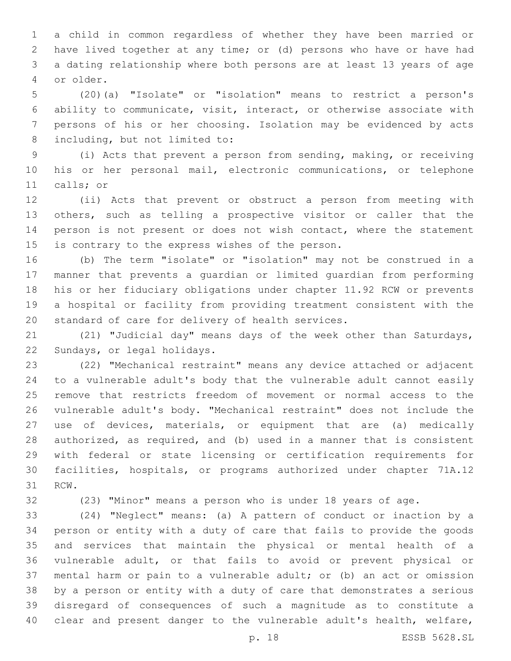a child in common regardless of whether they have been married or have lived together at any time; or (d) persons who have or have had a dating relationship where both persons are at least 13 years of age or older.4

 (20)(a) "Isolate" or "isolation" means to restrict a person's ability to communicate, visit, interact, or otherwise associate with persons of his or her choosing. Isolation may be evidenced by acts 8 including, but not limited to:

 (i) Acts that prevent a person from sending, making, or receiving his or her personal mail, electronic communications, or telephone 11 calls; or

 (ii) Acts that prevent or obstruct a person from meeting with others, such as telling a prospective visitor or caller that the 14 person is not present or does not wish contact, where the statement 15 is contrary to the express wishes of the person.

 (b) The term "isolate" or "isolation" may not be construed in a manner that prevents a guardian or limited guardian from performing his or her fiduciary obligations under chapter 11.92 RCW or prevents a hospital or facility from providing treatment consistent with the 20 standard of care for delivery of health services.

 (21) "Judicial day" means days of the week other than Saturdays, 22 Sundays, or legal holidays.

 (22) "Mechanical restraint" means any device attached or adjacent to a vulnerable adult's body that the vulnerable adult cannot easily remove that restricts freedom of movement or normal access to the vulnerable adult's body. "Mechanical restraint" does not include the use of devices, materials, or equipment that are (a) medically authorized, as required, and (b) used in a manner that is consistent with federal or state licensing or certification requirements for facilities, hospitals, or programs authorized under chapter 71A.12 31 RCW.

(23) "Minor" means a person who is under 18 years of age.

 (24) "Neglect" means: (a) A pattern of conduct or inaction by a person or entity with a duty of care that fails to provide the goods and services that maintain the physical or mental health of a vulnerable adult, or that fails to avoid or prevent physical or mental harm or pain to a vulnerable adult; or (b) an act or omission by a person or entity with a duty of care that demonstrates a serious disregard of consequences of such a magnitude as to constitute a clear and present danger to the vulnerable adult's health, welfare,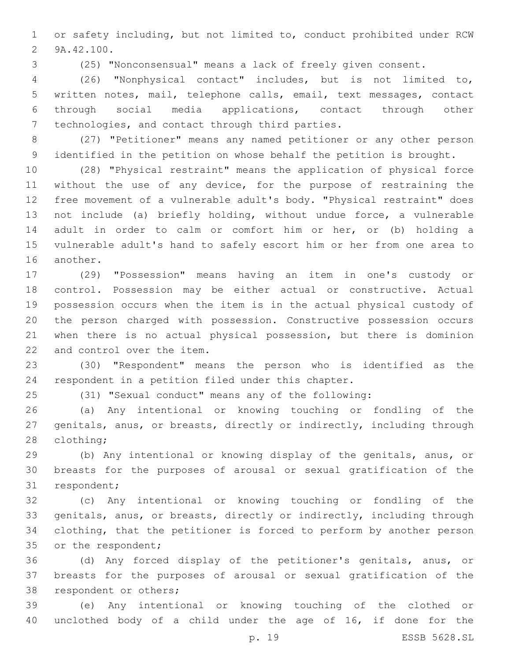or safety including, but not limited to, conduct prohibited under RCW 2 9A.42.100.

(25) "Nonconsensual" means a lack of freely given consent.

 (26) "Nonphysical contact" includes, but is not limited to, written notes, mail, telephone calls, email, text messages, contact through social media applications, contact through other 7 technologies, and contact through third parties.

 (27) "Petitioner" means any named petitioner or any other person identified in the petition on whose behalf the petition is brought.

 (28) "Physical restraint" means the application of physical force without the use of any device, for the purpose of restraining the free movement of a vulnerable adult's body. "Physical restraint" does not include (a) briefly holding, without undue force, a vulnerable adult in order to calm or comfort him or her, or (b) holding a vulnerable adult's hand to safely escort him or her from one area to 16 another.

 (29) "Possession" means having an item in one's custody or control. Possession may be either actual or constructive. Actual possession occurs when the item is in the actual physical custody of the person charged with possession. Constructive possession occurs when there is no actual physical possession, but there is dominion 22 and control over the item.

 (30) "Respondent" means the person who is identified as the respondent in a petition filed under this chapter.

(31) "Sexual conduct" means any of the following:

 (a) Any intentional or knowing touching or fondling of the genitals, anus, or breasts, directly or indirectly, including through 28 clothing;

 (b) Any intentional or knowing display of the genitals, anus, or breasts for the purposes of arousal or sexual gratification of the 31 respondent;

 (c) Any intentional or knowing touching or fondling of the genitals, anus, or breasts, directly or indirectly, including through clothing, that the petitioner is forced to perform by another person 35 or the respondent;

 (d) Any forced display of the petitioner's genitals, anus, or breasts for the purposes of arousal or sexual gratification of the 38 respondent or others;

 (e) Any intentional or knowing touching of the clothed or unclothed body of a child under the age of 16, if done for the

p. 19 ESSB 5628.SL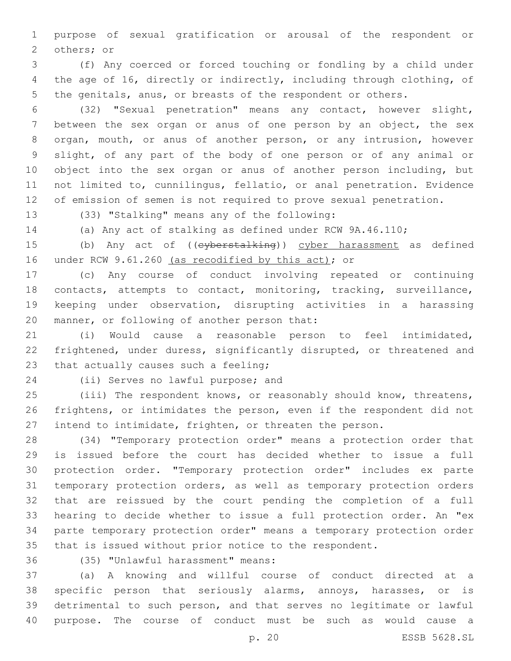purpose of sexual gratification or arousal of the respondent or 2 others; or

 (f) Any coerced or forced touching or fondling by a child under the age of 16, directly or indirectly, including through clothing, of the genitals, anus, or breasts of the respondent or others.

 (32) "Sexual penetration" means any contact, however slight, between the sex organ or anus of one person by an object, the sex organ, mouth, or anus of another person, or any intrusion, however slight, of any part of the body of one person or of any animal or object into the sex organ or anus of another person including, but not limited to, cunnilingus, fellatio, or anal penetration. Evidence of emission of semen is not required to prove sexual penetration.

13 (33) "Stalking" means any of the following:

(a) Any act of stalking as defined under RCW 9A.46.110;

15 (b) Any act of ((eyberstalking)) cyber harassment as defined 16 under RCW 9.61.260 (as recodified by this act); or

 (c) Any course of conduct involving repeated or continuing 18 contacts, attempts to contact, monitoring, tracking, surveillance, keeping under observation, disrupting activities in a harassing 20 manner, or following of another person that:

 (i) Would cause a reasonable person to feel intimidated, frightened, under duress, significantly disrupted, or threatened and 23 that actually causes such a feeling;

24 (ii) Serves no lawful purpose; and

 (iii) The respondent knows, or reasonably should know, threatens, frightens, or intimidates the person, even if the respondent did not intend to intimidate, frighten, or threaten the person.

 (34) "Temporary protection order" means a protection order that is issued before the court has decided whether to issue a full protection order. "Temporary protection order" includes ex parte temporary protection orders, as well as temporary protection orders that are reissued by the court pending the completion of a full hearing to decide whether to issue a full protection order. An "ex parte temporary protection order" means a temporary protection order that is issued without prior notice to the respondent.

(35) "Unlawful harassment" means:36

 (a) A knowing and willful course of conduct directed at a specific person that seriously alarms, annoys, harasses, or is detrimental to such person, and that serves no legitimate or lawful purpose. The course of conduct must be such as would cause a

p. 20 ESSB 5628.SL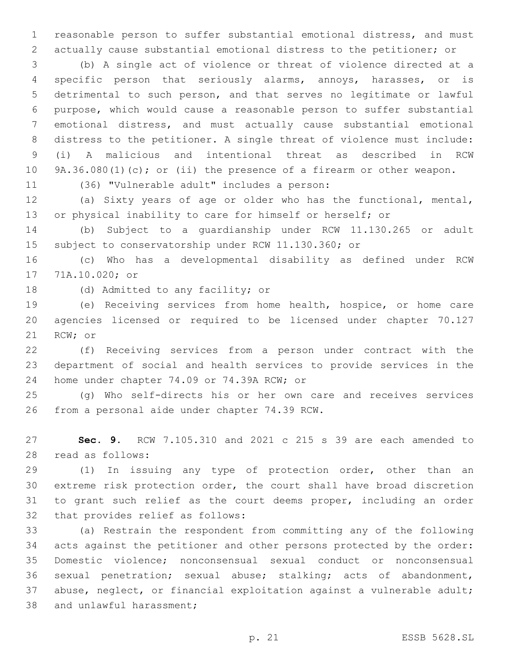reasonable person to suffer substantial emotional distress, and must actually cause substantial emotional distress to the petitioner; or

 (b) A single act of violence or threat of violence directed at a specific person that seriously alarms, annoys, harasses, or is detrimental to such person, and that serves no legitimate or lawful purpose, which would cause a reasonable person to suffer substantial emotional distress, and must actually cause substantial emotional distress to the petitioner. A single threat of violence must include: (i) A malicious and intentional threat as described in RCW 9A.36.080(1)(c); or (ii) the presence of a firearm or other weapon.

11 (36) "Vulnerable adult" includes a person:

 (a) Sixty years of age or older who has the functional, mental, or physical inability to care for himself or herself; or

 (b) Subject to a guardianship under RCW 11.130.265 or adult subject to conservatorship under RCW 11.130.360; or

 (c) Who has a developmental disability as defined under RCW 17 71A.10.020; or

18 (d) Admitted to any facility; or

 (e) Receiving services from home health, hospice, or home care agencies licensed or required to be licensed under chapter 70.127 21 RCW; or

 (f) Receiving services from a person under contract with the department of social and health services to provide services in the 24 home under chapter 74.09 or 74.39A RCW; or

 (g) Who self-directs his or her own care and receives services 26 from a personal aide under chapter 74.39 RCW.

 **Sec. 9.** RCW 7.105.310 and 2021 c 215 s 39 are each amended to read as follows:28

 (1) In issuing any type of protection order, other than an extreme risk protection order, the court shall have broad discretion to grant such relief as the court deems proper, including an order 32 that provides relief as follows:

 (a) Restrain the respondent from committing any of the following acts against the petitioner and other persons protected by the order: Domestic violence; nonconsensual sexual conduct or nonconsensual sexual penetration; sexual abuse; stalking; acts of abandonment, abuse, neglect, or financial exploitation against a vulnerable adult; 38 and unlawful harassment;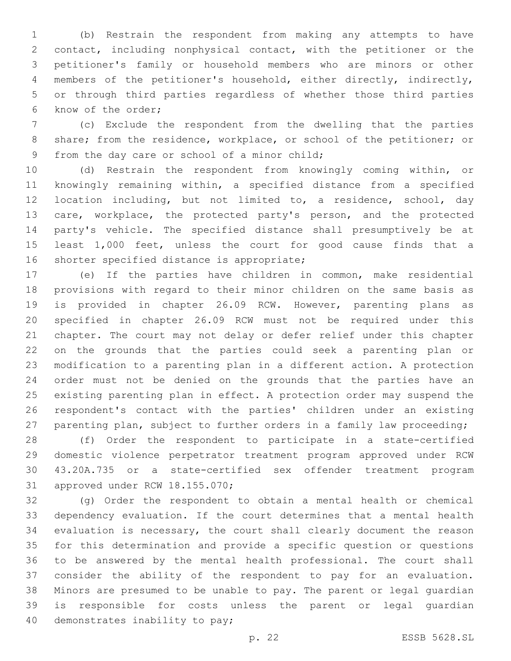(b) Restrain the respondent from making any attempts to have contact, including nonphysical contact, with the petitioner or the petitioner's family or household members who are minors or other members of the petitioner's household, either directly, indirectly, or through third parties regardless of whether those third parties 6 know of the order;

 (c) Exclude the respondent from the dwelling that the parties share; from the residence, workplace, or school of the petitioner; or 9 from the day care or school of a minor child;

 (d) Restrain the respondent from knowingly coming within, or knowingly remaining within, a specified distance from a specified location including, but not limited to, a residence, school, day care, workplace, the protected party's person, and the protected party's vehicle. The specified distance shall presumptively be at least 1,000 feet, unless the court for good cause finds that a 16 shorter specified distance is appropriate;

 (e) If the parties have children in common, make residential provisions with regard to their minor children on the same basis as is provided in chapter 26.09 RCW. However, parenting plans as specified in chapter 26.09 RCW must not be required under this chapter. The court may not delay or defer relief under this chapter on the grounds that the parties could seek a parenting plan or modification to a parenting plan in a different action. A protection order must not be denied on the grounds that the parties have an existing parenting plan in effect. A protection order may suspend the respondent's contact with the parties' children under an existing parenting plan, subject to further orders in a family law proceeding;

 (f) Order the respondent to participate in a state-certified domestic violence perpetrator treatment program approved under RCW 43.20A.735 or a state-certified sex offender treatment program 31 approved under RCW 18.155.070;

 (g) Order the respondent to obtain a mental health or chemical dependency evaluation. If the court determines that a mental health evaluation is necessary, the court shall clearly document the reason for this determination and provide a specific question or questions to be answered by the mental health professional. The court shall consider the ability of the respondent to pay for an evaluation. Minors are presumed to be unable to pay. The parent or legal guardian is responsible for costs unless the parent or legal guardian 40 demonstrates inability to pay;

p. 22 ESSB 5628.SL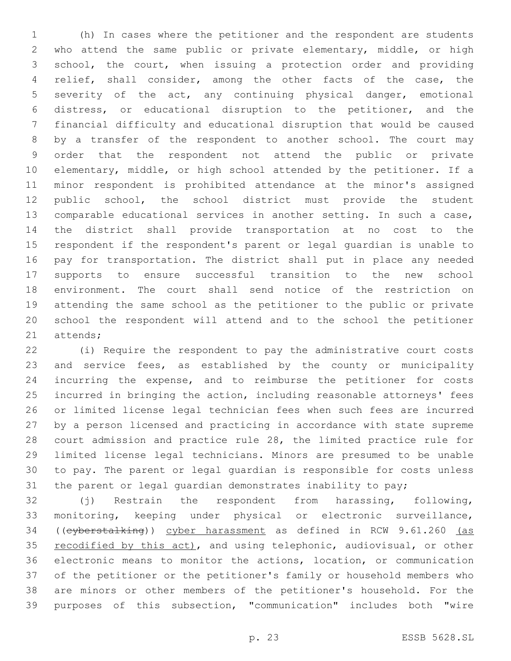(h) In cases where the petitioner and the respondent are students who attend the same public or private elementary, middle, or high school, the court, when issuing a protection order and providing relief, shall consider, among the other facts of the case, the severity of the act, any continuing physical danger, emotional distress, or educational disruption to the petitioner, and the financial difficulty and educational disruption that would be caused by a transfer of the respondent to another school. The court may order that the respondent not attend the public or private elementary, middle, or high school attended by the petitioner. If a minor respondent is prohibited attendance at the minor's assigned public school, the school district must provide the student comparable educational services in another setting. In such a case, the district shall provide transportation at no cost to the respondent if the respondent's parent or legal guardian is unable to pay for transportation. The district shall put in place any needed supports to ensure successful transition to the new school environment. The court shall send notice of the restriction on attending the same school as the petitioner to the public or private school the respondent will attend and to the school the petitioner 21 attends;

 (i) Require the respondent to pay the administrative court costs and service fees, as established by the county or municipality incurring the expense, and to reimburse the petitioner for costs incurred in bringing the action, including reasonable attorneys' fees or limited license legal technician fees when such fees are incurred by a person licensed and practicing in accordance with state supreme court admission and practice rule 28, the limited practice rule for limited license legal technicians. Minors are presumed to be unable to pay. The parent or legal guardian is responsible for costs unless the parent or legal guardian demonstrates inability to pay;

 (j) Restrain the respondent from harassing, following, monitoring, keeping under physical or electronic surveillance, ((cyberstalking)) cyber harassment as defined in RCW 9.61.260 (as 35 recodified by this act), and using telephonic, audiovisual, or other electronic means to monitor the actions, location, or communication of the petitioner or the petitioner's family or household members who are minors or other members of the petitioner's household. For the purposes of this subsection, "communication" includes both "wire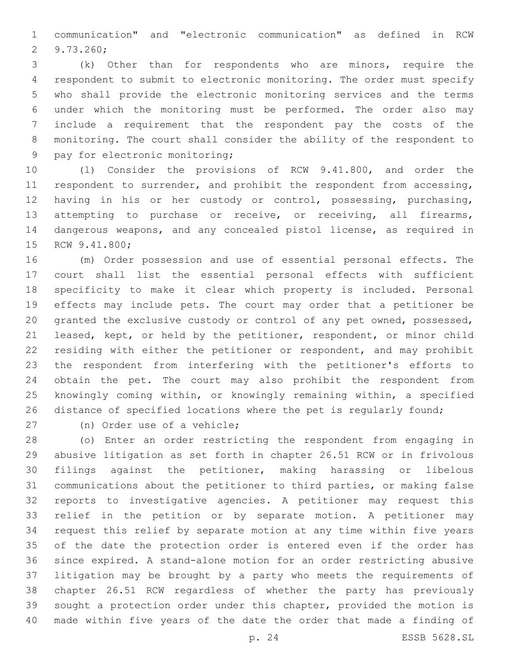communication" and "electronic communication" as defined in RCW 9.73.260;2

 (k) Other than for respondents who are minors, require the respondent to submit to electronic monitoring. The order must specify who shall provide the electronic monitoring services and the terms under which the monitoring must be performed. The order also may include a requirement that the respondent pay the costs of the monitoring. The court shall consider the ability of the respondent to 9 pay for electronic monitoring;

 (l) Consider the provisions of RCW 9.41.800, and order the 11 respondent to surrender, and prohibit the respondent from accessing, having in his or her custody or control, possessing, purchasing, attempting to purchase or receive, or receiving, all firearms, dangerous weapons, and any concealed pistol license, as required in 15 RCW 9.41.800;

 (m) Order possession and use of essential personal effects. The court shall list the essential personal effects with sufficient specificity to make it clear which property is included. Personal effects may include pets. The court may order that a petitioner be granted the exclusive custody or control of any pet owned, possessed, leased, kept, or held by the petitioner, respondent, or minor child residing with either the petitioner or respondent, and may prohibit the respondent from interfering with the petitioner's efforts to obtain the pet. The court may also prohibit the respondent from knowingly coming within, or knowingly remaining within, a specified distance of specified locations where the pet is regularly found;

27 (n) Order use of a vehicle;

 (o) Enter an order restricting the respondent from engaging in abusive litigation as set forth in chapter 26.51 RCW or in frivolous filings against the petitioner, making harassing or libelous communications about the petitioner to third parties, or making false reports to investigative agencies. A petitioner may request this relief in the petition or by separate motion. A petitioner may request this relief by separate motion at any time within five years of the date the protection order is entered even if the order has since expired. A stand-alone motion for an order restricting abusive litigation may be brought by a party who meets the requirements of chapter 26.51 RCW regardless of whether the party has previously sought a protection order under this chapter, provided the motion is made within five years of the date the order that made a finding of

p. 24 ESSB 5628.SL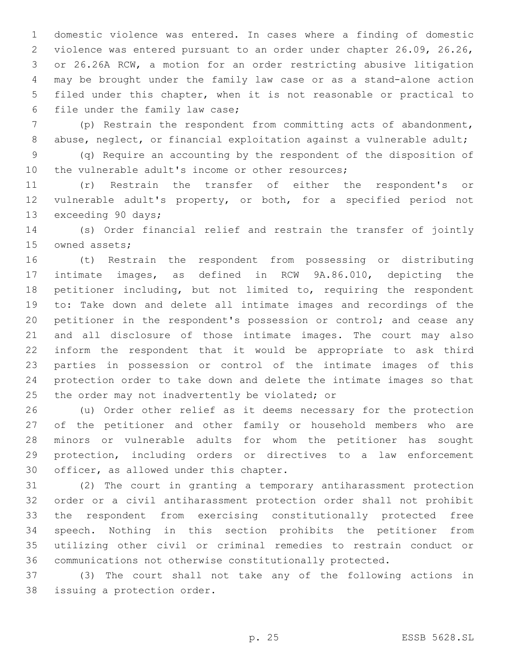domestic violence was entered. In cases where a finding of domestic violence was entered pursuant to an order under chapter 26.09, 26.26, or 26.26A RCW, a motion for an order restricting abusive litigation may be brought under the family law case or as a stand-alone action filed under this chapter, when it is not reasonable or practical to 6 file under the family law case;

 (p) Restrain the respondent from committing acts of abandonment, 8 abuse, neglect, or financial exploitation against a vulnerable adult;

 (q) Require an accounting by the respondent of the disposition of 10 the vulnerable adult's income or other resources;

 (r) Restrain the transfer of either the respondent's or vulnerable adult's property, or both, for a specified period not 13 exceeding 90 days;

 (s) Order financial relief and restrain the transfer of jointly 15 owned assets;

 (t) Restrain the respondent from possessing or distributing intimate images, as defined in RCW 9A.86.010, depicting the petitioner including, but not limited to, requiring the respondent to: Take down and delete all intimate images and recordings of the petitioner in the respondent's possession or control; and cease any and all disclosure of those intimate images. The court may also inform the respondent that it would be appropriate to ask third parties in possession or control of the intimate images of this protection order to take down and delete the intimate images so that 25 the order may not inadvertently be violated; or

 (u) Order other relief as it deems necessary for the protection of the petitioner and other family or household members who are minors or vulnerable adults for whom the petitioner has sought protection, including orders or directives to a law enforcement 30 officer, as allowed under this chapter.

 (2) The court in granting a temporary antiharassment protection order or a civil antiharassment protection order shall not prohibit the respondent from exercising constitutionally protected free speech. Nothing in this section prohibits the petitioner from utilizing other civil or criminal remedies to restrain conduct or communications not otherwise constitutionally protected.

 (3) The court shall not take any of the following actions in 38 issuing a protection order.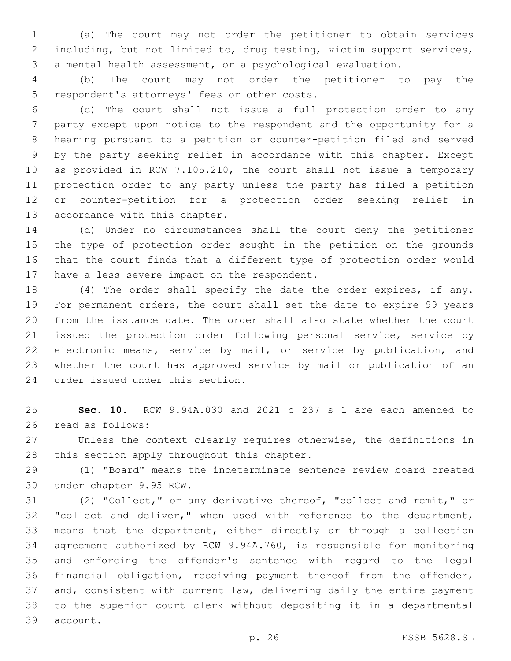(a) The court may not order the petitioner to obtain services including, but not limited to, drug testing, victim support services, a mental health assessment, or a psychological evaluation.

 (b) The court may not order the petitioner to pay the 5 respondent's attorneys' fees or other costs.

 (c) The court shall not issue a full protection order to any party except upon notice to the respondent and the opportunity for a hearing pursuant to a petition or counter-petition filed and served by the party seeking relief in accordance with this chapter. Except as provided in RCW 7.105.210, the court shall not issue a temporary protection order to any party unless the party has filed a petition or counter-petition for a protection order seeking relief in 13 accordance with this chapter.

 (d) Under no circumstances shall the court deny the petitioner the type of protection order sought in the petition on the grounds that the court finds that a different type of protection order would 17 have a less severe impact on the respondent.

 (4) The order shall specify the date the order expires, if any. For permanent orders, the court shall set the date to expire 99 years from the issuance date. The order shall also state whether the court issued the protection order following personal service, service by electronic means, service by mail, or service by publication, and whether the court has approved service by mail or publication of an 24 order issued under this section.

 **Sec. 10.** RCW 9.94A.030 and 2021 c 237 s 1 are each amended to read as follows:26

 Unless the context clearly requires otherwise, the definitions in 28 this section apply throughout this chapter.

 (1) "Board" means the indeterminate sentence review board created 30 under chapter 9.95 RCW.

 (2) "Collect," or any derivative thereof, "collect and remit," or 32 "collect and deliver," when used with reference to the department, means that the department, either directly or through a collection agreement authorized by RCW 9.94A.760, is responsible for monitoring and enforcing the offender's sentence with regard to the legal financial obligation, receiving payment thereof from the offender, and, consistent with current law, delivering daily the entire payment to the superior court clerk without depositing it in a departmental 39 account.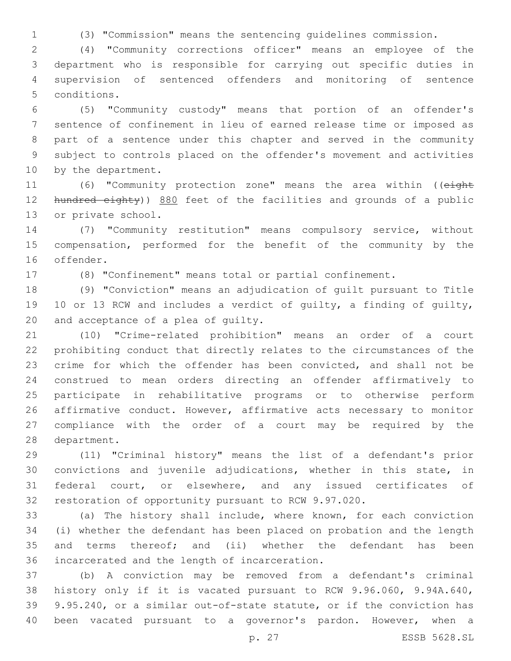(3) "Commission" means the sentencing guidelines commission.

 (4) "Community corrections officer" means an employee of the department who is responsible for carrying out specific duties in supervision of sentenced offenders and monitoring of sentence 5 conditions.

 (5) "Community custody" means that portion of an offender's sentence of confinement in lieu of earned release time or imposed as part of a sentence under this chapter and served in the community subject to controls placed on the offender's movement and activities 10 by the department.

11 (6) "Community protection zone" means the area within ((eight 12 hundred eighty)) 880 feet of the facilities and grounds of a public 13 or private school.

 (7) "Community restitution" means compulsory service, without compensation, performed for the benefit of the community by the 16 offender.

(8) "Confinement" means total or partial confinement.

 (9) "Conviction" means an adjudication of guilt pursuant to Title 10 or 13 RCW and includes a verdict of guilty, a finding of guilty, 20 and acceptance of a plea of quilty.

 (10) "Crime-related prohibition" means an order of a court prohibiting conduct that directly relates to the circumstances of the crime for which the offender has been convicted, and shall not be construed to mean orders directing an offender affirmatively to participate in rehabilitative programs or to otherwise perform affirmative conduct. However, affirmative acts necessary to monitor compliance with the order of a court may be required by the 28 department.

 (11) "Criminal history" means the list of a defendant's prior convictions and juvenile adjudications, whether in this state, in federal court, or elsewhere, and any issued certificates of restoration of opportunity pursuant to RCW 9.97.020.

 (a) The history shall include, where known, for each conviction (i) whether the defendant has been placed on probation and the length 35 and terms thereof; and (ii) whether the defendant has been incarcerated and the length of incarceration.36

 (b) A conviction may be removed from a defendant's criminal history only if it is vacated pursuant to RCW 9.96.060, 9.94A.640, 9.95.240, or a similar out-of-state statute, or if the conviction has been vacated pursuant to a governor's pardon. However, when a

p. 27 ESSB 5628.SL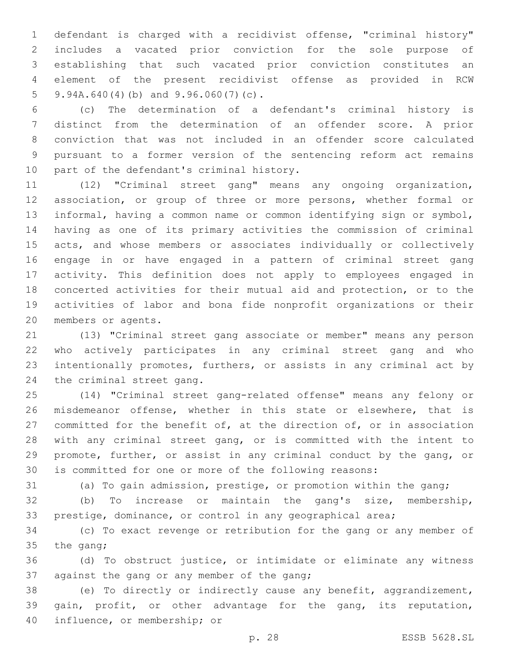defendant is charged with a recidivist offense, "criminal history" includes a vacated prior conviction for the sole purpose of establishing that such vacated prior conviction constitutes an element of the present recidivist offense as provided in RCW 5 9.94A.640(4)(b) and  $9.96.060(7)(c)$ .

 (c) The determination of a defendant's criminal history is distinct from the determination of an offender score. A prior conviction that was not included in an offender score calculated pursuant to a former version of the sentencing reform act remains 10 part of the defendant's criminal history.

 (12) "Criminal street gang" means any ongoing organization, association, or group of three or more persons, whether formal or informal, having a common name or common identifying sign or symbol, having as one of its primary activities the commission of criminal acts, and whose members or associates individually or collectively engage in or have engaged in a pattern of criminal street gang activity. This definition does not apply to employees engaged in concerted activities for their mutual aid and protection, or to the activities of labor and bona fide nonprofit organizations or their 20 members or agents.

 (13) "Criminal street gang associate or member" means any person who actively participates in any criminal street gang and who intentionally promotes, furthers, or assists in any criminal act by 24 the criminal street gang.

 (14) "Criminal street gang-related offense" means any felony or misdemeanor offense, whether in this state or elsewhere, that is committed for the benefit of, at the direction of, or in association with any criminal street gang, or is committed with the intent to promote, further, or assist in any criminal conduct by the gang, or is committed for one or more of the following reasons:

(a) To gain admission, prestige, or promotion within the gang;

 (b) To increase or maintain the gang's size, membership, prestige, dominance, or control in any geographical area;

 (c) To exact revenge or retribution for the gang or any member of 35 the gang;

 (d) To obstruct justice, or intimidate or eliminate any witness 37 against the gang or any member of the gang;

 (e) To directly or indirectly cause any benefit, aggrandizement, gain, profit, or other advantage for the gang, its reputation, 40 influence, or membership; or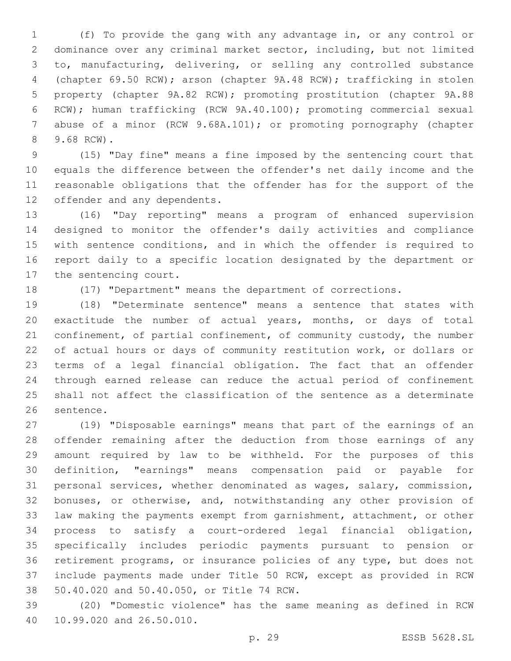(f) To provide the gang with any advantage in, or any control or dominance over any criminal market sector, including, but not limited to, manufacturing, delivering, or selling any controlled substance (chapter 69.50 RCW); arson (chapter 9A.48 RCW); trafficking in stolen property (chapter 9A.82 RCW); promoting prostitution (chapter 9A.88 RCW); human trafficking (RCW 9A.40.100); promoting commercial sexual 7 abuse of a minor (RCW 9.68A.101); or promoting pornography (chapter 9.68 RCW).8

 (15) "Day fine" means a fine imposed by the sentencing court that equals the difference between the offender's net daily income and the reasonable obligations that the offender has for the support of the 12 offender and any dependents.

 (16) "Day reporting" means a program of enhanced supervision designed to monitor the offender's daily activities and compliance with sentence conditions, and in which the offender is required to report daily to a specific location designated by the department or 17 the sentencing court.

(17) "Department" means the department of corrections.

 (18) "Determinate sentence" means a sentence that states with exactitude the number of actual years, months, or days of total 21 confinement, of partial confinement, of community custody, the number of actual hours or days of community restitution work, or dollars or terms of a legal financial obligation. The fact that an offender through earned release can reduce the actual period of confinement shall not affect the classification of the sentence as a determinate 26 sentence.

 (19) "Disposable earnings" means that part of the earnings of an offender remaining after the deduction from those earnings of any amount required by law to be withheld. For the purposes of this definition, "earnings" means compensation paid or payable for personal services, whether denominated as wages, salary, commission, bonuses, or otherwise, and, notwithstanding any other provision of law making the payments exempt from garnishment, attachment, or other process to satisfy a court-ordered legal financial obligation, specifically includes periodic payments pursuant to pension or retirement programs, or insurance policies of any type, but does not include payments made under Title 50 RCW, except as provided in RCW 38 50.40.020 and 50.40.050, or Title 74 RCW.

 (20) "Domestic violence" has the same meaning as defined in RCW 40 10.99.020 and 26.50.010.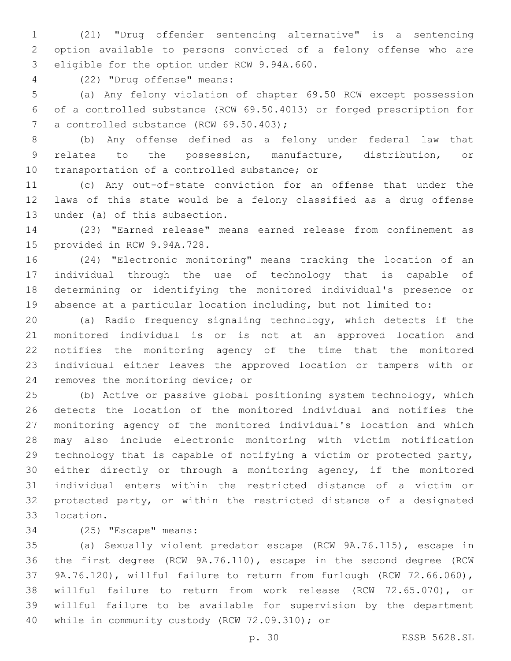(21) "Drug offender sentencing alternative" is a sentencing option available to persons convicted of a felony offense who are 3 eligible for the option under RCW 9.94A.660.

(22) "Drug offense" means:4

 (a) Any felony violation of chapter 69.50 RCW except possession of a controlled substance (RCW 69.50.4013) or forged prescription for 7 a controlled substance (RCW 69.50.403);

 (b) Any offense defined as a felony under federal law that relates to the possession, manufacture, distribution, or 10 transportation of a controlled substance; or

 (c) Any out-of-state conviction for an offense that under the laws of this state would be a felony classified as a drug offense 13 under (a) of this subsection.

 (23) "Earned release" means earned release from confinement as 15 provided in RCW 9.94A.728.

 (24) "Electronic monitoring" means tracking the location of an individual through the use of technology that is capable of determining or identifying the monitored individual's presence or absence at a particular location including, but not limited to:

 (a) Radio frequency signaling technology, which detects if the monitored individual is or is not at an approved location and notifies the monitoring agency of the time that the monitored individual either leaves the approved location or tampers with or 24 removes the monitoring device; or

 (b) Active or passive global positioning system technology, which detects the location of the monitored individual and notifies the monitoring agency of the monitored individual's location and which may also include electronic monitoring with victim notification technology that is capable of notifying a victim or protected party, either directly or through a monitoring agency, if the monitored individual enters within the restricted distance of a victim or protected party, or within the restricted distance of a designated 33 location.

34 (25) "Escape" means:

 (a) Sexually violent predator escape (RCW 9A.76.115), escape in the first degree (RCW 9A.76.110), escape in the second degree (RCW 9A.76.120), willful failure to return from furlough (RCW 72.66.060), willful failure to return from work release (RCW 72.65.070), or willful failure to be available for supervision by the department 40 while in community custody (RCW 72.09.310); or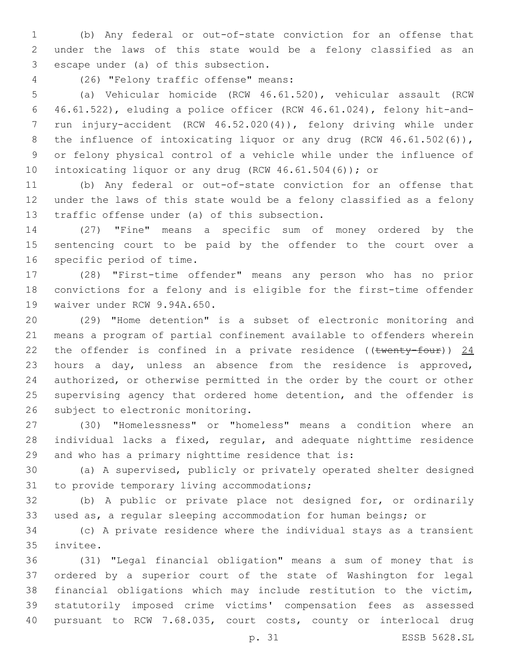(b) Any federal or out-of-state conviction for an offense that under the laws of this state would be a felony classified as an 3 escape under (a) of this subsection.

(26) "Felony traffic offense" means:4

 (a) Vehicular homicide (RCW 46.61.520), vehicular assault (RCW 46.61.522), eluding a police officer (RCW 46.61.024), felony hit-and- run injury-accident (RCW 46.52.020(4)), felony driving while under 8 the influence of intoxicating liquor or any drug (RCW 46.61.502(6)), or felony physical control of a vehicle while under the influence of 10 intoxicating liquor or any drug (RCW 46.61.504(6)); or

 (b) Any federal or out-of-state conviction for an offense that under the laws of this state would be a felony classified as a felony 13 traffic offense under (a) of this subsection.

 (27) "Fine" means a specific sum of money ordered by the sentencing court to be paid by the offender to the court over a 16 specific period of time.

 (28) "First-time offender" means any person who has no prior convictions for a felony and is eligible for the first-time offender 19 waiver under RCW 9.94A.650.

 (29) "Home detention" is a subset of electronic monitoring and means a program of partial confinement available to offenders wherein 22 the offender is confined in a private residence (( $t$ wenty-four)) 24 hours a day, unless an absence from the residence is approved, authorized, or otherwise permitted in the order by the court or other supervising agency that ordered home detention, and the offender is 26 subject to electronic monitoring.

 (30) "Homelessness" or "homeless" means a condition where an individual lacks a fixed, regular, and adequate nighttime residence and who has a primary nighttime residence that is:

 (a) A supervised, publicly or privately operated shelter designed 31 to provide temporary living accommodations;

 (b) A public or private place not designed for, or ordinarily used as, a regular sleeping accommodation for human beings; or

 (c) A private residence where the individual stays as a transient 35 invitee.

 (31) "Legal financial obligation" means a sum of money that is ordered by a superior court of the state of Washington for legal financial obligations which may include restitution to the victim, statutorily imposed crime victims' compensation fees as assessed pursuant to RCW 7.68.035, court costs, county or interlocal drug

p. 31 ESSB 5628.SL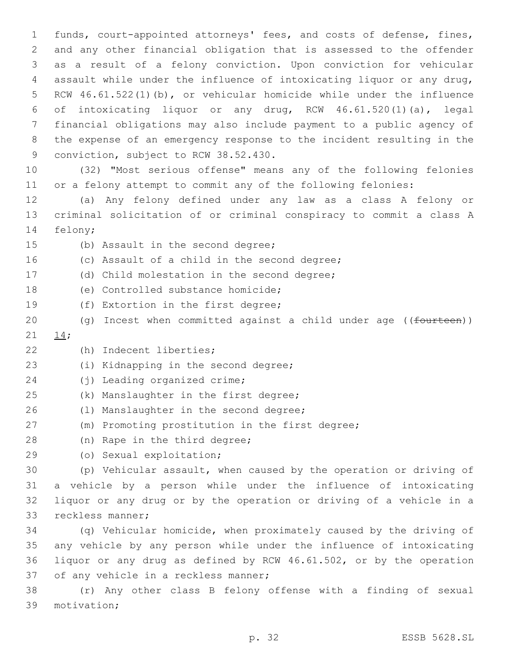funds, court-appointed attorneys' fees, and costs of defense, fines, and any other financial obligation that is assessed to the offender as a result of a felony conviction. Upon conviction for vehicular assault while under the influence of intoxicating liquor or any drug, RCW 46.61.522(1)(b), or vehicular homicide while under the influence of intoxicating liquor or any drug, RCW 46.61.520(1)(a), legal financial obligations may also include payment to a public agency of the expense of an emergency response to the incident resulting in the 9 conviction, subject to RCW 38.52.430.

10 (32) "Most serious offense" means any of the following felonies 11 or a felony attempt to commit any of the following felonies:

12 (a) Any felony defined under any law as a class A felony or 13 criminal solicitation of or criminal conspiracy to commit a class A 14 felony;

15 (b) Assault in the second degree;

16 (c) Assault of a child in the second degree; 17 (d) Child molestation in the second degree; 18 (e) Controlled substance homicide; 19 (f) Extortion in the first degree; 20 (g) Incest when committed against a child under age ((<del>fourteen</del>)) 21  $14;$ (h) Indecent liberties;22 23 (i) Kidnapping in the second degree; 24 (j) Leading organized crime; 25 (k) Manslaughter in the first degree; 26 (1) Manslaughter in the second degree; 27 (m) Promoting prostitution in the first degree; 28 (n) Rape in the third degree; (o) Sexual exploitation;29 30 (p) Vehicular assault, when caused by the operation or driving of 31 a vehicle by a person while under the influence of intoxicating 32 liquor or any drug or by the operation or driving of a vehicle in a 33 reckless manner; 34 (q) Vehicular homicide, when proximately caused by the driving of 35 any vehicle by any person while under the influence of intoxicating 36 liquor or any drug as defined by RCW 46.61.502, or by the operation 37 of any vehicle in a reckless manner; 38 (r) Any other class B felony offense with a finding of sexual

39 motivation;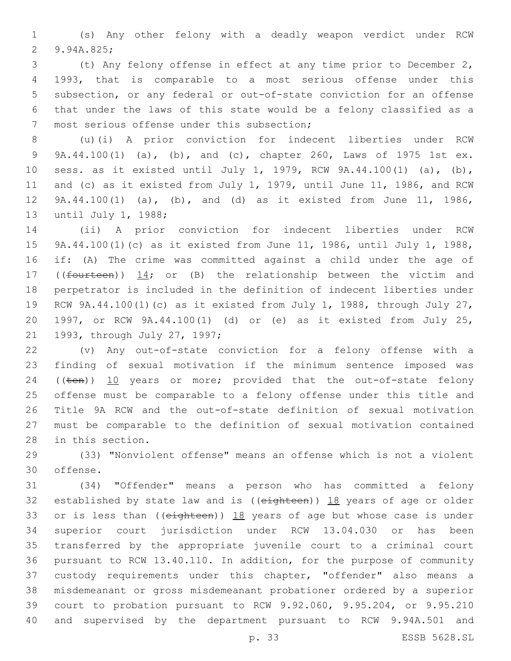(s) Any other felony with a deadly weapon verdict under RCW 2 9.94A.825;

 (t) Any felony offense in effect at any time prior to December 2, 1993, that is comparable to a most serious offense under this subsection, or any federal or out-of-state conviction for an offense that under the laws of this state would be a felony classified as a 7 most serious offense under this subsection;

 (u)(i) A prior conviction for indecent liberties under RCW 9A.44.100(1) (a), (b), and (c), chapter 260, Laws of 1975 1st ex. sess. as it existed until July 1, 1979, RCW 9A.44.100(1) (a), (b), and (c) as it existed from July 1, 1979, until June 11, 1986, and RCW 9A.44.100(1) (a), (b), and (d) as it existed from June 11, 1986, 13 until July 1, 1988;

 (ii) A prior conviction for indecent liberties under RCW 9A.44.100(1)(c) as it existed from June 11, 1986, until July 1, 1988, if: (A) The crime was committed against a child under the age of 17 (( $f$ ourteen))  $14$ ; or (B) the relationship between the victim and perpetrator is included in the definition of indecent liberties under RCW 9A.44.100(1)(c) as it existed from July 1, 1988, through July 27, 1997, or RCW 9A.44.100(1) (d) or (e) as it existed from July 25, 21 1993, through July 27, 1997;

 (v) Any out-of-state conviction for a felony offense with a finding of sexual motivation if the minimum sentence imposed was 24 ((ten)) 10 years or more; provided that the out-of-state felony offense must be comparable to a felony offense under this title and Title 9A RCW and the out-of-state definition of sexual motivation must be comparable to the definition of sexual motivation contained 28 in this section.

 (33) "Nonviolent offense" means an offense which is not a violent 30 offense.

 (34) "Offender" means a person who has committed a felony 32 established by state law and is  $((e\text{-}q\text{-}h\text{-}e\text{-}e\text{-}h))$  18 years of age or older 33 or is less than ( $(e^{i\theta t} + e^{i\theta t})$ ) 18 years of age but whose case is under superior court jurisdiction under RCW 13.04.030 or has been transferred by the appropriate juvenile court to a criminal court pursuant to RCW 13.40.110. In addition, for the purpose of community custody requirements under this chapter, "offender" also means a misdemeanant or gross misdemeanant probationer ordered by a superior court to probation pursuant to RCW 9.92.060, 9.95.204, or 9.95.210 and supervised by the department pursuant to RCW 9.94A.501 and

p. 33 ESSB 5628.SL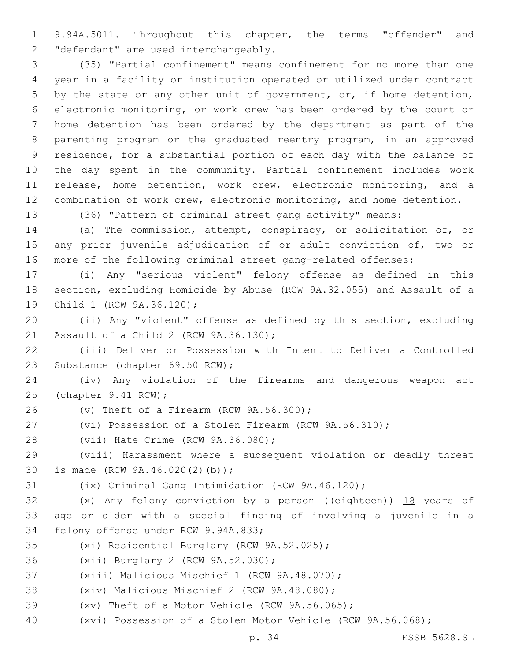9.94A.5011. Throughout this chapter, the terms "offender" and 2 "defendant" are used interchangeably.

 (35) "Partial confinement" means confinement for no more than one year in a facility or institution operated or utilized under contract by the state or any other unit of government, or, if home detention, electronic monitoring, or work crew has been ordered by the court or home detention has been ordered by the department as part of the parenting program or the graduated reentry program, in an approved residence, for a substantial portion of each day with the balance of the day spent in the community. Partial confinement includes work release, home detention, work crew, electronic monitoring, and a combination of work crew, electronic monitoring, and home detention.

(36) "Pattern of criminal street gang activity" means:

 (a) The commission, attempt, conspiracy, or solicitation of, or any prior juvenile adjudication of or adult conviction of, two or more of the following criminal street gang-related offenses:

 (i) Any "serious violent" felony offense as defined in this section, excluding Homicide by Abuse (RCW 9A.32.055) and Assault of a 19 Child 1 (RCW 9A.36.120);

 (ii) Any "violent" offense as defined by this section, excluding 21 Assault of a Child 2 (RCW 9A.36.130);

 (iii) Deliver or Possession with Intent to Deliver a Controlled 23 Substance (chapter 69.50 RCW);

 (iv) Any violation of the firearms and dangerous weapon act 25 (chapter 9.41 RCW);

(v) Theft of a Firearm (RCW  $9A.56.300$ );

(vi) Possession of a Stolen Firearm (RCW 9A.56.310);

28 (vii) Hate Crime (RCW 9A.36.080);

 (viii) Harassment where a subsequent violation or deadly threat 30 is made (RCW 9A.46.020(2)(b));

(ix) Criminal Gang Intimidation (RCW 9A.46.120);

32 (x) Any felony conviction by a person ((eighteen)) 18 years of age or older with a special finding of involving a juvenile in a 34 felony offense under RCW 9.94A.833;

35 (xi) Residential Burglary (RCW 9A.52.025);

36 (xii) Burglary 2 (RCW 9A.52.030);

37 (xiii) Malicious Mischief 1 (RCW 9A.48.070);

38 (xiv) Malicious Mischief 2 (RCW 9A.48.080);

(xv) Theft of a Motor Vehicle (RCW 9A.56.065);

(xvi) Possession of a Stolen Motor Vehicle (RCW 9A.56.068);

p. 34 ESSB 5628.SL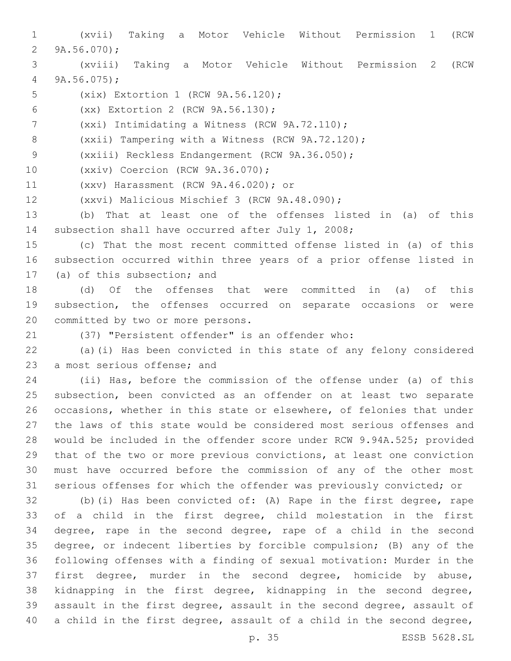(xvii) Taking a Motor Vehicle Without Permission 1 (RCW  $9A.56.070$ ; (xviii) Taking a Motor Vehicle Without Permission 2 (RCW 9A.56.075); 5 (xix) Extortion 1 (RCW 9A.56.120); (xx) Extortion 2 (RCW 9A.56.130);6 7 (xxi) Intimidating a Witness (RCW 9A.72.110); (xxii) Tampering with a Witness (RCW 9A.72.120); 9 (xxiii) Reckless Endangerment (RCW 9A.36.050); 10 (xxiv) Coercion (RCW 9A.36.070); 11 (xxv) Harassment (RCW 9A.46.020); or 12 (xxvi) Malicious Mischief 3 (RCW 9A.48.090); (b) That at least one of the offenses listed in (a) of this subsection shall have occurred after July 1, 2008; (c) That the most recent committed offense listed in (a) of this subsection occurred within three years of a prior offense listed in 17 (a) of this subsection; and (d) Of the offenses that were committed in (a) of this subsection, the offenses occurred on separate occasions or were 20 committed by two or more persons. (37) "Persistent offender" is an offender who: (a)(i) Has been convicted in this state of any felony considered 23 a most serious offense; and (ii) Has, before the commission of the offense under (a) of this subsection, been convicted as an offender on at least two separate occasions, whether in this state or elsewhere, of felonies that under the laws of this state would be considered most serious offenses and would be included in the offender score under RCW 9.94A.525; provided that of the two or more previous convictions, at least one conviction must have occurred before the commission of any of the other most serious offenses for which the offender was previously convicted; or (b)(i) Has been convicted of: (A) Rape in the first degree, rape of a child in the first degree, child molestation in the first degree, rape in the second degree, rape of a child in the second degree, or indecent liberties by forcible compulsion; (B) any of the following offenses with a finding of sexual motivation: Murder in the first degree, murder in the second degree, homicide by abuse, kidnapping in the first degree, kidnapping in the second degree, assault in the first degree, assault in the second degree, assault of

a child in the first degree, assault of a child in the second degree,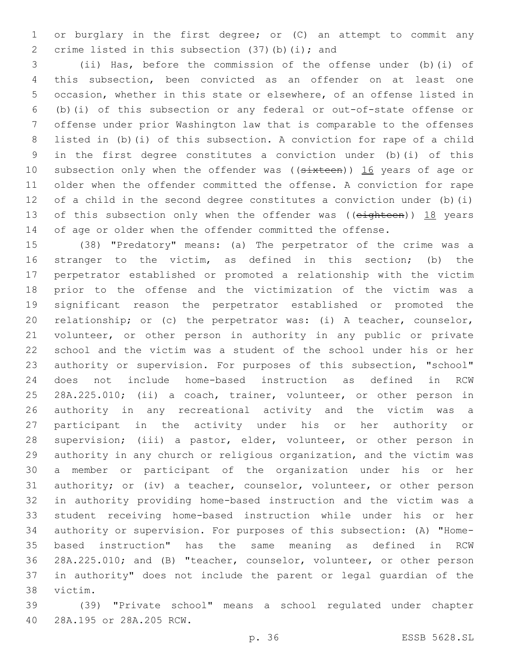or burglary in the first degree; or (C) an attempt to commit any 2 crime listed in this subsection  $(37)$  (b) (i); and

 (ii) Has, before the commission of the offense under (b)(i) of this subsection, been convicted as an offender on at least one occasion, whether in this state or elsewhere, of an offense listed in (b)(i) of this subsection or any federal or out-of-state offense or offense under prior Washington law that is comparable to the offenses listed in (b)(i) of this subsection. A conviction for rape of a child in the first degree constitutes a conviction under (b)(i) of this 10 subsection only when the offender was ((sixteen)) 16 years of age or older when the offender committed the offense. A conviction for rape of a child in the second degree constitutes a conviction under (b)(i) 13 of this subsection only when the offender was ((eighteen)) 18 years of age or older when the offender committed the offense.

 (38) "Predatory" means: (a) The perpetrator of the crime was a stranger to the victim, as defined in this section; (b) the perpetrator established or promoted a relationship with the victim prior to the offense and the victimization of the victim was a significant reason the perpetrator established or promoted the relationship; or (c) the perpetrator was: (i) A teacher, counselor, volunteer, or other person in authority in any public or private school and the victim was a student of the school under his or her authority or supervision. For purposes of this subsection, "school" does not include home-based instruction as defined in RCW 28A.225.010; (ii) a coach, trainer, volunteer, or other person in authority in any recreational activity and the victim was a participant in the activity under his or her authority or supervision; (iii) a pastor, elder, volunteer, or other person in authority in any church or religious organization, and the victim was a member or participant of the organization under his or her authority; or (iv) a teacher, counselor, volunteer, or other person in authority providing home-based instruction and the victim was a student receiving home-based instruction while under his or her authority or supervision. For purposes of this subsection: (A) "Home- based instruction" has the same meaning as defined in RCW 28A.225.010; and (B) "teacher, counselor, volunteer, or other person in authority" does not include the parent or legal guardian of the 38 victim.

 (39) "Private school" means a school regulated under chapter 28A.195 or 28A.205 RCW.40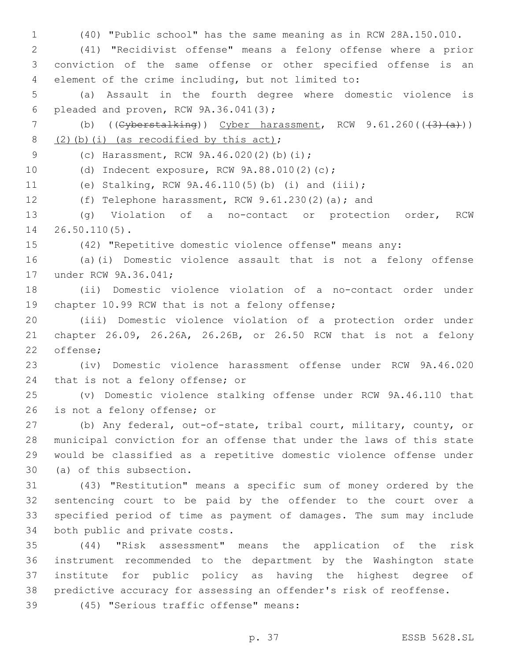(40) "Public school" has the same meaning as in RCW 28A.150.010.

 (41) "Recidivist offense" means a felony offense where a prior conviction of the same offense or other specified offense is an element of the crime including, but not limited to:

 (a) Assault in the fourth degree where domestic violence is 6 pleaded and proven, RCW  $9A.36.041(3)$ ;

7 (b)  $((\text{Cyberstalking}))$  Cyber harassment, RCW  $9.61.260((\text{Cyberstalking}))$  $(2)$  (b)(i) (as recodified by this act);

9 (c) Harassment, RCW 9A.46.020(2)(b)(i);

10 (d) Indecent exposure, RCW 9A.88.010(2)(c);

(e) Stalking, RCW 9A.46.110(5)(b) (i) and (iii);

(f) Telephone harassment, RCW 9.61.230(2)(a); and

 (g) Violation of a no-contact or protection order, RCW 14 26.50.110(5).

(42) "Repetitive domestic violence offense" means any:

 (a)(i) Domestic violence assault that is not a felony offense 17 under RCW 9A.36.041;

 (ii) Domestic violence violation of a no-contact order under 19 chapter 10.99 RCW that is not a felony offense;

 (iii) Domestic violence violation of a protection order under chapter 26.09, 26.26A, 26.26B, or 26.50 RCW that is not a felony 22 offense;

 (iv) Domestic violence harassment offense under RCW 9A.46.020 24 that is not a felony offense; or

 (v) Domestic violence stalking offense under RCW 9A.46.110 that 26 is not a felony offense; or

 (b) Any federal, out-of-state, tribal court, military, county, or municipal conviction for an offense that under the laws of this state would be classified as a repetitive domestic violence offense under 30 (a) of this subsection.

 (43) "Restitution" means a specific sum of money ordered by the sentencing court to be paid by the offender to the court over a specified period of time as payment of damages. The sum may include 34 both public and private costs.

 (44) "Risk assessment" means the application of the risk instrument recommended to the department by the Washington state institute for public policy as having the highest degree of predictive accuracy for assessing an offender's risk of reoffense.

(45) "Serious traffic offense" means:39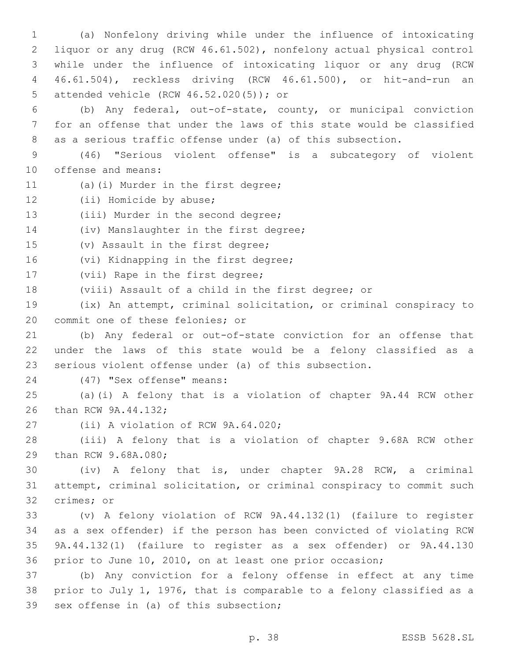(a) Nonfelony driving while under the influence of intoxicating liquor or any drug (RCW 46.61.502), nonfelony actual physical control while under the influence of intoxicating liquor or any drug (RCW 46.61.504), reckless driving (RCW 46.61.500), or hit-and-run an attended vehicle (RCW 46.52.020(5)); or5

6 (b) Any federal, out-of-state, county, or municipal conviction 7 for an offense that under the laws of this state would be classified 8 as a serious traffic offense under (a) of this subsection.

9 (46) "Serious violent offense" is a subcategory of violent 10 offense and means:

- 11 (a)(i) Murder in the first degree;
- 12 (ii) Homicide by abuse;
- 13 (iii) Murder in the second degree;

14 (iv) Manslaughter in the first degree;

15 (v) Assault in the first degree;

16 (vi) Kidnapping in the first degree;

- 17 (vii) Rape in the first degree;
- 18 (viii) Assault of a child in the first degree; or

19 (ix) An attempt, criminal solicitation, or criminal conspiracy to 20 commit one of these felonies; or

21 (b) Any federal or out-of-state conviction for an offense that 22 under the laws of this state would be a felony classified as a 23 serious violent offense under (a) of this subsection.

(47) "Sex offense" means:24

25 (a)(i) A felony that is a violation of chapter 9A.44 RCW other 26 than RCW 9A.44.132;

27 (ii) A violation of RCW 9A.64.020;

28 (iii) A felony that is a violation of chapter 9.68A RCW other 29 than RCW 9.68A.080;

30 (iv) A felony that is, under chapter 9A.28 RCW, a criminal 31 attempt, criminal solicitation, or criminal conspiracy to commit such 32 crimes; or

 (v) A felony violation of RCW 9A.44.132(1) (failure to register as a sex offender) if the person has been convicted of violating RCW 9A.44.132(1) (failure to register as a sex offender) or 9A.44.130 prior to June 10, 2010, on at least one prior occasion;

37 (b) Any conviction for a felony offense in effect at any time 38 prior to July 1, 1976, that is comparable to a felony classified as a 39 sex offense in (a) of this subsection;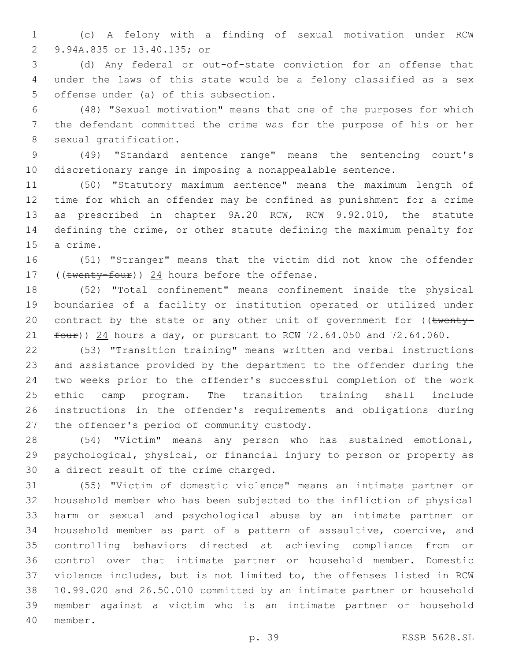(c) A felony with a finding of sexual motivation under RCW 9.94A.835 or 13.40.135; or2

 (d) Any federal or out-of-state conviction for an offense that under the laws of this state would be a felony classified as a sex 5 offense under (a) of this subsection.

 (48) "Sexual motivation" means that one of the purposes for which the defendant committed the crime was for the purpose of his or her 8 sexual gratification.

 (49) "Standard sentence range" means the sentencing court's discretionary range in imposing a nonappealable sentence.

 (50) "Statutory maximum sentence" means the maximum length of time for which an offender may be confined as punishment for a crime as prescribed in chapter 9A.20 RCW, RCW 9.92.010, the statute defining the crime, or other statute defining the maximum penalty for 15 a crime.

 (51) "Stranger" means that the victim did not know the offender 17 (( $t$ wenty-four)) 24 hours before the offense.

 (52) "Total confinement" means confinement inside the physical boundaries of a facility or institution operated or utilized under 20 contract by the state or any other unit of government for  $($  (twenty- $f_{\text{out}}$ )) 24 hours a day, or pursuant to RCW 72.64.050 and 72.64.060.

 (53) "Transition training" means written and verbal instructions and assistance provided by the department to the offender during the two weeks prior to the offender's successful completion of the work ethic camp program. The transition training shall include instructions in the offender's requirements and obligations during 27 the offender's period of community custody.

 (54) "Victim" means any person who has sustained emotional, psychological, physical, or financial injury to person or property as 30 a direct result of the crime charged.

 (55) "Victim of domestic violence" means an intimate partner or household member who has been subjected to the infliction of physical harm or sexual and psychological abuse by an intimate partner or household member as part of a pattern of assaultive, coercive, and controlling behaviors directed at achieving compliance from or control over that intimate partner or household member. Domestic violence includes, but is not limited to, the offenses listed in RCW 10.99.020 and 26.50.010 committed by an intimate partner or household member against a victim who is an intimate partner or household 40 member.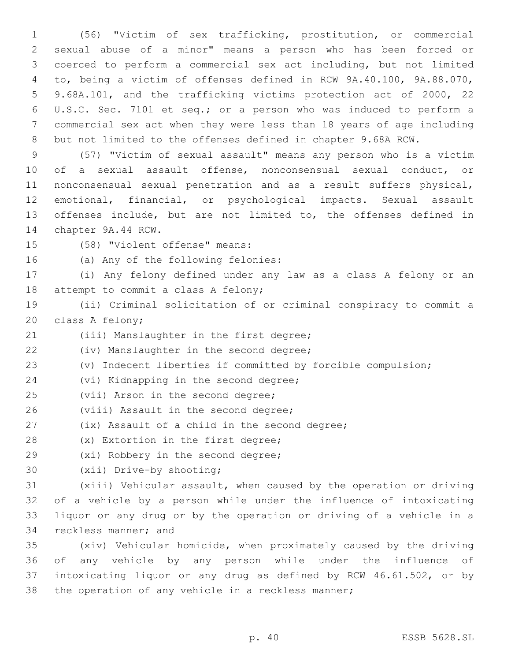(56) "Victim of sex trafficking, prostitution, or commercial sexual abuse of a minor" means a person who has been forced or coerced to perform a commercial sex act including, but not limited to, being a victim of offenses defined in RCW 9A.40.100, 9A.88.070, 9.68A.101, and the trafficking victims protection act of 2000, 22 U.S.C. Sec. 7101 et seq.; or a person who was induced to perform a commercial sex act when they were less than 18 years of age including but not limited to the offenses defined in chapter 9.68A RCW.

 (57) "Victim of sexual assault" means any person who is a victim of a sexual assault offense, nonconsensual sexual conduct, or nonconsensual sexual penetration and as a result suffers physical, emotional, financial, or psychological impacts. Sexual assault offenses include, but are not limited to, the offenses defined in 14 chapter 9A.44 RCW.

15 (58) "Violent offense" means:

16 (a) Any of the following felonies:

17 (i) Any felony defined under any law as a class A felony or an 18 attempt to commit a class A felony;

19 (ii) Criminal solicitation of or criminal conspiracy to commit a 20 class A felony;

21 (iii) Manslaughter in the first degree;

22 (iv) Manslaughter in the second degree;

23 (v) Indecent liberties if committed by forcible compulsion;

24 (vi) Kidnapping in the second degree;

25 (vii) Arson in the second degree;

26 (viii) Assault in the second degree;

27 (ix) Assault of a child in the second degree;

28 (x) Extortion in the first degree;

29 (xi) Robbery in the second degree;

30 (xii) Drive-by shooting;

 (xiii) Vehicular assault, when caused by the operation or driving of a vehicle by a person while under the influence of intoxicating liquor or any drug or by the operation or driving of a vehicle in a 34 reckless manner; and

 (xiv) Vehicular homicide, when proximately caused by the driving of any vehicle by any person while under the influence of intoxicating liquor or any drug as defined by RCW 46.61.502, or by the operation of any vehicle in a reckless manner;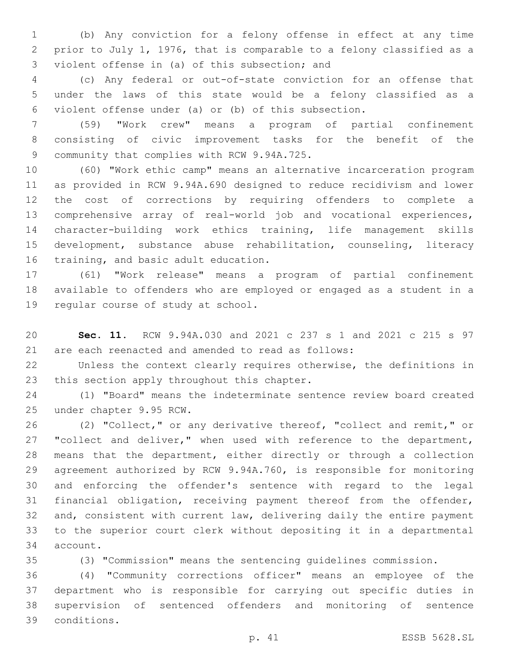(b) Any conviction for a felony offense in effect at any time prior to July 1, 1976, that is comparable to a felony classified as a 3 violent offense in (a) of this subsection; and

 (c) Any federal or out-of-state conviction for an offense that under the laws of this state would be a felony classified as a violent offense under (a) or (b) of this subsection.

 (59) "Work crew" means a program of partial confinement consisting of civic improvement tasks for the benefit of the 9 community that complies with RCW 9.94A.725.

 (60) "Work ethic camp" means an alternative incarceration program as provided in RCW 9.94A.690 designed to reduce recidivism and lower the cost of corrections by requiring offenders to complete a comprehensive array of real-world job and vocational experiences, character-building work ethics training, life management skills development, substance abuse rehabilitation, counseling, literacy 16 training, and basic adult education.

 (61) "Work release" means a program of partial confinement available to offenders who are employed or engaged as a student in a 19 regular course of study at school.

 **Sec. 11.** RCW 9.94A.030 and 2021 c 237 s 1 and 2021 c 215 s 97 are each reenacted and amended to read as follows:

 Unless the context clearly requires otherwise, the definitions in 23 this section apply throughout this chapter.

 (1) "Board" means the indeterminate sentence review board created 25 under chapter 9.95 RCW.

 (2) "Collect," or any derivative thereof, "collect and remit," or 27 "collect and deliver," when used with reference to the department, means that the department, either directly or through a collection agreement authorized by RCW 9.94A.760, is responsible for monitoring and enforcing the offender's sentence with regard to the legal financial obligation, receiving payment thereof from the offender, and, consistent with current law, delivering daily the entire payment to the superior court clerk without depositing it in a departmental 34 account.

(3) "Commission" means the sentencing guidelines commission.

 (4) "Community corrections officer" means an employee of the department who is responsible for carrying out specific duties in supervision of sentenced offenders and monitoring of sentence conditions.39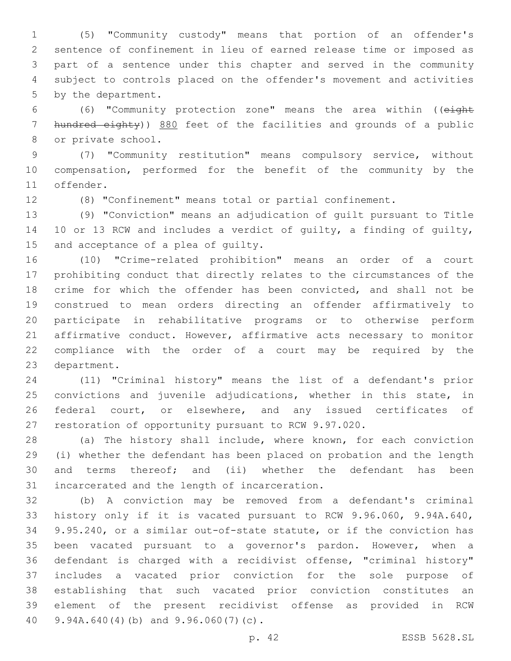(5) "Community custody" means that portion of an offender's sentence of confinement in lieu of earned release time or imposed as part of a sentence under this chapter and served in the community subject to controls placed on the offender's movement and activities 5 by the department.

 (6) "Community protection zone" means the area within ((eight 7 hundred eighty)) 880 feet of the facilities and grounds of a public 8 or private school.

 (7) "Community restitution" means compulsory service, without compensation, performed for the benefit of the community by the 11 offender.

(8) "Confinement" means total or partial confinement.

 (9) "Conviction" means an adjudication of guilt pursuant to Title 10 or 13 RCW and includes a verdict of guilty, a finding of guilty, 15 and acceptance of a plea of quilty.

 (10) "Crime-related prohibition" means an order of a court prohibiting conduct that directly relates to the circumstances of the crime for which the offender has been convicted, and shall not be construed to mean orders directing an offender affirmatively to participate in rehabilitative programs or to otherwise perform affirmative conduct. However, affirmative acts necessary to monitor compliance with the order of a court may be required by the 23 department.

 (11) "Criminal history" means the list of a defendant's prior convictions and juvenile adjudications, whether in this state, in 26 federal court, or elsewhere, and any issued certificates of restoration of opportunity pursuant to RCW 9.97.020.

 (a) The history shall include, where known, for each conviction (i) whether the defendant has been placed on probation and the length and terms thereof; and (ii) whether the defendant has been 31 incarcerated and the length of incarceration.

 (b) A conviction may be removed from a defendant's criminal history only if it is vacated pursuant to RCW 9.96.060, 9.94A.640, 9.95.240, or a similar out-of-state statute, or if the conviction has been vacated pursuant to a governor's pardon. However, when a defendant is charged with a recidivist offense, "criminal history" includes a vacated prior conviction for the sole purpose of establishing that such vacated prior conviction constitutes an element of the present recidivist offense as provided in RCW  $9.94A.640(4)(b)$  and  $9.96.060(7)(c)$ .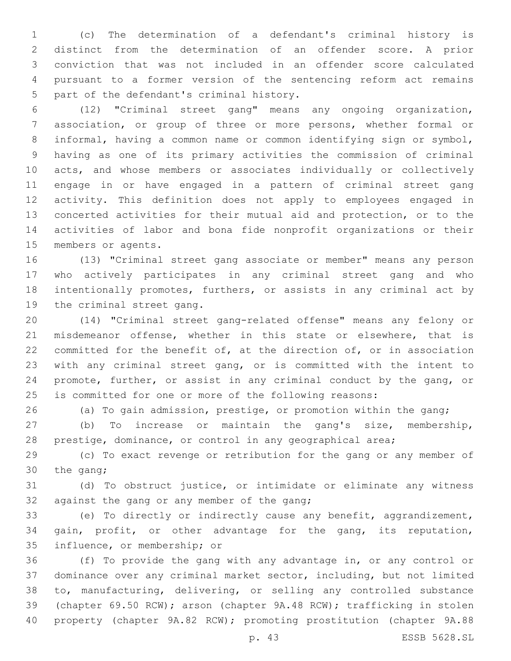(c) The determination of a defendant's criminal history is distinct from the determination of an offender score. A prior conviction that was not included in an offender score calculated pursuant to a former version of the sentencing reform act remains 5 part of the defendant's criminal history.

 (12) "Criminal street gang" means any ongoing organization, association, or group of three or more persons, whether formal or informal, having a common name or common identifying sign or symbol, having as one of its primary activities the commission of criminal acts, and whose members or associates individually or collectively engage in or have engaged in a pattern of criminal street gang activity. This definition does not apply to employees engaged in concerted activities for their mutual aid and protection, or to the activities of labor and bona fide nonprofit organizations or their 15 members or agents.

 (13) "Criminal street gang associate or member" means any person who actively participates in any criminal street gang and who intentionally promotes, furthers, or assists in any criminal act by 19 the criminal street gang.

 (14) "Criminal street gang-related offense" means any felony or misdemeanor offense, whether in this state or elsewhere, that is committed for the benefit of, at the direction of, or in association with any criminal street gang, or is committed with the intent to promote, further, or assist in any criminal conduct by the gang, or is committed for one or more of the following reasons:

(a) To gain admission, prestige, or promotion within the gang;

 (b) To increase or maintain the gang's size, membership, prestige, dominance, or control in any geographical area;

 (c) To exact revenge or retribution for the gang or any member of 30 the gang;

 (d) To obstruct justice, or intimidate or eliminate any witness 32 against the gang or any member of the gang;

 (e) To directly or indirectly cause any benefit, aggrandizement, gain, profit, or other advantage for the gang, its reputation, 35 influence, or membership; or

 (f) To provide the gang with any advantage in, or any control or dominance over any criminal market sector, including, but not limited to, manufacturing, delivering, or selling any controlled substance (chapter 69.50 RCW); arson (chapter 9A.48 RCW); trafficking in stolen property (chapter 9A.82 RCW); promoting prostitution (chapter 9A.88

p. 43 ESSB 5628.SL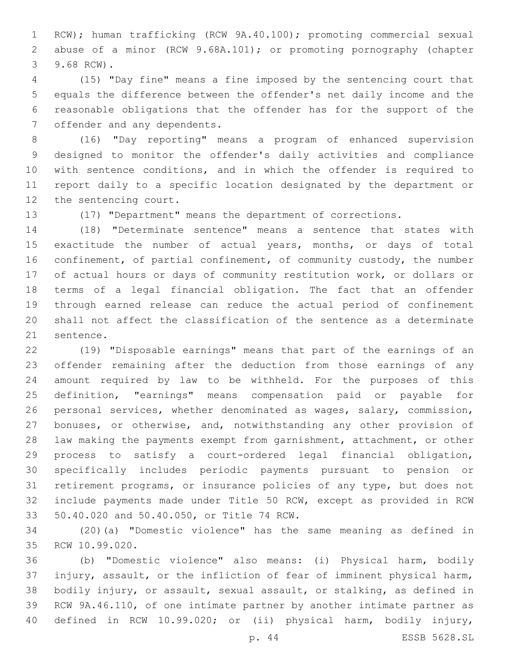RCW); human trafficking (RCW 9A.40.100); promoting commercial sexual abuse of a minor (RCW 9.68A.101); or promoting pornography (chapter 3 9.68 RCW).

 (15) "Day fine" means a fine imposed by the sentencing court that equals the difference between the offender's net daily income and the reasonable obligations that the offender has for the support of the 7 offender and any dependents.

 (16) "Day reporting" means a program of enhanced supervision designed to monitor the offender's daily activities and compliance with sentence conditions, and in which the offender is required to report daily to a specific location designated by the department or 12 the sentencing court.

(17) "Department" means the department of corrections.

 (18) "Determinate sentence" means a sentence that states with exactitude the number of actual years, months, or days of total 16 confinement, of partial confinement, of community custody, the number of actual hours or days of community restitution work, or dollars or terms of a legal financial obligation. The fact that an offender through earned release can reduce the actual period of confinement shall not affect the classification of the sentence as a determinate 21 sentence.

 (19) "Disposable earnings" means that part of the earnings of an offender remaining after the deduction from those earnings of any amount required by law to be withheld. For the purposes of this definition, "earnings" means compensation paid or payable for personal services, whether denominated as wages, salary, commission, bonuses, or otherwise, and, notwithstanding any other provision of law making the payments exempt from garnishment, attachment, or other process to satisfy a court-ordered legal financial obligation, specifically includes periodic payments pursuant to pension or retirement programs, or insurance policies of any type, but does not include payments made under Title 50 RCW, except as provided in RCW 33 50.40.020 and 50.40.050, or Title 74 RCW.

 (20)(a) "Domestic violence" has the same meaning as defined in 35 RCW 10.99.020.

 (b) "Domestic violence" also means: (i) Physical harm, bodily injury, assault, or the infliction of fear of imminent physical harm, bodily injury, or assault, sexual assault, or stalking, as defined in RCW 9A.46.110, of one intimate partner by another intimate partner as defined in RCW 10.99.020; or (ii) physical harm, bodily injury,

p. 44 ESSB 5628.SL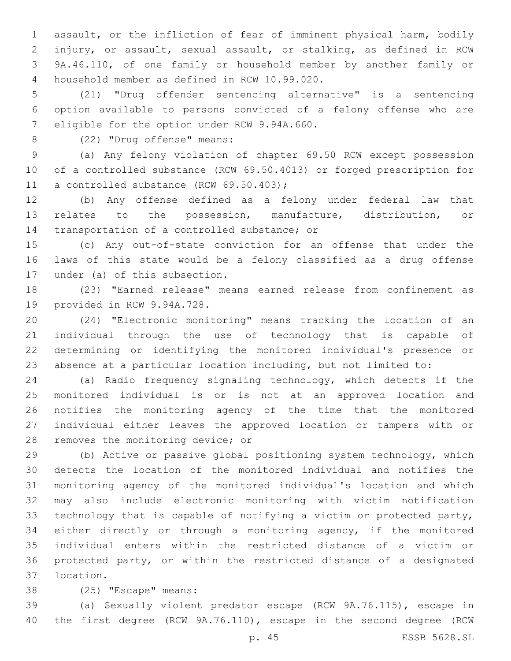assault, or the infliction of fear of imminent physical harm, bodily injury, or assault, sexual assault, or stalking, as defined in RCW 9A.46.110, of one family or household member by another family or household member as defined in RCW 10.99.020.4

 (21) "Drug offender sentencing alternative" is a sentencing option available to persons convicted of a felony offense who are 7 eligible for the option under RCW 9.94A.660.

8 (22) "Drug offense" means:

 (a) Any felony violation of chapter 69.50 RCW except possession of a controlled substance (RCW 69.50.4013) or forged prescription for 11 a controlled substance (RCW 69.50.403);

 (b) Any offense defined as a felony under federal law that relates to the possession, manufacture, distribution, or 14 transportation of a controlled substance; or

 (c) Any out-of-state conviction for an offense that under the laws of this state would be a felony classified as a drug offense 17 under (a) of this subsection.

 (23) "Earned release" means earned release from confinement as 19 provided in RCW 9.94A.728.

 (24) "Electronic monitoring" means tracking the location of an individual through the use of technology that is capable of determining or identifying the monitored individual's presence or absence at a particular location including, but not limited to:

 (a) Radio frequency signaling technology, which detects if the monitored individual is or is not at an approved location and notifies the monitoring agency of the time that the monitored individual either leaves the approved location or tampers with or 28 removes the monitoring device; or

 (b) Active or passive global positioning system technology, which detects the location of the monitored individual and notifies the monitoring agency of the monitored individual's location and which may also include electronic monitoring with victim notification technology that is capable of notifying a victim or protected party, either directly or through a monitoring agency, if the monitored individual enters within the restricted distance of a victim or protected party, or within the restricted distance of a designated location.37

38 (25) "Escape" means:

 (a) Sexually violent predator escape (RCW 9A.76.115), escape in the first degree (RCW 9A.76.110), escape in the second degree (RCW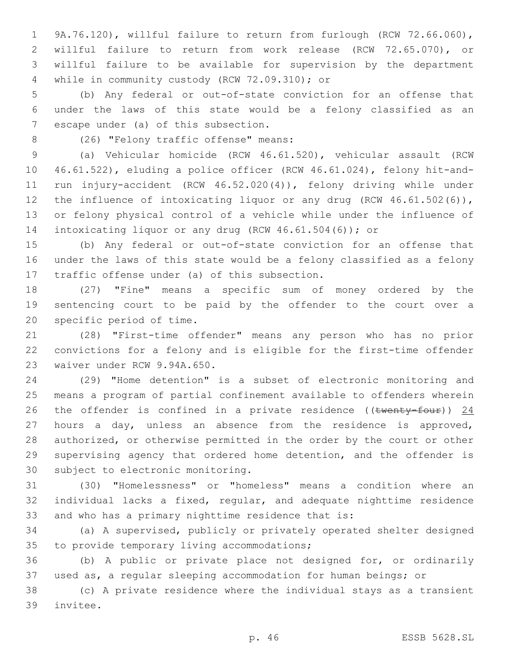9A.76.120), willful failure to return from furlough (RCW 72.66.060), willful failure to return from work release (RCW 72.65.070), or willful failure to be available for supervision by the department 4 while in community custody (RCW 72.09.310); or

 (b) Any federal or out-of-state conviction for an offense that under the laws of this state would be a felony classified as an 7 escape under (a) of this subsection.

8 (26) "Felony traffic offense" means:

 (a) Vehicular homicide (RCW 46.61.520), vehicular assault (RCW 46.61.522), eluding a police officer (RCW 46.61.024), felony hit-and- run injury-accident (RCW 46.52.020(4)), felony driving while under 12 the influence of intoxicating liquor or any drug (RCW 46.61.502(6)), or felony physical control of a vehicle while under the influence of intoxicating liquor or any drug (RCW 46.61.504(6)); or

 (b) Any federal or out-of-state conviction for an offense that under the laws of this state would be a felony classified as a felony 17 traffic offense under (a) of this subsection.

 (27) "Fine" means a specific sum of money ordered by the sentencing court to be paid by the offender to the court over a 20 specific period of time.

 (28) "First-time offender" means any person who has no prior convictions for a felony and is eligible for the first-time offender 23 waiver under RCW 9.94A.650.

 (29) "Home detention" is a subset of electronic monitoring and means a program of partial confinement available to offenders wherein 26 the offender is confined in a private residence (( $t$ wenty-four)) 24 hours a day, unless an absence from the residence is approved, authorized, or otherwise permitted in the order by the court or other supervising agency that ordered home detention, and the offender is 30 subject to electronic monitoring.

 (30) "Homelessness" or "homeless" means a condition where an individual lacks a fixed, regular, and adequate nighttime residence and who has a primary nighttime residence that is:

 (a) A supervised, publicly or privately operated shelter designed 35 to provide temporary living accommodations;

 (b) A public or private place not designed for, or ordinarily used as, a regular sleeping accommodation for human beings; or

 (c) A private residence where the individual stays as a transient 39 invitee.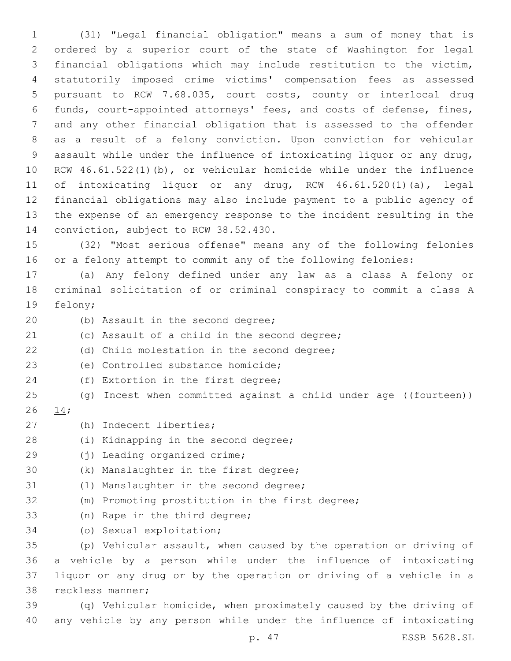(31) "Legal financial obligation" means a sum of money that is ordered by a superior court of the state of Washington for legal financial obligations which may include restitution to the victim, statutorily imposed crime victims' compensation fees as assessed pursuant to RCW 7.68.035, court costs, county or interlocal drug funds, court-appointed attorneys' fees, and costs of defense, fines, and any other financial obligation that is assessed to the offender as a result of a felony conviction. Upon conviction for vehicular assault while under the influence of intoxicating liquor or any drug, RCW 46.61.522(1)(b), or vehicular homicide while under the influence of intoxicating liquor or any drug, RCW 46.61.520(1)(a), legal financial obligations may also include payment to a public agency of the expense of an emergency response to the incident resulting in the 14 conviction, subject to RCW 38.52.430.

15 (32) "Most serious offense" means any of the following felonies 16 or a felony attempt to commit any of the following felonies:

17 (a) Any felony defined under any law as a class A felony or 18 criminal solicitation of or criminal conspiracy to commit a class A 19 felony;

- 20 (b) Assault in the second degree;
- 21 (c) Assault of a child in the second degree;
- (d) Child molestation in the second degree;
- (e) Controlled substance homicide;23
- 24 (f) Extortion in the first degree;
- 25 (g) Incest when committed against a child under age ((fourteen))
- 26 14;
- (h) Indecent liberties;27
- 28 (i) Kidnapping in the second degree;
- 29 (i) Leading organized crime;
- 30 (k) Manslaughter in the first degree;
- 31 (1) Manslaughter in the second degree;
- 32 (m) Promoting prostitution in the first degree;
- 33 (n) Rape in the third degree;
- 34 (o) Sexual exploitation;

 (p) Vehicular assault, when caused by the operation or driving of a vehicle by a person while under the influence of intoxicating liquor or any drug or by the operation or driving of a vehicle in a 38 reckless manner;

39 (q) Vehicular homicide, when proximately caused by the driving of 40 any vehicle by any person while under the influence of intoxicating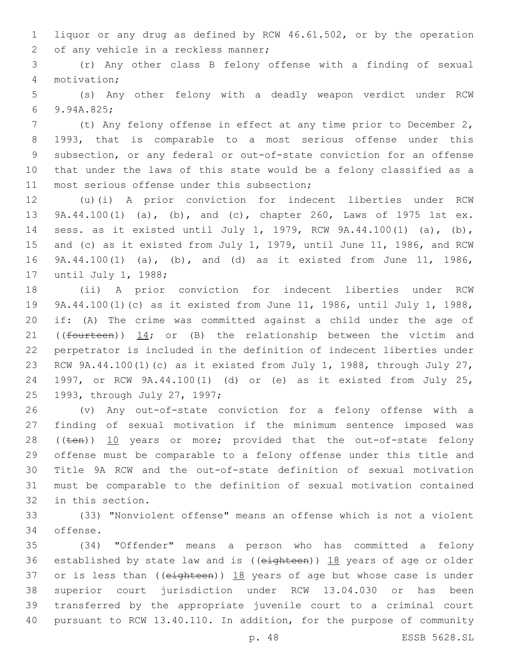liquor or any drug as defined by RCW 46.61.502, or by the operation 2 of any vehicle in a reckless manner;

 (r) Any other class B felony offense with a finding of sexual motivation;4

 (s) Any other felony with a deadly weapon verdict under RCW 9.94A.825;6

 (t) Any felony offense in effect at any time prior to December 2, 1993, that is comparable to a most serious offense under this subsection, or any federal or out-of-state conviction for an offense that under the laws of this state would be a felony classified as a 11 most serious offense under this subsection;

 (u)(i) A prior conviction for indecent liberties under RCW 9A.44.100(1) (a), (b), and (c), chapter 260, Laws of 1975 1st ex. sess. as it existed until July 1, 1979, RCW 9A.44.100(1) (a), (b), and (c) as it existed from July 1, 1979, until June 11, 1986, and RCW 9A.44.100(1) (a), (b), and (d) as it existed from June 11, 1986, 17 until July 1, 1988;

 (ii) A prior conviction for indecent liberties under RCW 9A.44.100(1)(c) as it existed from June 11, 1986, until July 1, 1988, if: (A) The crime was committed against a child under the age of 21 (( $f$ ourteen))  $14$ ; or (B) the relationship between the victim and perpetrator is included in the definition of indecent liberties under RCW 9A.44.100(1)(c) as it existed from July 1, 1988, through July 27, 1997, or RCW 9A.44.100(1) (d) or (e) as it existed from July 25, 25 1993, through July 27, 1997;

 (v) Any out-of-state conviction for a felony offense with a finding of sexual motivation if the minimum sentence imposed was 28 ((ten)) 10 years or more; provided that the out-of-state felony offense must be comparable to a felony offense under this title and Title 9A RCW and the out-of-state definition of sexual motivation must be comparable to the definition of sexual motivation contained 32 in this section.

 (33) "Nonviolent offense" means an offense which is not a violent 34 offense.

 (34) "Offender" means a person who has committed a felony 36 established by state law and is ((eighteen)) 18 years of age or older 37 or is less than ( $(e^{i\theta t} + e^{i\theta t})$ )  $18$  years of age but whose case is under superior court jurisdiction under RCW 13.04.030 or has been transferred by the appropriate juvenile court to a criminal court pursuant to RCW 13.40.110. In addition, for the purpose of community

p. 48 ESSB 5628.SL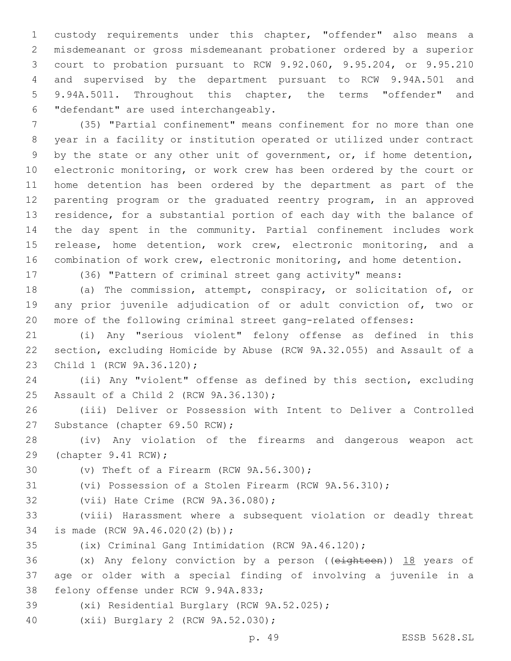custody requirements under this chapter, "offender" also means a misdemeanant or gross misdemeanant probationer ordered by a superior court to probation pursuant to RCW 9.92.060, 9.95.204, or 9.95.210 and supervised by the department pursuant to RCW 9.94A.501 and 9.94A.5011. Throughout this chapter, the terms "offender" and "defendant" are used interchangeably.6

 (35) "Partial confinement" means confinement for no more than one year in a facility or institution operated or utilized under contract by the state or any other unit of government, or, if home detention, electronic monitoring, or work crew has been ordered by the court or home detention has been ordered by the department as part of the parenting program or the graduated reentry program, in an approved residence, for a substantial portion of each day with the balance of the day spent in the community. Partial confinement includes work release, home detention, work crew, electronic monitoring, and a combination of work crew, electronic monitoring, and home detention.

(36) "Pattern of criminal street gang activity" means:

 (a) The commission, attempt, conspiracy, or solicitation of, or any prior juvenile adjudication of or adult conviction of, two or more of the following criminal street gang-related offenses:

 (i) Any "serious violent" felony offense as defined in this section, excluding Homicide by Abuse (RCW 9A.32.055) and Assault of a 23 Child 1 (RCW 9A.36.120);

 (ii) Any "violent" offense as defined by this section, excluding 25 Assault of a Child 2 (RCW 9A.36.130);

 (iii) Deliver or Possession with Intent to Deliver a Controlled 27 Substance (chapter 69.50 RCW);

 (iv) Any violation of the firearms and dangerous weapon act 29 (chapter 9.41 RCW);

 $(0)$  Theft of a Firearm (RCW  $9A.56.300$ );

(vi) Possession of a Stolen Firearm (RCW 9A.56.310);

32 (vii) Hate Crime (RCW 9A.36.080);

 (viii) Harassment where a subsequent violation or deadly threat 34 is made (RCW 9A.46.020(2)(b));

(ix) Criminal Gang Intimidation (RCW 9A.46.120);

36 (x) Any felony conviction by a person ((eighteen)) 18 years of age or older with a special finding of involving a juvenile in a 38 felony offense under RCW 9.94A.833;

39 (xi) Residential Burglary (RCW 9A.52.025);

40 (xii) Burglary 2 (RCW 9A.52.030);

p. 49 ESSB 5628.SL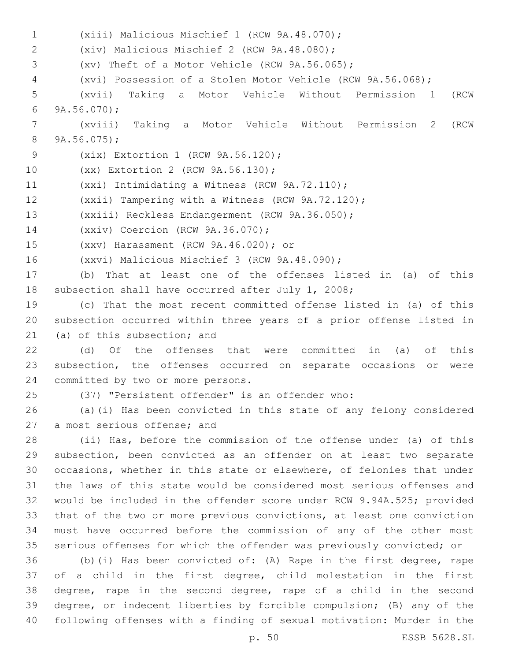(xiii) Malicious Mischief 1 (RCW 9A.48.070);1 (xiv) Malicious Mischief 2 (RCW 9A.48.080);2 3 (xv) Theft of a Motor Vehicle (RCW 9A.56.065); (xvi) Possession of a Stolen Motor Vehicle (RCW 9A.56.068); (xvii) Taking a Motor Vehicle Without Permission 1 (RCW  $9A.56.070$ ; (xviii) Taking a Motor Vehicle Without Permission 2 (RCW  $8\qquad 9A.56.075$ ; 9 (xix) Extortion 1 (RCW 9A.56.120); 10 (xx) Extortion 2 (RCW 9A.56.130);  $(xxi)$  Intimidating a Witness (RCW 9A.72.110); (xxii) Tampering with a Witness (RCW 9A.72.120); (xxiii) Reckless Endangerment (RCW 9A.36.050); 14 (xxiv) Coercion (RCW 9A.36.070); (xxv) Harassment (RCW 9A.46.020); or15 16 (xxvi) Malicious Mischief 3 (RCW 9A.48.090); (b) That at least one of the offenses listed in (a) of this subsection shall have occurred after July 1, 2008; (c) That the most recent committed offense listed in (a) of this subsection occurred within three years of a prior offense listed in 21 (a) of this subsection; and (d) Of the offenses that were committed in (a) of this subsection, the offenses occurred on separate occasions or were 24 committed by two or more persons. (37) "Persistent offender" is an offender who: (a)(i) Has been convicted in this state of any felony considered 27 a most serious offense; and (ii) Has, before the commission of the offense under (a) of this subsection, been convicted as an offender on at least two separate occasions, whether in this state or elsewhere, of felonies that under the laws of this state would be considered most serious offenses and would be included in the offender score under RCW 9.94A.525; provided that of the two or more previous convictions, at least one conviction must have occurred before the commission of any of the other most serious offenses for which the offender was previously convicted; or (b)(i) Has been convicted of: (A) Rape in the first degree, rape of a child in the first degree, child molestation in the first degree, rape in the second degree, rape of a child in the second degree, or indecent liberties by forcible compulsion; (B) any of the following offenses with a finding of sexual motivation: Murder in the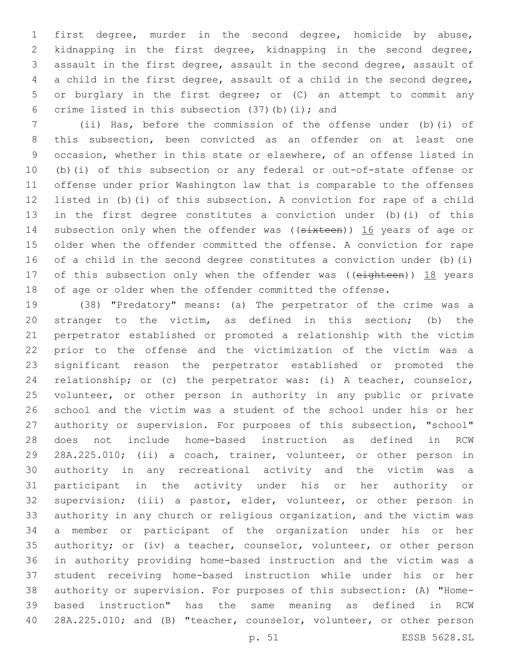first degree, murder in the second degree, homicide by abuse, kidnapping in the first degree, kidnapping in the second degree, assault in the first degree, assault in the second degree, assault of a child in the first degree, assault of a child in the second degree, or burglary in the first degree; or (C) an attempt to commit any 6 crime listed in this subsection  $(37)$  (b) (i); and

 (ii) Has, before the commission of the offense under (b)(i) of this subsection, been convicted as an offender on at least one occasion, whether in this state or elsewhere, of an offense listed in (b)(i) of this subsection or any federal or out-of-state offense or offense under prior Washington law that is comparable to the offenses listed in (b)(i) of this subsection. A conviction for rape of a child in the first degree constitutes a conviction under (b)(i) of this 14 subsection only when the offender was ((sixteen)) 16 years of age or older when the offender committed the offense. A conviction for rape of a child in the second degree constitutes a conviction under (b)(i) 17 of this subsection only when the offender was ((eighteen)) 18 years of age or older when the offender committed the offense.

 (38) "Predatory" means: (a) The perpetrator of the crime was a stranger to the victim, as defined in this section; (b) the perpetrator established or promoted a relationship with the victim prior to the offense and the victimization of the victim was a significant reason the perpetrator established or promoted the relationship; or (c) the perpetrator was: (i) A teacher, counselor, volunteer, or other person in authority in any public or private school and the victim was a student of the school under his or her authority or supervision. For purposes of this subsection, "school" does not include home-based instruction as defined in RCW 28A.225.010; (ii) a coach, trainer, volunteer, or other person in authority in any recreational activity and the victim was a participant in the activity under his or her authority or supervision; (iii) a pastor, elder, volunteer, or other person in authority in any church or religious organization, and the victim was a member or participant of the organization under his or her authority; or (iv) a teacher, counselor, volunteer, or other person in authority providing home-based instruction and the victim was a student receiving home-based instruction while under his or her authority or supervision. For purposes of this subsection: (A) "Home- based instruction" has the same meaning as defined in RCW 28A.225.010; and (B) "teacher, counselor, volunteer, or other person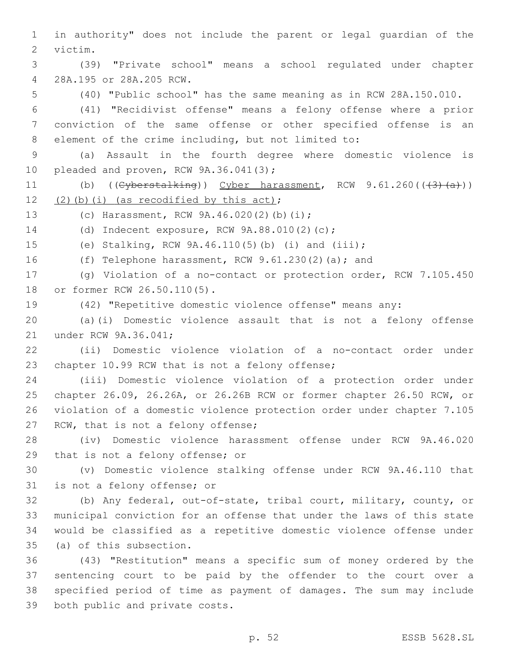in authority" does not include the parent or legal guardian of the victim.2 (39) "Private school" means a school regulated under chapter 28A.195 or 28A.205 RCW.4 (40) "Public school" has the same meaning as in RCW 28A.150.010. (41) "Recidivist offense" means a felony offense where a prior conviction of the same offense or other specified offense is an element of the crime including, but not limited to: (a) Assault in the fourth degree where domestic violence is 10 pleaded and proven, RCW 9A.36.041(3); 11 (b)  $(\text{Cyberstalking})$  Cyber harassment, RCW 9.61.260 $((+3)+(a))$  $(2)(b)(i)$  (as recodified by this act); 13 (c) Harassment, RCW 9A.46.020(2)(b)(i); 14 (d) Indecent exposure, RCW 9A.88.010(2)(c); (e) Stalking, RCW 9A.46.110(5)(b) (i) and (iii); (f) Telephone harassment, RCW 9.61.230(2)(a); and (g) Violation of a no-contact or protection order, RCW 7.105.450 18 or former RCW 26.50.110(5). (42) "Repetitive domestic violence offense" means any: (a)(i) Domestic violence assault that is not a felony offense 21 under RCW 9A.36.041; (ii) Domestic violence violation of a no-contact order under 23 chapter 10.99 RCW that is not a felony offense; (iii) Domestic violence violation of a protection order under chapter 26.09, 26.26A, or 26.26B RCW or former chapter 26.50 RCW, or violation of a domestic violence protection order under chapter 7.105 27 RCW, that is not a felony offense; (iv) Domestic violence harassment offense under RCW 9A.46.020 29 that is not a felony offense; or (v) Domestic violence stalking offense under RCW 9A.46.110 that 31 is not a felony offense; or (b) Any federal, out-of-state, tribal court, military, county, or municipal conviction for an offense that under the laws of this state would be classified as a repetitive domestic violence offense under 35 (a) of this subsection. (43) "Restitution" means a specific sum of money ordered by the sentencing court to be paid by the offender to the court over a specified period of time as payment of damages. The sum may include 39 both public and private costs.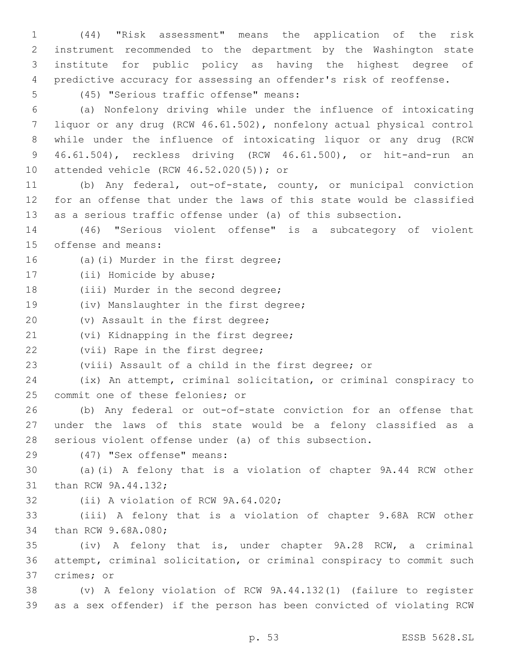(44) "Risk assessment" means the application of the risk instrument recommended to the department by the Washington state institute for public policy as having the highest degree of predictive accuracy for assessing an offender's risk of reoffense.

(45) "Serious traffic offense" means:5

 (a) Nonfelony driving while under the influence of intoxicating liquor or any drug (RCW 46.61.502), nonfelony actual physical control while under the influence of intoxicating liquor or any drug (RCW 46.61.504), reckless driving (RCW 46.61.500), or hit-and-run an 10 attended vehicle (RCW 46.52.020(5)); or

11 (b) Any federal, out-of-state, county, or municipal conviction 12 for an offense that under the laws of this state would be classified 13 as a serious traffic offense under (a) of this subsection.

14 (46) "Serious violent offense" is a subcategory of violent 15 offense and means:

16 (a)(i) Murder in the first degree;

17 (ii) Homicide by abuse;

18 (iii) Murder in the second degree;

19 (iv) Manslaughter in the first degree;

20 (v) Assault in the first degree;

21 (vi) Kidnapping in the first degree;

22 (vii) Rape in the first degree;

23 (viii) Assault of a child in the first degree; or

24 (ix) An attempt, criminal solicitation, or criminal conspiracy to 25 commit one of these felonies; or

26 (b) Any federal or out-of-state conviction for an offense that 27 under the laws of this state would be a felony classified as a 28 serious violent offense under (a) of this subsection.

(47) "Sex offense" means:29

30 (a)(i) A felony that is a violation of chapter 9A.44 RCW other 31 than RCW 9A.44.132;

32 (ii) A violation of RCW 9A.64.020;

33 (iii) A felony that is a violation of chapter 9.68A RCW other 34 than RCW 9.68A.080;

35 (iv) A felony that is, under chapter 9A.28 RCW, a criminal 36 attempt, criminal solicitation, or criminal conspiracy to commit such 37 crimes; or

38 (v) A felony violation of RCW 9A.44.132(1) (failure to register 39 as a sex offender) if the person has been convicted of violating RCW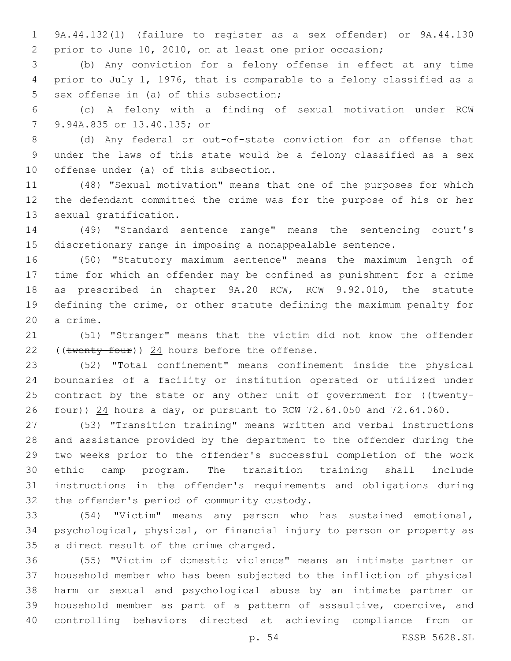9A.44.132(1) (failure to register as a sex offender) or 9A.44.130 prior to June 10, 2010, on at least one prior occasion;

 (b) Any conviction for a felony offense in effect at any time prior to July 1, 1976, that is comparable to a felony classified as a 5 sex offense in (a) of this subsection;

 (c) A felony with a finding of sexual motivation under RCW 7 9.94A.835 or 13.40.135; or

 (d) Any federal or out-of-state conviction for an offense that under the laws of this state would be a felony classified as a sex 10 offense under (a) of this subsection.

 (48) "Sexual motivation" means that one of the purposes for which the defendant committed the crime was for the purpose of his or her 13 sexual gratification.

 (49) "Standard sentence range" means the sentencing court's discretionary range in imposing a nonappealable sentence.

 (50) "Statutory maximum sentence" means the maximum length of time for which an offender may be confined as punishment for a crime as prescribed in chapter 9A.20 RCW, RCW 9.92.010, the statute defining the crime, or other statute defining the maximum penalty for 20 a crime.

 (51) "Stranger" means that the victim did not know the offender 22 (( $t$ wenty-four)) 24 hours before the offense.

 (52) "Total confinement" means confinement inside the physical boundaries of a facility or institution operated or utilized under 25 contract by the state or any other unit of government for ((twenty- $f_{\text{out}}$ )) 24 hours a day, or pursuant to RCW 72.64.050 and 72.64.060.

 (53) "Transition training" means written and verbal instructions and assistance provided by the department to the offender during the two weeks prior to the offender's successful completion of the work ethic camp program. The transition training shall include instructions in the offender's requirements and obligations during 32 the offender's period of community custody.

 (54) "Victim" means any person who has sustained emotional, psychological, physical, or financial injury to person or property as 35 a direct result of the crime charged.

 (55) "Victim of domestic violence" means an intimate partner or household member who has been subjected to the infliction of physical harm or sexual and psychological abuse by an intimate partner or household member as part of a pattern of assaultive, coercive, and controlling behaviors directed at achieving compliance from or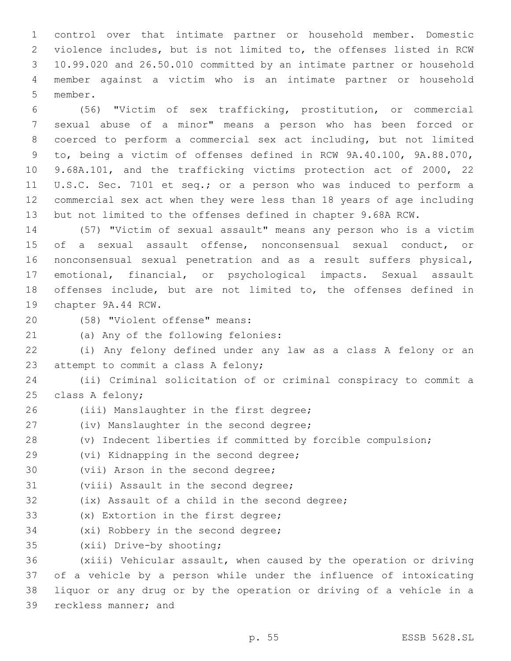control over that intimate partner or household member. Domestic violence includes, but is not limited to, the offenses listed in RCW 10.99.020 and 26.50.010 committed by an intimate partner or household member against a victim who is an intimate partner or household 5 member.

 (56) "Victim of sex trafficking, prostitution, or commercial sexual abuse of a minor" means a person who has been forced or coerced to perform a commercial sex act including, but not limited to, being a victim of offenses defined in RCW 9A.40.100, 9A.88.070, 9.68A.101, and the trafficking victims protection act of 2000, 22 U.S.C. Sec. 7101 et seq.; or a person who was induced to perform a commercial sex act when they were less than 18 years of age including but not limited to the offenses defined in chapter 9.68A RCW.

 (57) "Victim of sexual assault" means any person who is a victim of a sexual assault offense, nonconsensual sexual conduct, or nonconsensual sexual penetration and as a result suffers physical, emotional, financial, or psychological impacts. Sexual assault offenses include, but are not limited to, the offenses defined in 19 chapter 9A.44 RCW.

(58) "Violent offense" means:20

21 (a) Any of the following felonies:

22 (i) Any felony defined under any law as a class A felony or an 23 attempt to commit a class A felony;

24 (ii) Criminal solicitation of or criminal conspiracy to commit a 25 class A felony;

26 (iii) Manslaughter in the first degree;

27 (iv) Manslaughter in the second degree;

28 (v) Indecent liberties if committed by forcible compulsion;

29 (vi) Kidnapping in the second degree;

30 (vii) Arson in the second degree;

31 (viii) Assault in the second degree;

32 (ix) Assault of a child in the second degree;

33 (x) Extortion in the first degree;

34 (xi) Robbery in the second degree;

35 (xii) Drive-by shooting;

 (xiii) Vehicular assault, when caused by the operation or driving of a vehicle by a person while under the influence of intoxicating liquor or any drug or by the operation or driving of a vehicle in a 39 reckless manner; and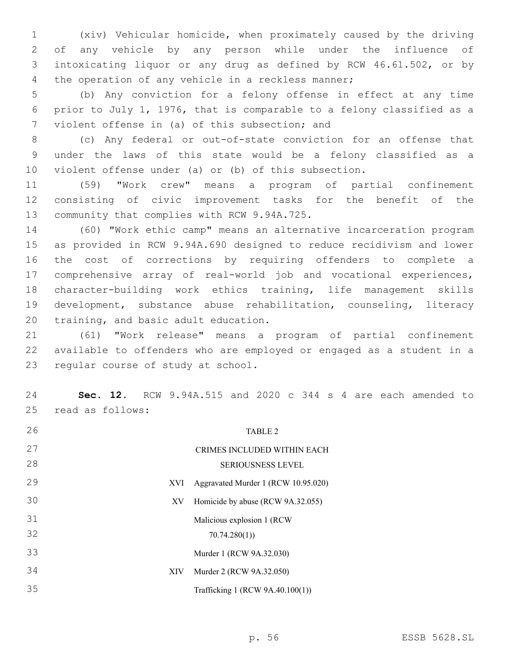(xiv) Vehicular homicide, when proximately caused by the driving of any vehicle by any person while under the influence of intoxicating liquor or any drug as defined by RCW 46.61.502, or by 4 the operation of any vehicle in a reckless manner;

 (b) Any conviction for a felony offense in effect at any time prior to July 1, 1976, that is comparable to a felony classified as a 7 violent offense in (a) of this subsection; and

 (c) Any federal or out-of-state conviction for an offense that under the laws of this state would be a felony classified as a violent offense under (a) or (b) of this subsection.

 (59) "Work crew" means a program of partial confinement consisting of civic improvement tasks for the benefit of the 13 community that complies with RCW 9.94A.725.

 (60) "Work ethic camp" means an alternative incarceration program as provided in RCW 9.94A.690 designed to reduce recidivism and lower the cost of corrections by requiring offenders to complete a comprehensive array of real-world job and vocational experiences, character-building work ethics training, life management skills development, substance abuse rehabilitation, counseling, literacy 20 training, and basic adult education.

 (61) "Work release" means a program of partial confinement available to offenders who are employed or engaged as a student in a 23 regular course of study at school.

 **Sec. 12.** RCW 9.94A.515 and 2020 c 344 s 4 are each amended to 25 read as follows:

| 26 |      | <b>TABLE 2</b>                      |
|----|------|-------------------------------------|
| 27 |      | CRIMES INCLUDED WITHIN EACH         |
| 28 |      | <b>SERIOUSNESS LEVEL</b>            |
| 29 | XVI. | Aggravated Murder 1 (RCW 10.95.020) |
| 30 | XV   | Homicide by abuse (RCW 9A.32.055)   |
| 31 |      | Malicious explosion 1 (RCW)         |
| 32 |      | 70.74.280(1)                        |
| 33 |      | Murder 1 (RCW 9A.32.030)            |
| 34 | XIV  | Murder 2 (RCW 9A.32.050)            |
| 35 |      | Trafficking 1 (RCW 9A.40.100(1))    |
|    |      |                                     |

p. 56 ESSB 5628.SL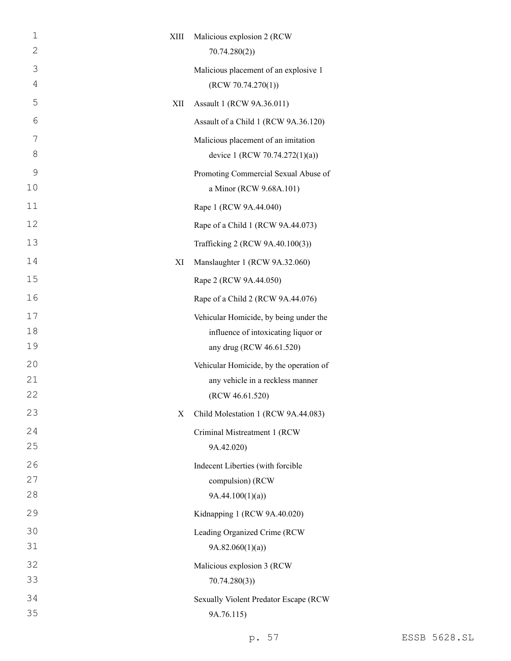| $\mathbf 1$   | XIII | Malicious explosion 2 (RCW              |
|---------------|------|-----------------------------------------|
| 2             |      | 70.74.280(2)                            |
| 3             |      | Malicious placement of an explosive 1   |
| 4             |      | (RCW 70.74.270(1))                      |
| 5             | XII  | Assault 1 (RCW 9A.36.011)               |
| 6             |      | Assault of a Child 1 (RCW 9A.36.120)    |
| 7             |      | Malicious placement of an imitation     |
| 8             |      | device 1 (RCW 70.74.272(1)(a))          |
| $\mathcal{G}$ |      | Promoting Commercial Sexual Abuse of    |
| 10            |      | a Minor (RCW 9.68A.101)                 |
| 11            |      | Rape 1 (RCW 9A.44.040)                  |
| 12            |      | Rape of a Child 1 (RCW 9A.44.073)       |
| 13            |      | Trafficking 2 (RCW 9A.40.100(3))        |
| 14            | XI   | Manslaughter 1 (RCW 9A.32.060)          |
| 15            |      | Rape 2 (RCW 9A.44.050)                  |
| 16            |      | Rape of a Child 2 (RCW 9A.44.076)       |
| 17            |      | Vehicular Homicide, by being under the  |
| 18            |      | influence of intoxicating liquor or     |
| 19            |      | any drug (RCW 46.61.520)                |
| 20            |      | Vehicular Homicide, by the operation of |
| 21            |      | any vehicle in a reckless manner        |
| 22            |      | (RCW 46.61.520)                         |
| 23            | X    | Child Molestation 1 (RCW 9A.44.083)     |
| 24            |      | Criminal Mistreatment 1 (RCW            |
| 25            |      | 9A.42.020)                              |
| 26<br>27      |      | Indecent Liberties (with forcible       |
| 28            |      | compulsion) (RCW<br>9A.44.100(1)(a)     |
| 29            |      | Kidnapping 1 (RCW 9A.40.020)            |
| 30            |      | Leading Organized Crime (RCW            |
| 31            |      | 9A.82.060(1)(a)                         |
| 32            |      | Malicious explosion 3 (RCW              |
| 33            |      | 70.74.280(3)                            |
| 34            |      | Sexually Violent Predator Escape (RCW   |
| 35            |      | 9A.76.115)                              |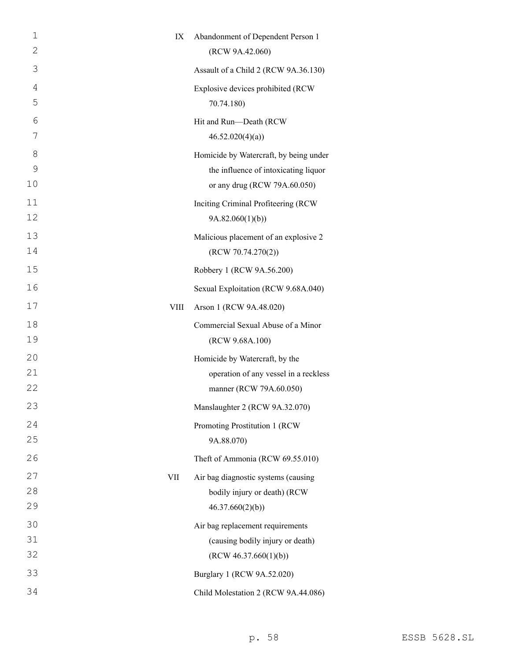| 1  | IX   | Abandonment of Dependent Person 1      |
|----|------|----------------------------------------|
| 2  |      | (RCW 9A.42.060)                        |
| 3  |      | Assault of a Child 2 (RCW 9A.36.130)   |
| 4  |      | Explosive devices prohibited (RCW      |
| 5  |      | 70.74.180)                             |
| 6  |      | Hit and Run-Death (RCW                 |
| 7  |      | 46.52.020(4)(a)                        |
| 8  |      | Homicide by Watercraft, by being under |
| 9  |      | the influence of intoxicating liquor   |
| 10 |      | or any drug (RCW 79A.60.050)           |
| 11 |      | Inciting Criminal Profiteering (RCW    |
| 12 |      | 9A.82.060(1)(b)                        |
| 13 |      | Malicious placement of an explosive 2  |
| 14 |      | (RCW 70.74.270(2))                     |
| 15 |      | Robbery 1 (RCW 9A.56.200)              |
| 16 |      | Sexual Exploitation (RCW 9.68A.040)    |
| 17 | VIII | Arson 1 (RCW 9A.48.020)                |
| 18 |      | Commercial Sexual Abuse of a Minor     |
| 19 |      | (RCW 9.68A.100)                        |
| 20 |      | Homicide by Watercraft, by the         |
| 21 |      | operation of any vessel in a reckless  |
| 22 |      | manner (RCW 79A.60.050)                |
| 23 |      | Manslaughter 2 (RCW 9A.32.070)         |
| 24 |      | Promoting Prostitution 1 (RCW          |
| 25 |      | 9A.88.070)                             |
| 26 |      | Theft of Ammonia (RCW 69.55.010)       |
| 27 | VII  | Air bag diagnostic systems (causing    |
| 28 |      | bodily injury or death) (RCW           |
| 29 |      | 46.37.660(2)(b)                        |
| 30 |      | Air bag replacement requirements       |
| 31 |      | (causing bodily injury or death)       |
| 32 |      | (RCW 46.37.660(1)(b))                  |
| 33 |      | Burglary 1 (RCW 9A.52.020)             |
| 34 |      | Child Molestation 2 (RCW 9A.44.086)    |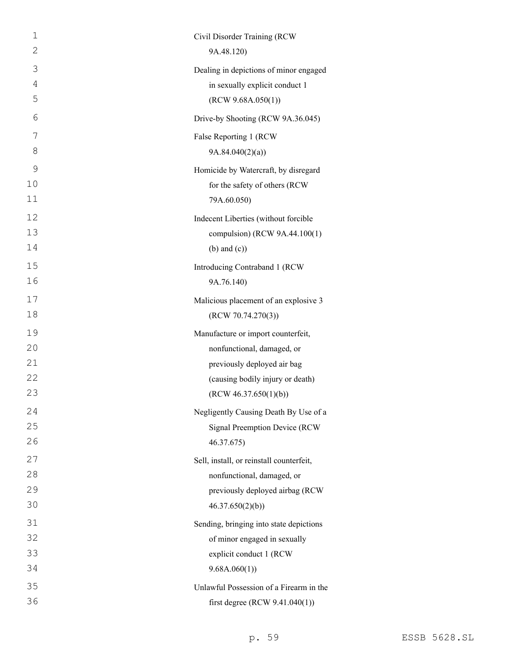| $\mathbf 1$    | Civil Disorder Training (RCW             |
|----------------|------------------------------------------|
| $\mathbf{2}$   | 9A.48.120)                               |
| 3              | Dealing in depictions of minor engaged   |
| $\overline{4}$ | in sexually explicit conduct 1           |
| 5              | (RCW 9.68A.050(1))                       |
| 6              | Drive-by Shooting (RCW 9A.36.045)        |
| 7              | False Reporting 1 (RCW                   |
| 8              | 9A.84.040(2)(a)                          |
| 9              | Homicide by Watercraft, by disregard     |
| 10             | for the safety of others (RCW            |
| 11             | 79A.60.050)                              |
| 12             | Indecent Liberties (without forcible     |
| 13             | compulsion) (RCW 9A.44.100(1)            |
| 14             | $(b)$ and $(c)$ )                        |
| 15             | Introducing Contraband 1 (RCW            |
| 16             | 9A.76.140)                               |
| 17             | Malicious placement of an explosive 3    |
| 18             | (RCW 70.74.270(3))                       |
| 19             | Manufacture or import counterfeit,       |
| 20             | nonfunctional, damaged, or               |
| 21             | previously deployed air bag              |
| 22             | (causing bodily injury or death)         |
| 23             | (RCW 46.37.650(1)(b))                    |
| 24             | Negligently Causing Death By Use of a    |
| 25             | Signal Preemption Device (RCW            |
| 26             | 46.37.675)                               |
| 27             | Sell, install, or reinstall counterfeit, |
| 28             | nonfunctional, damaged, or               |
| 29             | previously deployed airbag (RCW          |
| 30             | 46.37.650(2)(b)                          |
| 31             | Sending, bringing into state depictions  |
| 32             | of minor engaged in sexually             |
| 33             | explicit conduct 1 (RCW                  |
| 34             | 9.68A.060(1)                             |
| 35             | Unlawful Possession of a Firearm in the  |
| 36             | first degree (RCW $9.41.040(1)$ )        |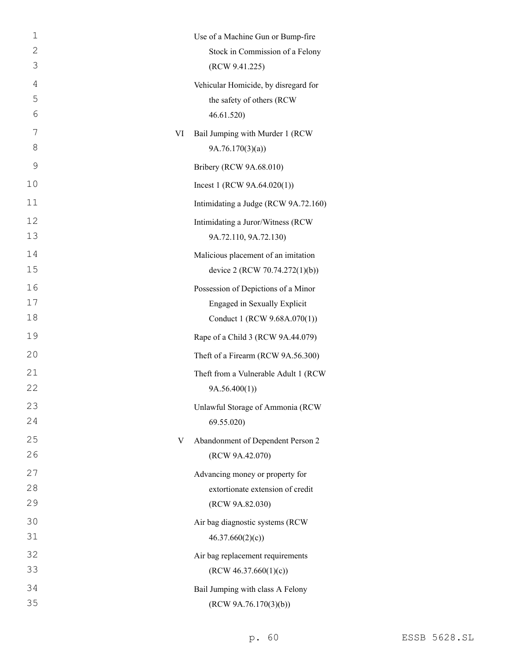| $\mathbf 1$    |    | Use of a Machine Gun or Bump-fire    |
|----------------|----|--------------------------------------|
| 2              |    | Stock in Commission of a Felony      |
| 3              |    | (RCW 9.41.225)                       |
| $\overline{4}$ |    | Vehicular Homicide, by disregard for |
| 5              |    | the safety of others (RCW            |
| 6              |    | 46.61.520)                           |
| 7              | VI | Bail Jumping with Murder 1 (RCW      |
| 8              |    | 9A.76.170(3)(a)                      |
| 9              |    | Bribery (RCW 9A.68.010)              |
| 10             |    | Incest 1 (RCW $9A.64.020(1)$ )       |
| 11             |    | Intimidating a Judge (RCW 9A.72.160) |
| 12             |    | Intimidating a Juror/Witness (RCW    |
| 13             |    | 9A.72.110, 9A.72.130)                |
| 14             |    | Malicious placement of an imitation  |
| 15             |    | device 2 (RCW 70.74.272(1)(b))       |
| 16             |    | Possession of Depictions of a Minor  |
| 17             |    | Engaged in Sexually Explicit         |
| 18             |    | Conduct 1 (RCW 9.68A.070(1))         |
| 19             |    | Rape of a Child 3 (RCW 9A.44.079)    |
| 20             |    | Theft of a Firearm (RCW 9A.56.300)   |
| 21             |    | Theft from a Vulnerable Adult 1 (RCW |
| 22             |    | 9A.56.400(1)                         |
| 23             |    | Unlawful Storage of Ammonia (RCW     |
| 24             |    | 69.55.020)                           |
| 25             | V  | Abandonment of Dependent Person 2    |
| 26             |    | (RCW 9A.42.070)                      |
| 27             |    | Advancing money or property for      |
| 28             |    | extortionate extension of credit     |
| 29             |    | (RCW 9A.82.030)                      |
| 30             |    | Air bag diagnostic systems (RCW      |
| 31             |    | 46.37.660(2)(c)                      |
| 32             |    | Air bag replacement requirements     |
| 33             |    | (RCW 46.37.660(1)(c))                |
| 34             |    | Bail Jumping with class A Felony     |
| 35             |    | (RCW 9A.76.170(3)(b))                |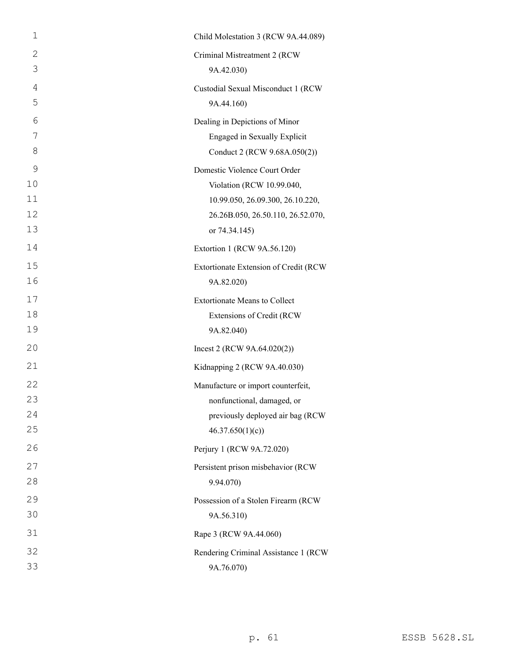| $\mathbf 1$    | Child Molestation 3 (RCW 9A.44.089)   |
|----------------|---------------------------------------|
| 2              | Criminal Mistreatment 2 (RCW          |
| 3              | 9A.42.030)                            |
| $\overline{4}$ | Custodial Sexual Misconduct 1 (RCW    |
| 5              | 9A.44.160)                            |
| 6              | Dealing in Depictions of Minor        |
| 7              | Engaged in Sexually Explicit          |
| 8              | Conduct 2 (RCW 9.68A.050(2))          |
| 9              | Domestic Violence Court Order         |
| 10             | Violation (RCW 10.99.040,             |
| 11             | 10.99.050, 26.09.300, 26.10.220,      |
| 12             | 26.26B.050, 26.50.110, 26.52.070,     |
| 13             | or 74.34.145)                         |
| 14             | Extortion 1 (RCW 9A.56.120)           |
| 15             | Extortionate Extension of Credit (RCW |
| 16             | 9A.82.020)                            |
| 17             | <b>Extortionate Means to Collect</b>  |
| 18             | Extensions of Credit (RCW             |
| 19             | 9A.82.040)                            |
| 20             | Incest 2 (RCW $9A.64.020(2)$ )        |
| 21             | Kidnapping 2 (RCW 9A.40.030)          |
| 22             | Manufacture or import counterfeit,    |
| 23             | nonfunctional, damaged, or            |
| 24             | previously deployed air bag (RCW      |
| 25             | 46.37.650(1)(c)                       |
| 26             | Perjury 1 (RCW 9A.72.020)             |
| 27             | Persistent prison misbehavior (RCW    |
| 28             | 9.94.070)                             |
| 29             | Possession of a Stolen Firearm (RCW   |
| 30             | 9A.56.310)                            |
| 31             | Rape 3 (RCW 9A.44.060)                |
| 32             | Rendering Criminal Assistance 1 (RCW  |
| 33             | 9A.76.070)                            |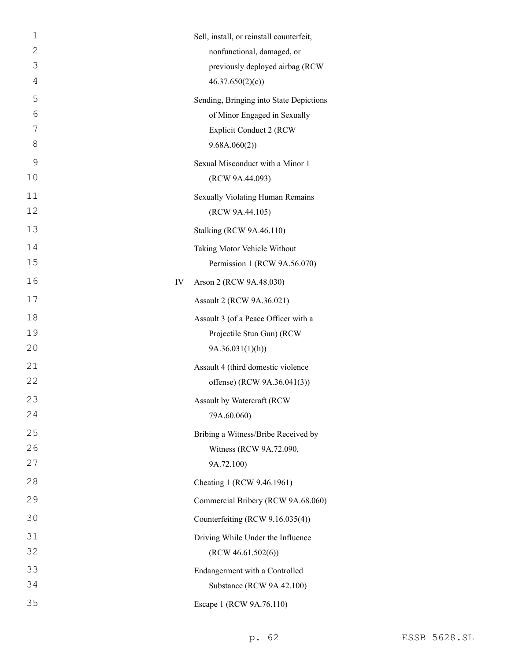| $\mathbf 1$ | Sell, install, or reinstall counterfeit, |
|-------------|------------------------------------------|
| 2           | nonfunctional, damaged, or               |
| 3           | previously deployed airbag (RCW          |
| 4           | 46.37.650(2)(c)                          |
| 5           | Sending, Bringing into State Depictions  |
| 6           | of Minor Engaged in Sexually             |
| 7           | <b>Explicit Conduct 2 (RCW</b>           |
| 8           | 9.68A.060(2))                            |
| 9           | Sexual Misconduct with a Minor 1         |
| 10          | (RCW 9A.44.093)                          |
| 11          | Sexually Violating Human Remains         |
| 12          | (RCW 9A.44.105)                          |
| 13          | Stalking (RCW 9A.46.110)                 |
| 14          | Taking Motor Vehicle Without             |
| 15          | Permission 1 (RCW 9A.56.070)             |
| 16          | IV<br>Arson 2 (RCW 9A.48.030)            |
| 17          | Assault 2 (RCW 9A.36.021)                |
| 18          | Assault 3 (of a Peace Officer with a     |
| 19          | Projectile Stun Gun) (RCW                |
| 20          | 9A.36.031(1)(h)                          |
| 21          | Assault 4 (third domestic violence       |
| 22          | offense) (RCW 9A.36.041(3))              |
| 23          | Assault by Watercraft (RCW               |
| 24          | 79A.60.060)                              |
| 25          | Bribing a Witness/Bribe Received by      |
| 26          | Witness (RCW 9A.72.090,                  |
| 27          | 9A.72.100)                               |
| 28          | Cheating 1 (RCW 9.46.1961)               |
| 29          | Commercial Bribery (RCW 9A.68.060)       |
| 30          | Counterfeiting (RCW 9.16.035(4))         |
| 31          | Driving While Under the Influence        |
| 32          | (RCW 46.61.502(6))                       |
| 33          | Endangerment with a Controlled           |
| 34          | Substance (RCW 9A.42.100)                |
| 35          | Escape 1 (RCW 9A.76.110)                 |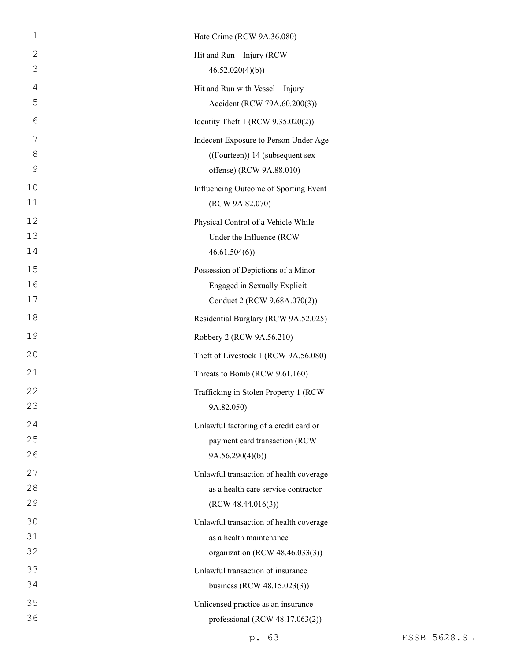| $\mathbf 1$ | Hate Crime (RCW 9A.36.080)               |
|-------------|------------------------------------------|
| 2           | Hit and Run-Injury (RCW                  |
| 3           | 46.52.020(4)(b)                          |
| 4           | Hit and Run with Vessel-Injury           |
| 5           | Accident (RCW 79A.60.200(3))             |
| 6           | Identity Theft 1 (RCW 9.35.020(2))       |
| 7           | Indecent Exposure to Person Under Age    |
| 8           | $((\text{Fourteen}))$ 14 (subsequent sex |
| 9           | offense) (RCW 9A.88.010)                 |
| 10          | Influencing Outcome of Sporting Event    |
| 11          | (RCW 9A.82.070)                          |
| 12          | Physical Control of a Vehicle While      |
| 13          | Under the Influence (RCW                 |
| 14          | 46.61.504(6)                             |
| 15          | Possession of Depictions of a Minor      |
| 16          | Engaged in Sexually Explicit             |
| 17          | Conduct 2 (RCW 9.68A.070(2))             |
| 18          | Residential Burglary (RCW 9A.52.025)     |
| 19          | Robbery 2 (RCW 9A.56.210)                |
| 20          | Theft of Livestock 1 (RCW 9A.56.080)     |
| 21          | Threats to Bomb (RCW 9.61.160)           |
| 22          | Trafficking in Stolen Property 1 (RCW    |
| 23          | 9A.82.050)                               |
| 24          | Unlawful factoring of a credit card or   |
| 25          | payment card transaction (RCW            |
| 26          | 9A.56.290(4)(b)                          |
| 27          | Unlawful transaction of health coverage  |
| 28          | as a health care service contractor      |
| 29          | (RCW 48.44.016(3))                       |
| 30          | Unlawful transaction of health coverage  |
| 31          | as a health maintenance                  |
| 32          | organization (RCW 48.46.033(3))          |
| 33          | Unlawful transaction of insurance        |
| 34          | business (RCW 48.15.023(3))              |
| 35          | Unlicensed practice as an insurance      |
| 36          | professional (RCW 48.17.063(2))          |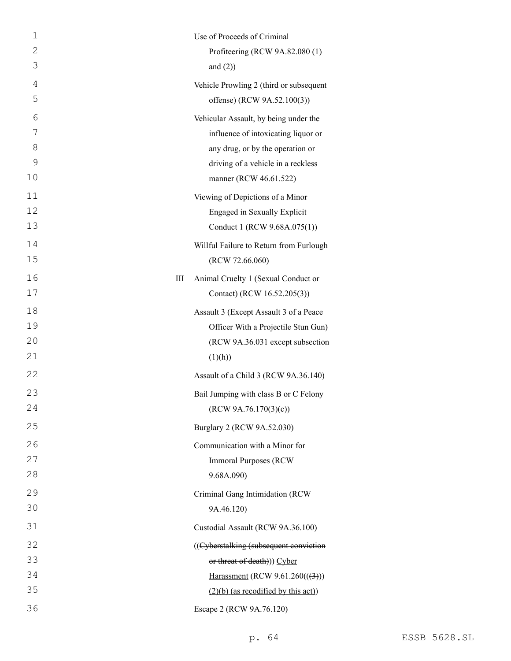| $\mathbf{1}$ | Use of Proceeds of Criminal              |
|--------------|------------------------------------------|
| $\mathbf{2}$ | Profiteering (RCW 9A.82.080 (1)          |
| 3            | and $(2)$ )                              |
| 4            | Vehicle Prowling 2 (third or subsequent  |
| 5            | offense) (RCW 9A.52.100(3))              |
| 6            | Vehicular Assault, by being under the    |
| 7            | influence of intoxicating liquor or      |
| 8            | any drug, or by the operation or         |
| 9            | driving of a vehicle in a reckless       |
| 10           | manner (RCW 46.61.522)                   |
| 11           | Viewing of Depictions of a Minor         |
| 12           | Engaged in Sexually Explicit             |
| 13           | Conduct 1 (RCW 9.68A.075(1))             |
| 14           | Willful Failure to Return from Furlough  |
| 15           | (RCW 72.66.060)                          |
| 16           | Animal Cruelty 1 (Sexual Conduct or<br>Ш |
| 17           | Contact) (RCW 16.52.205(3))              |
| 18           | Assault 3 (Except Assault 3 of a Peace   |
| 19           | Officer With a Projectile Stun Gun)      |
| 20           | (RCW 9A.36.031 except subsection         |
| 21           | (1)(h))                                  |
| 22           | Assault of a Child 3 (RCW 9A.36.140)     |
| 23           | Bail Jumping with class B or C Felony    |
| 24           | (RCW 9A.76.170(3)(c))                    |
| 25           | Burglary 2 (RCW 9A.52.030)               |
| 26           | Communication with a Minor for           |
| 27           | <b>Immoral Purposes (RCW)</b>            |
| 28           | 9.68A.090)                               |
| 29           | Criminal Gang Intimidation (RCW          |
| 30           | 9A.46.120)                               |
| 31           | Custodial Assault (RCW 9A.36.100)        |
| 32           | ((Cyberstalking (subsequent conviction   |
| 33           | or threat of death))) Cyber              |
| 34           | Harassment (RCW $9.61.260((3))$ )        |
| 35           | $(2)(b)$ (as recodified by this act))    |
| 36           | Escape 2 (RCW 9A.76.120)                 |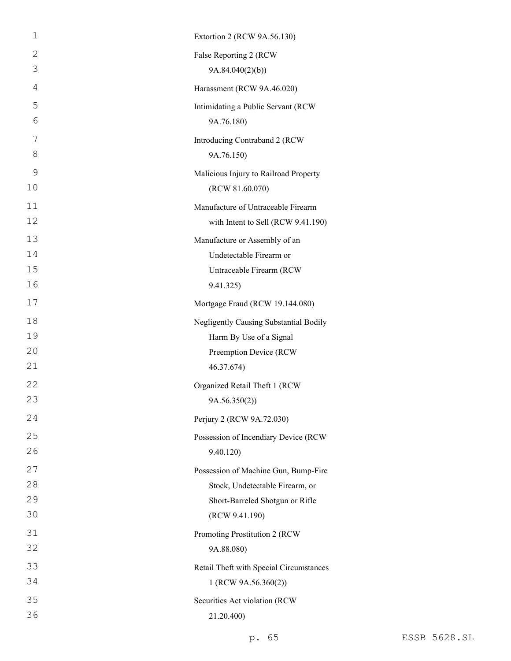| $\mathbf 1$    | Extortion 2 (RCW 9A.56.130)             |
|----------------|-----------------------------------------|
| 2              | False Reporting 2 (RCW                  |
| 3              | 9A.84.040(2)(b)                         |
| $\overline{4}$ | Harassment (RCW 9A.46.020)              |
| 5              | Intimidating a Public Servant (RCW      |
| 6              | 9A.76.180)                              |
| 7              | Introducing Contraband 2 (RCW           |
| 8              | 9A.76.150)                              |
| $\mathsf 9$    | Malicious Injury to Railroad Property   |
| 10             | (RCW 81.60.070)                         |
| 11             | Manufacture of Untraceable Firearm      |
| 12             | with Intent to Sell (RCW 9.41.190)      |
| 13             | Manufacture or Assembly of an           |
| 14             | Undetectable Firearm or                 |
| 15             | Untraceable Firearm (RCW                |
| 16             | 9.41.325)                               |
| 17             | Mortgage Fraud (RCW 19.144.080)         |
| 18             | Negligently Causing Substantial Bodily  |
| 19             | Harm By Use of a Signal                 |
| 20             | Preemption Device (RCW                  |
| 21             | 46.37.674)                              |
| 22             | Organized Retail Theft 1 (RCW           |
| 23             | 9A.56.350(2)                            |
| 24             | Perjury 2 (RCW 9A.72.030)               |
| 25             | Possession of Incendiary Device (RCW    |
| 26             | 9.40.120)                               |
| 27             | Possession of Machine Gun, Bump-Fire    |
| 28             | Stock, Undetectable Firearm, or         |
| 29             | Short-Barreled Shotgun or Rifle         |
| 30             | (RCW 9.41.190)                          |
| 31             | Promoting Prostitution 2 (RCW           |
| 32             | 9A.88.080)                              |
| 33             | Retail Theft with Special Circumstances |
| 34             | 1 (RCW 9A.56.360(2))                    |
| 35             | Securities Act violation (RCW           |
| 36             | 21.20.400)                              |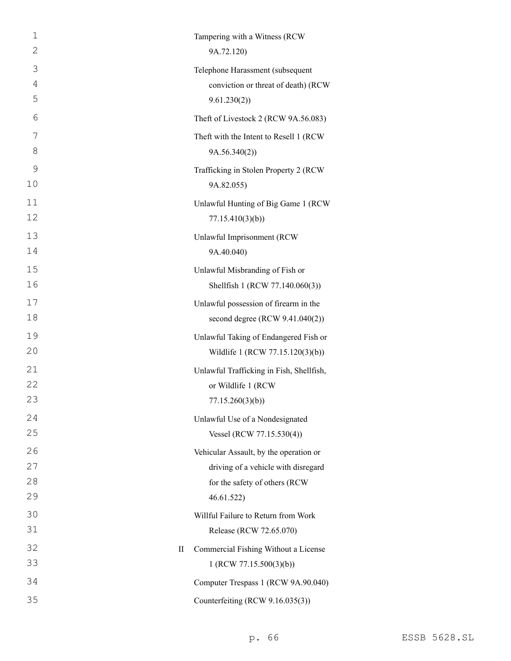| 1<br>$\mathbf{2}$ | Tampering with a Witness (RCW<br>9A.72.120)             |
|-------------------|---------------------------------------------------------|
| 3                 | Telephone Harassment (subsequent                        |
| 4                 | conviction or threat of death) (RCW                     |
| 5                 | 9.61.230(2)                                             |
| 6                 | Theft of Livestock 2 (RCW 9A.56.083)                    |
| 7<br>8            | Theft with the Intent to Resell 1 (RCW)<br>9A.56.340(2) |
| 9                 | Trafficking in Stolen Property 2 (RCW                   |
| 10                | 9A.82.055)                                              |
| 11<br>12          | Unlawful Hunting of Big Game 1 (RCW)<br>77.15.410(3)(b) |
| 13                | Unlawful Imprisonment (RCW                              |
| 14                | 9A.40.040)                                              |
| 15                | Unlawful Misbranding of Fish or                         |
| 16                | Shellfish 1 (RCW 77.140.060(3))                         |
| 17                | Unlawful possession of firearm in the                   |
| 18                | second degree $(RCW 9.41.040(2))$                       |
| 19                | Unlawful Taking of Endangered Fish or                   |
| 20                | Wildlife 1 (RCW 77.15.120(3)(b))                        |
| 21                | Unlawful Trafficking in Fish, Shellfish,                |
| 22                | or Wildlife 1 (RCW                                      |
| 23                | 77.15.260(3)(b)                                         |
| 24                | Unlawful Use of a Nondesignated                         |
| 25                | Vessel (RCW 77.15.530(4))                               |
| 26                | Vehicular Assault, by the operation or                  |
| 27                | driving of a vehicle with disregard                     |
| 28                | for the safety of others (RCW                           |
| 29                | 46.61.522)                                              |
| 30                | Willful Failure to Return from Work                     |
| 31                | Release (RCW 72.65.070)                                 |
| 32                | Commercial Fishing Without a License<br>$\rm{II}$       |
| 33                | 1 (RCW 77.15.500(3)(b))                                 |
| 34                | Computer Trespass 1 (RCW 9A.90.040)                     |
| 35                | Counterfeiting (RCW 9.16.035(3))                        |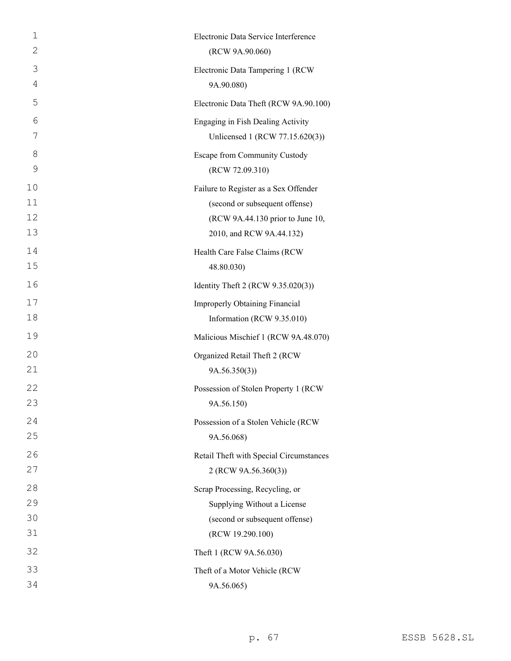| 1  | Electronic Data Service Interference    |
|----|-----------------------------------------|
| 2  | (RCW 9A.90.060)                         |
| 3  | Electronic Data Tampering 1 (RCW        |
| 4  | 9A.90.080)                              |
| 5  | Electronic Data Theft (RCW 9A.90.100)   |
| 6  | Engaging in Fish Dealing Activity       |
| 7  | Unlicensed 1 (RCW 77.15.620(3))         |
| 8  | Escape from Community Custody           |
| 9  | (RCW 72.09.310)                         |
| 10 | Failure to Register as a Sex Offender   |
| 11 | (second or subsequent offense)          |
| 12 | (RCW 9A.44.130 prior to June 10,        |
| 13 | 2010, and RCW 9A.44.132)                |
| 14 | Health Care False Claims (RCW           |
| 15 | 48.80.030)                              |
| 16 | Identity Theft 2 (RCW 9.35.020(3))      |
| 17 | <b>Improperly Obtaining Financial</b>   |
| 18 | Information (RCW 9.35.010)              |
| 19 | Malicious Mischief 1 (RCW 9A.48.070)    |
| 20 | Organized Retail Theft 2 (RCW           |
| 21 | 9A.56.350(3)                            |
| 22 | Possession of Stolen Property 1 (RCW    |
| 23 | 9A.56.150)                              |
| 24 | Possession of a Stolen Vehicle (RCW     |
| 25 | 9A.56.068)                              |
| 26 | Retail Theft with Special Circumstances |
| 27 | 2 (RCW 9A.56.360(3))                    |
| 28 | Scrap Processing, Recycling, or         |
| 29 | Supplying Without a License             |
| 30 | (second or subsequent offense)          |
| 31 | (RCW 19.290.100)                        |
| 32 | Theft 1 (RCW 9A.56.030)                 |
| 33 | Theft of a Motor Vehicle (RCW           |
| 34 | 9A.56.065)                              |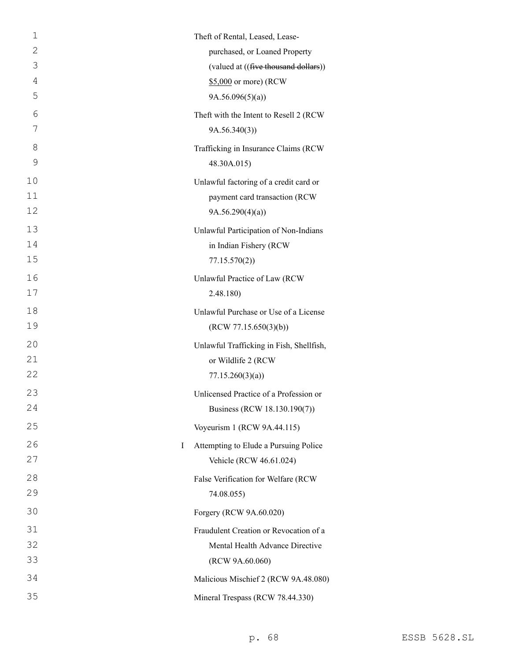| 1              | Theft of Rental, Leased, Lease-          |
|----------------|------------------------------------------|
| 2              | purchased, or Loaned Property            |
| 3              | (valued at ((five thousand dollars))     |
| $\overline{4}$ | \$5,000 or more) (RCW                    |
| 5              | 9A.56.096(5)(a)                          |
| 6              | Theft with the Intent to Resell 2 (RCW   |
| 7              | 9A.56.340(3)                             |
| 8              | Trafficking in Insurance Claims (RCW     |
| 9              | 48.30A.015)                              |
| 10             | Unlawful factoring of a credit card or   |
| 11             | payment card transaction (RCW            |
| 12             | 9A.56.290(4)(a)                          |
| 13             | Unlawful Participation of Non-Indians    |
| 14             | in Indian Fishery (RCW                   |
| 15             | 77.15.570(2)                             |
| 16             | Unlawful Practice of Law (RCW            |
| 17             | 2.48.180)                                |
| 18             | Unlawful Purchase or Use of a License    |
| 19             | (RCW 77.15.650(3)(b))                    |
| 20             | Unlawful Trafficking in Fish, Shellfish, |
| 21             | or Wildlife 2 (RCW                       |
| 22             | 77.15.260(3)(a)                          |
| 23             | Unlicensed Practice of a Profession or   |
| 24             | Business (RCW 18.130.190(7))             |
| 25             | Voyeurism 1 (RCW 9A.44.115)              |
| 26<br>I        | Attempting to Elude a Pursuing Police    |
| 27             | Vehicle (RCW 46.61.024)                  |
| 28             | False Verification for Welfare (RCW      |
| 29             | 74.08.055)                               |
| 30             | Forgery (RCW 9A.60.020)                  |
| 31             | Fraudulent Creation or Revocation of a   |
| 32             | Mental Health Advance Directive          |
| 33             | (RCW 9A.60.060)                          |
| 34             | Malicious Mischief 2 (RCW 9A.48.080)     |
| 35             | Mineral Trespass (RCW 78.44.330)         |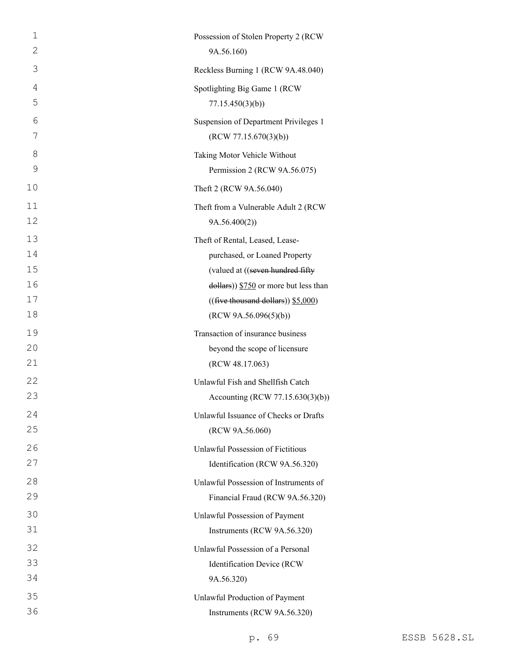| $\mathbf 1$ | Possession of Stolen Property 2 (RCW                |
|-------------|-----------------------------------------------------|
| 2           | 9A.56.160)                                          |
| 3           | Reckless Burning 1 (RCW 9A.48.040)                  |
| 4           | Spotlighting Big Game 1 (RCW                        |
| 5           | 77.15.450(3)(b)                                     |
| 6           | Suspension of Department Privileges 1               |
| 7           | (RCW 77.15.670(3)(b))                               |
| 8           | Taking Motor Vehicle Without                        |
| 9           | Permission 2 (RCW 9A.56.075)                        |
| 10          | Theft 2 (RCW 9A.56.040)                             |
| 11          | Theft from a Vulnerable Adult 2 (RCW                |
| 12          | 9A.56.400(2)                                        |
| 13          | Theft of Rental, Leased, Lease-                     |
| 14          | purchased, or Loaned Property                       |
| 15          | (valued at ((seven hundred fifty                    |
| 16          | $\frac{1}{2}$ dollars)) \$750 or more but less than |
| 17          | $((\text{five thousand dollars}))$ \$5,000)         |
| 18          | (RCW 9A.56.096(5)(b))                               |
| 19          | Transaction of insurance business                   |
| 20          | beyond the scope of licensure                       |
| 21          | (RCW 48.17.063)                                     |
| 22          | Unlawful Fish and Shellfish Catch                   |
| 23          | Accounting (RCW 77.15.630(3)(b))                    |
| 24          | Unlawful Issuance of Checks or Drafts               |
| 25          | (RCW 9A.56.060)                                     |
| 26          | <b>Unlawful Possession of Fictitious</b>            |
| 27          | Identification (RCW 9A.56.320)                      |
| 28          | Unlawful Possession of Instruments of               |
| 29          | Financial Fraud (RCW 9A.56.320)                     |
| 30          | Unlawful Possession of Payment                      |
| 31          | Instruments (RCW 9A.56.320)                         |
| 32          | Unlawful Possession of a Personal                   |
| 33          | Identification Device (RCW                          |
| 34          | 9A.56.320)                                          |
| 35          | Unlawful Production of Payment                      |
| 36          | Instruments (RCW 9A.56.320)                         |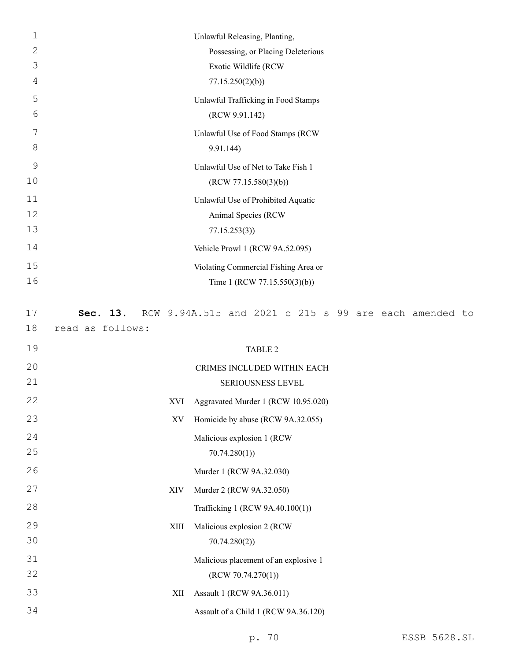| $\mathbf 1$ |                  |      | Unlawful Releasing, Planting,                         |  |  |
|-------------|------------------|------|-------------------------------------------------------|--|--|
| 2           |                  |      | Possessing, or Placing Deleterious                    |  |  |
| 3           |                  |      | Exotic Wildlife (RCW                                  |  |  |
| 4           |                  |      | 77.15.250(2)(b)                                       |  |  |
| 5           |                  |      | Unlawful Trafficking in Food Stamps                   |  |  |
| 6           |                  |      | (RCW 9.91.142)                                        |  |  |
| 7           |                  |      | Unlawful Use of Food Stamps (RCW                      |  |  |
| 8           |                  |      | 9.91.144)                                             |  |  |
| 9           |                  |      | Unlawful Use of Net to Take Fish 1                    |  |  |
| 10          |                  |      | (RCW 77.15.580(3)(b))                                 |  |  |
| 11          |                  |      | Unlawful Use of Prohibited Aquatic                    |  |  |
| 12          |                  |      | Animal Species (RCW                                   |  |  |
| 13          |                  |      | 77.15.253(3)                                          |  |  |
| 14          |                  |      | Vehicle Prowl 1 (RCW 9A.52.095)                       |  |  |
| 15          |                  |      | Violating Commercial Fishing Area or                  |  |  |
| 16          |                  |      | Time 1 (RCW 77.15.550(3)(b))                          |  |  |
|             |                  |      |                                                       |  |  |
| 17          | Sec. 13.         |      | RCW 9.94A.515 and 2021 c 215 s 99 are each amended to |  |  |
| 18          | read as follows: |      |                                                       |  |  |
| 19          |                  |      | <b>TABLE 2</b>                                        |  |  |
| 20          |                  |      | CRIMES INCLUDED WITHIN EACH                           |  |  |
| 21          |                  |      | SERIOUSNESS LEVEL                                     |  |  |
| 22          |                  | XVI  | Aggravated Murder 1 (RCW 10.95.020)                   |  |  |
| 23          |                  | XV   | Homicide by abuse (RCW 9A.32.055)                     |  |  |
| 24          |                  |      | Malicious explosion 1 (RCW                            |  |  |
| 25          |                  |      | 70.74.280(1)                                          |  |  |
| 26          |                  |      | Murder 1 (RCW 9A.32.030)                              |  |  |
| 27          |                  | XIV  | Murder 2 (RCW 9A.32.050)                              |  |  |
| 28          |                  |      | Trafficking 1 (RCW 9A.40.100(1))                      |  |  |
| 29          |                  |      |                                                       |  |  |
| 30          |                  | XIII | Malicious explosion 2 (RCW<br>70.74.280(2)            |  |  |
| 31          |                  |      |                                                       |  |  |
|             |                  |      |                                                       |  |  |
|             |                  |      | Malicious placement of an explosive 1                 |  |  |
| 32          |                  |      | (RCW 70.74.270(1))                                    |  |  |
| 33          |                  | XII  | Assault 1 (RCW 9A.36.011)                             |  |  |
| 34          |                  |      | Assault of a Child 1 (RCW 9A.36.120)                  |  |  |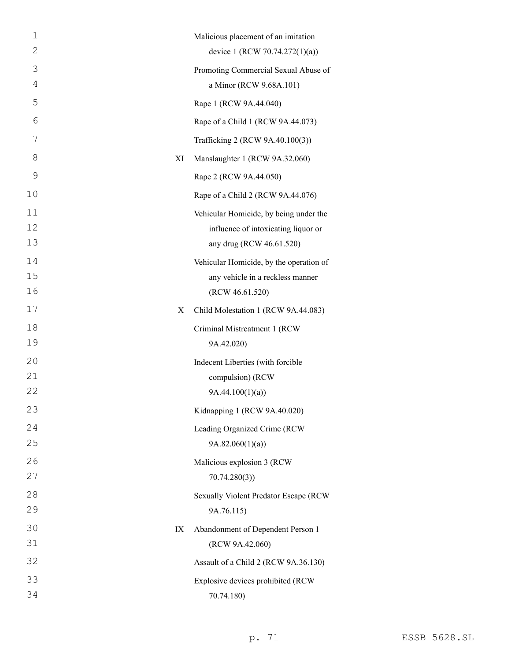| Malicious placement of an imitation                                       |
|---------------------------------------------------------------------------|
| device 1 (RCW 70.74.272(1)(a))                                            |
| Promoting Commercial Sexual Abuse of                                      |
| a Minor (RCW 9.68A.101)                                                   |
|                                                                           |
| Rape of a Child 1 (RCW 9A.44.073)                                         |
| Trafficking 2 (RCW 9A.40.100(3))                                          |
| Manslaughter 1 (RCW 9A.32.060)                                            |
|                                                                           |
| Rape of a Child 2 (RCW 9A.44.076)                                         |
| Vehicular Homicide, by being under the                                    |
| influence of intoxicating liquor or<br>any drug (RCW 46.61.520)           |
| Vehicular Homicide, by the operation of                                   |
| any vehicle in a reckless manner                                          |
|                                                                           |
| Child Molestation 1 (RCW 9A.44.083)                                       |
| Criminal Mistreatment 1 (RCW                                              |
|                                                                           |
| Indecent Liberties (with forcible                                         |
|                                                                           |
|                                                                           |
| Kidnapping 1 (RCW 9A.40.020)                                              |
| Leading Organized Crime (RCW                                              |
|                                                                           |
|                                                                           |
|                                                                           |
|                                                                           |
| Sexually Violent Predator Escape (RCW                                     |
|                                                                           |
| Abandonment of Dependent Person 1                                         |
|                                                                           |
| Assault of a Child 2 (RCW 9A.36.130)<br>Explosive devices prohibited (RCW |
|                                                                           |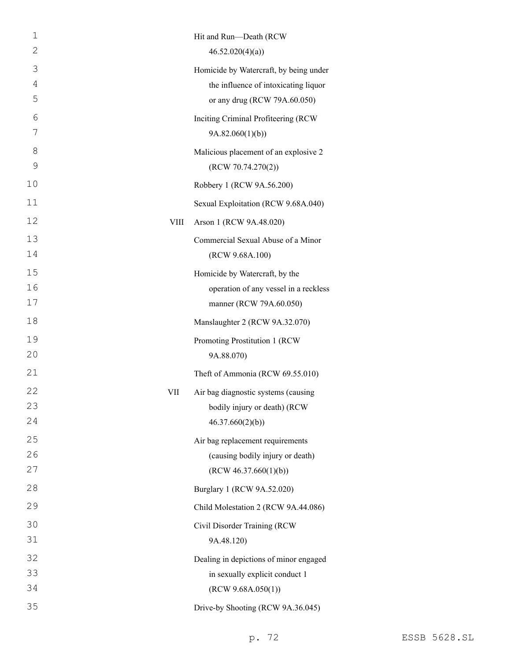| 1              |      | Hit and Run-Death (RCW                 |
|----------------|------|----------------------------------------|
| 2              |      | 46.52.020(4)(a)                        |
| 3              |      | Homicide by Watercraft, by being under |
| $\overline{4}$ |      | the influence of intoxicating liquor   |
| 5              |      | or any drug (RCW 79A.60.050)           |
| 6              |      | Inciting Criminal Profiteering (RCW    |
| 7              |      | 9A.82.060(1)(b)                        |
| 8              |      | Malicious placement of an explosive 2  |
| 9              |      | (RCW 70.74.270(2))                     |
| 10             |      | Robbery 1 (RCW 9A.56.200)              |
| 11             |      | Sexual Exploitation (RCW 9.68A.040)    |
| 12             | VIII | Arson 1 (RCW 9A.48.020)                |
| 13             |      | Commercial Sexual Abuse of a Minor     |
| 14             |      | (RCW 9.68A.100)                        |
| 15             |      | Homicide by Watercraft, by the         |
| 16             |      | operation of any vessel in a reckless  |
| 17             |      | manner (RCW 79A.60.050)                |
| 18             |      | Manslaughter 2 (RCW 9A.32.070)         |
| 19             |      | Promoting Prostitution 1 (RCW          |
| 20             |      | 9A.88.070)                             |
| 21             |      | Theft of Ammonia (RCW 69.55.010)       |
| 22             | VII  | Air bag diagnostic systems (causing    |
| 23             |      | bodily injury or death) (RCW           |
| 24             |      | 46.37.660(2)(b)                        |
| 25             |      | Air bag replacement requirements       |
| 26             |      | (causing bodily injury or death)       |
| 27             |      | (RCW 46.37.660(1)(b))                  |
| 28             |      | Burglary 1 (RCW 9A.52.020)             |
| 29             |      | Child Molestation 2 (RCW 9A.44.086)    |
| 30             |      | Civil Disorder Training (RCW           |
| 31             |      | 9A.48.120)                             |
| 32             |      | Dealing in depictions of minor engaged |
| 33             |      | in sexually explicit conduct 1         |
| 34             |      | (RCW 9.68A.050(1))                     |
| 35             |      | Drive-by Shooting (RCW 9A.36.045)      |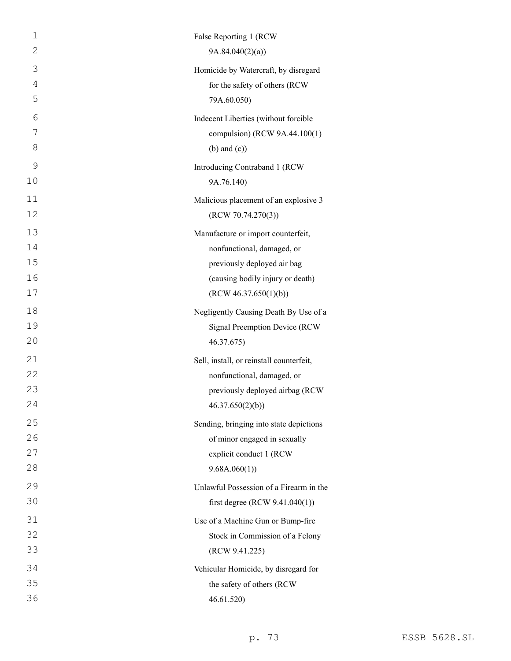| $\mathbf{1}$ | False Reporting 1 (RCW                   |
|--------------|------------------------------------------|
| 2            | 9A.84.040(2)(a)                          |
| 3            | Homicide by Watercraft, by disregard     |
| 4            | for the safety of others (RCW            |
| 5            | 79A.60.050)                              |
| 6            | Indecent Liberties (without forcible     |
| 7            | compulsion) (RCW 9A.44.100(1)            |
| 8            | $(b)$ and $(c)$ )                        |
| 9            | Introducing Contraband 1 (RCW            |
| 10           | 9A.76.140)                               |
| 11           | Malicious placement of an explosive 3    |
| 12           | (RCW 70.74.270(3))                       |
| 13           | Manufacture or import counterfeit,       |
| 14           | nonfunctional, damaged, or               |
| 15           | previously deployed air bag              |
| 16           | (causing bodily injury or death)         |
| 17           | (RCW 46.37.650(1)(b))                    |
| 18           | Negligently Causing Death By Use of a    |
| 19           | Signal Preemption Device (RCW            |
| 20           | 46.37.675)                               |
| 21           | Sell, install, or reinstall counterfeit, |
| 22           | nonfunctional, damaged, or               |
| 23           | previously deployed airbag (RCW          |
| 24           | 46.37.650(2)(b)                          |
| 25           | Sending, bringing into state depictions  |
| 26           | of minor engaged in sexually             |
| 27           | explicit conduct 1 (RCW                  |
| 28           | 9.68A.060(1)                             |
| 29           | Unlawful Possession of a Firearm in the  |
| 30           | first degree (RCW $9.41.040(1)$ )        |
| 31           | Use of a Machine Gun or Bump-fire        |
| 32           | Stock in Commission of a Felony          |
| 33           | (RCW 9.41.225)                           |
| 34           | Vehicular Homicide, by disregard for     |
| 35           | the safety of others (RCW                |
| 36           | 46.61.520)                               |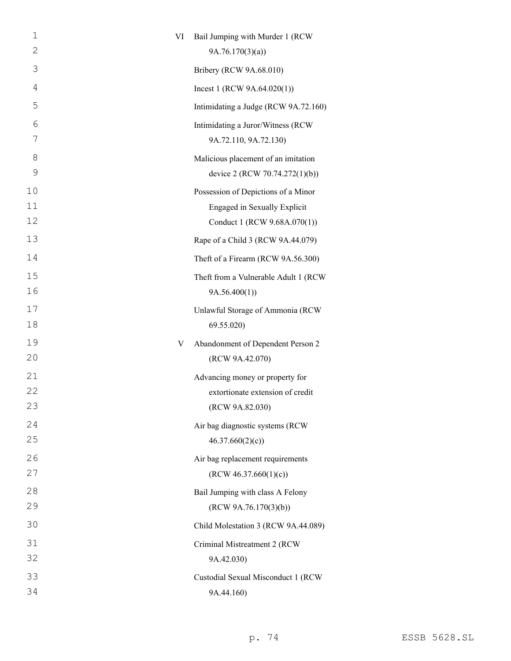| 1  | VI | Bail Jumping with Murder 1 (RCW      |
|----|----|--------------------------------------|
| 2  |    | 9A.76.170(3)(a)                      |
| 3  |    | Bribery (RCW 9A.68.010)              |
| 4  |    | Incest 1 (RCW $9A.64.020(1)$ )       |
| 5  |    | Intimidating a Judge (RCW 9A.72.160) |
| 6  |    | Intimidating a Juror/Witness (RCW    |
| 7  |    | 9A.72.110, 9A.72.130)                |
| 8  |    | Malicious placement of an imitation  |
| 9  |    | device 2 (RCW 70.74.272(1)(b))       |
| 10 |    | Possession of Depictions of a Minor  |
| 11 |    | Engaged in Sexually Explicit         |
| 12 |    | Conduct 1 (RCW 9.68A.070(1))         |
| 13 |    | Rape of a Child 3 (RCW 9A.44.079)    |
| 14 |    | Theft of a Firearm (RCW 9A.56.300)   |
| 15 |    | Theft from a Vulnerable Adult 1 (RCW |
| 16 |    | 9A.56.400(1)                         |
| 17 |    | Unlawful Storage of Ammonia (RCW     |
| 18 |    | 69.55.020)                           |
| 19 | V  | Abandonment of Dependent Person 2    |
| 20 |    | (RCW 9A.42.070)                      |
| 21 |    | Advancing money or property for      |
| 22 |    | extortionate extension of credit     |
| 23 |    | (RCW 9A.82.030)                      |
| 24 |    | Air bag diagnostic systems (RCW      |
| 25 |    | 46.37.660(2)(c)                      |
| 26 |    | Air bag replacement requirements     |
| 27 |    | (RCW 46.37.660(1)(c))                |
| 28 |    | Bail Jumping with class A Felony     |
| 29 |    | (RCW 9A.76.170(3)(b))                |
| 30 |    | Child Molestation 3 (RCW 9A.44.089)  |
| 31 |    | Criminal Mistreatment 2 (RCW         |
| 32 |    | 9A.42.030)                           |
| 33 |    | Custodial Sexual Misconduct 1 (RCW   |
| 34 |    | 9A.44.160)                           |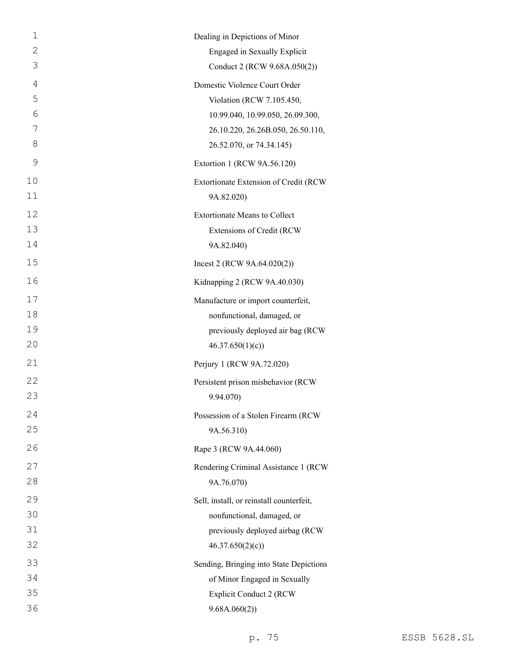| 1  | Dealing in Depictions of Minor           |
|----|------------------------------------------|
| 2  | Engaged in Sexually Explicit             |
| 3  | Conduct 2 (RCW 9.68A.050(2))             |
| 4  | Domestic Violence Court Order            |
| 5  | Violation (RCW 7.105.450,                |
| 6  | 10.99.040, 10.99.050, 26.09.300,         |
| 7  | 26.10.220, 26.26B.050, 26.50.110,        |
| 8  | 26.52.070, or 74.34.145)                 |
| 9  | Extortion 1 (RCW 9A.56.120)              |
| 10 | Extortionate Extension of Credit (RCW    |
| 11 | 9A.82.020)                               |
| 12 | <b>Extortionate Means to Collect</b>     |
| 13 | Extensions of Credit (RCW                |
| 14 | 9A.82.040)                               |
| 15 | Incest 2 (RCW 9A.64.020(2))              |
| 16 | Kidnapping 2 (RCW 9A.40.030)             |
| 17 | Manufacture or import counterfeit,       |
| 18 | nonfunctional, damaged, or               |
| 19 | previously deployed air bag (RCW         |
| 20 | 46.37.650(1)(c)                          |
| 21 | Perjury 1 (RCW 9A.72.020)                |
| 22 | Persistent prison misbehavior (RCW       |
| 23 | 9.94.070)                                |
| 24 | Possession of a Stolen Firearm (RCW      |
| 25 | 9A.56.310)                               |
| 26 | Rape 3 (RCW 9A.44.060)                   |
| 27 | Rendering Criminal Assistance 1 (RCW     |
| 28 | 9A.76.070)                               |
| 29 | Sell, install, or reinstall counterfeit, |
| 30 | nonfunctional, damaged, or               |
| 31 | previously deployed airbag (RCW          |
| 32 | 46.37.650(2)(c)                          |
| 33 | Sending, Bringing into State Depictions  |
| 34 | of Minor Engaged in Sexually             |
| 35 | <b>Explicit Conduct 2 (RCW</b>           |
| 36 | 9.68A.060(2)                             |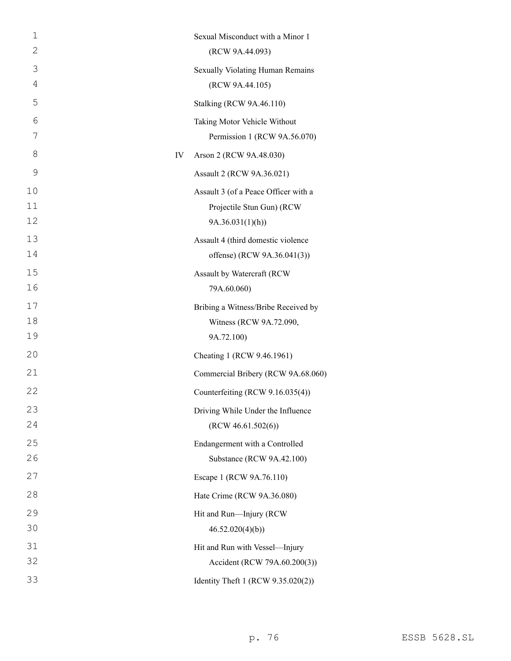| $\mathbf 1$ |    | Sexual Misconduct with a Minor 1     |
|-------------|----|--------------------------------------|
| 2           |    | (RCW 9A.44.093)                      |
| 3           |    | Sexually Violating Human Remains     |
| 4           |    | (RCW 9A.44.105)                      |
| 5           |    | <b>Stalking (RCW 9A.46.110)</b>      |
| 6           |    | Taking Motor Vehicle Without         |
| 7           |    | Permission 1 (RCW 9A.56.070)         |
| 8           | IV | Arson 2 (RCW 9A.48.030)              |
| 9           |    | Assault 2 (RCW 9A.36.021)            |
| 10          |    | Assault 3 (of a Peace Officer with a |
| 11          |    | Projectile Stun Gun) (RCW            |
| 12          |    | 9A.36.031(1)(h)                      |
| 13          |    | Assault 4 (third domestic violence   |
| 14          |    | offense) (RCW 9A.36.041(3))          |
| 15          |    | Assault by Watercraft (RCW           |
| 16          |    | 79A.60.060)                          |
| 17          |    | Bribing a Witness/Bribe Received by  |
| 18          |    | Witness (RCW 9A.72.090,              |
| 19          |    | 9A.72.100)                           |
| 20          |    | Cheating 1 (RCW 9.46.1961)           |
| 21          |    | Commercial Bribery (RCW 9A.68.060)   |
| 22          |    | Counterfeiting (RCW 9.16.035(4))     |
| 23          |    | Driving While Under the Influence    |
| 24          |    | (RCW 46.61.502(6))                   |
| 25          |    | Endangerment with a Controlled       |
| 26          |    | Substance (RCW 9A.42.100)            |
| 27          |    | Escape 1 (RCW 9A.76.110)             |
| 28          |    | Hate Crime (RCW 9A.36.080)           |
| 29          |    | Hit and Run-Injury (RCW              |
| 30          |    | 46.52.020(4)(b)                      |
| 31          |    | Hit and Run with Vessel-Injury       |
| 32          |    | Accident (RCW 79A.60.200(3))         |
| 33          |    | Identity Theft 1 (RCW 9.35.020(2))   |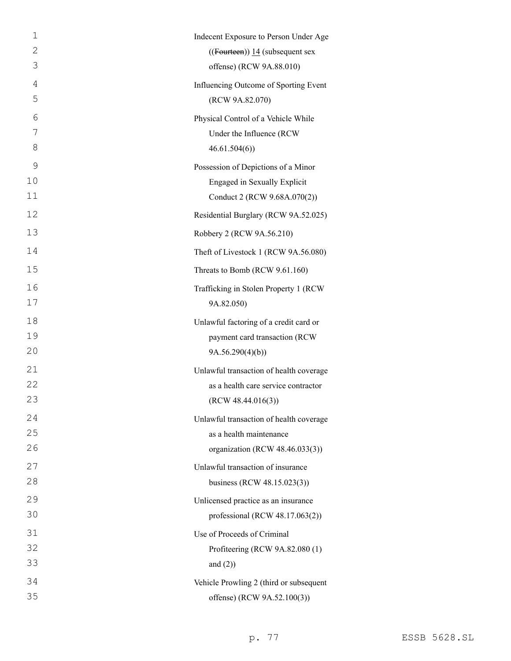| 1  | Indecent Exposure to Person Under Age   |
|----|-----------------------------------------|
| 2  | $((Foutteen))$ 14 (subsequent sex       |
| 3  | offense) (RCW 9A.88.010)                |
| 4  | Influencing Outcome of Sporting Event   |
| 5  | (RCW 9A.82.070)                         |
| 6  | Physical Control of a Vehicle While     |
| 7  | Under the Influence (RCW                |
| 8  | 46.61.504(6)                            |
| 9  | Possession of Depictions of a Minor     |
| 10 | <b>Engaged in Sexually Explicit</b>     |
| 11 | Conduct 2 (RCW 9.68A.070(2))            |
| 12 | Residential Burglary (RCW 9A.52.025)    |
| 13 | Robbery 2 (RCW 9A.56.210)               |
| 14 | Theft of Livestock 1 (RCW 9A.56.080)    |
| 15 | Threats to Bomb (RCW 9.61.160)          |
| 16 | Trafficking in Stolen Property 1 (RCW)  |
| 17 | 9A.82.050)                              |
| 18 | Unlawful factoring of a credit card or  |
| 19 | payment card transaction (RCW           |
| 20 | 9A.56.290(4)(b)                         |
| 21 | Unlawful transaction of health coverage |
| 22 | as a health care service contractor     |
| 23 | (RCW 48.44.016(3))                      |
| 24 | Unlawful transaction of health coverage |
| 25 | as a health maintenance                 |
| 26 | organization (RCW 48.46.033(3))         |
| 27 | Unlawful transaction of insurance       |
| 28 | business (RCW 48.15.023(3))             |
| 29 | Unlicensed practice as an insurance     |
| 30 | professional (RCW 48.17.063(2))         |
| 31 | Use of Proceeds of Criminal             |
| 32 | Profiteering (RCW 9A.82.080 (1)         |
| 33 | and $(2)$ )                             |
| 34 | Vehicle Prowling 2 (third or subsequent |
| 35 | offense) (RCW 9A.52.100(3))             |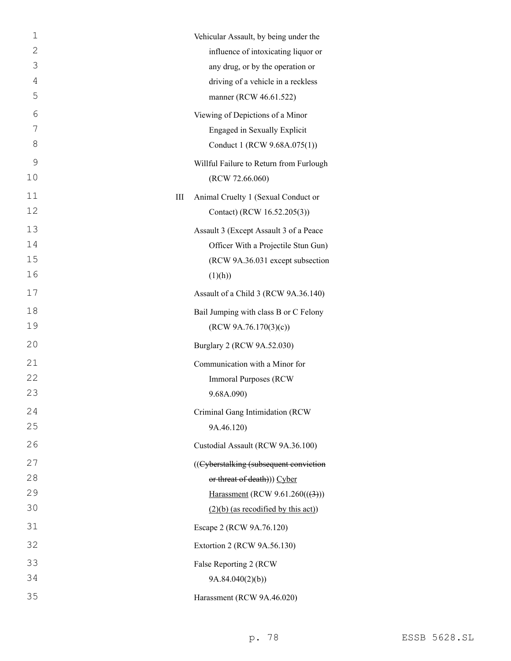| 1  |   | Vehicular Assault, by being under the   |
|----|---|-----------------------------------------|
| 2  |   | influence of intoxicating liquor or     |
| 3  |   | any drug, or by the operation or        |
| 4  |   | driving of a vehicle in a reckless      |
| 5  |   | manner (RCW 46.61.522)                  |
| 6  |   | Viewing of Depictions of a Minor        |
| 7  |   | Engaged in Sexually Explicit            |
| 8  |   | Conduct 1 (RCW 9.68A.075(1))            |
| 9  |   | Willful Failure to Return from Furlough |
| 10 |   | (RCW 72.66.060)                         |
| 11 | Ш | Animal Cruelty 1 (Sexual Conduct or     |
| 12 |   | Contact) (RCW 16.52.205(3))             |
| 13 |   | Assault 3 (Except Assault 3 of a Peace  |
| 14 |   | Officer With a Projectile Stun Gun)     |
| 15 |   | (RCW 9A.36.031 except subsection        |
| 16 |   | (1)(h))                                 |
| 17 |   | Assault of a Child 3 (RCW 9A.36.140)    |
| 18 |   | Bail Jumping with class B or C Felony   |
| 19 |   | (RCW 9A.76.170(3)(c))                   |
| 20 |   | Burglary 2 (RCW 9A.52.030)              |
| 21 |   | Communication with a Minor for          |
| 22 |   | <b>Immoral Purposes (RCW)</b>           |
| 23 |   | 9.68A.090)                              |
| 24 |   | Criminal Gang Intimidation (RCW         |
| 25 |   | 9A.46.120)                              |
| 26 |   | Custodial Assault (RCW 9A.36.100)       |
| 27 |   | ((Cyberstalking (subsequent conviction  |
| 28 |   | or threat of death))) Cyber             |
| 29 |   | Harassment (RCW 9.61.260 $((3))$ )      |
| 30 |   | $(2)(b)$ (as recodified by this act))   |
| 31 |   | Escape 2 (RCW 9A.76.120)                |
| 32 |   | Extortion 2 (RCW 9A.56.130)             |
| 33 |   | False Reporting 2 (RCW                  |
| 34 |   | 9A.84.040(2)(b)                         |
| 35 |   | Harassment (RCW 9A.46.020)              |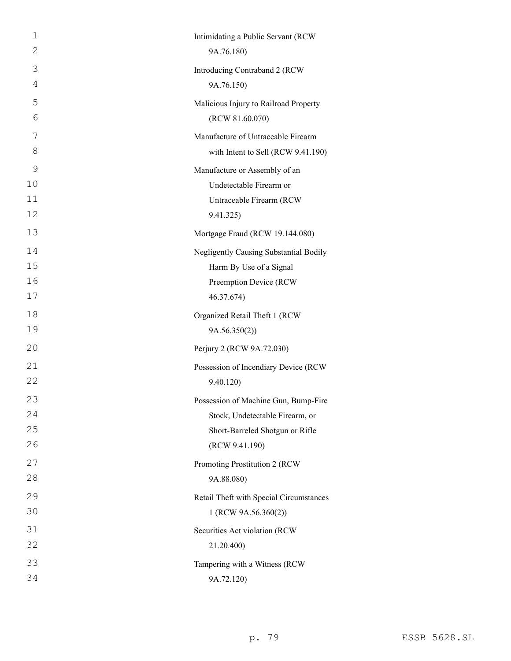| 1             | Intimidating a Public Servant (RCW      |
|---------------|-----------------------------------------|
| 2             | 9A.76.180)                              |
| 3             | Introducing Contraband 2 (RCW           |
| 4             | 9A.76.150)                              |
| 5             | Malicious Injury to Railroad Property   |
| 6             | (RCW 81.60.070)                         |
| 7             | Manufacture of Untraceable Firearm      |
| 8             | with Intent to Sell (RCW 9.41.190)      |
| $\mathcal{G}$ | Manufacture or Assembly of an           |
| 10            | Undetectable Firearm or                 |
| 11            | Untraceable Firearm (RCW                |
| 12            | 9.41.325)                               |
| 13            | Mortgage Fraud (RCW 19.144.080)         |
| 14            | Negligently Causing Substantial Bodily  |
| 15            | Harm By Use of a Signal                 |
| 16            | Preemption Device (RCW                  |
| 17            | 46.37.674)                              |
| 18            | Organized Retail Theft 1 (RCW           |
| 19            | 9A.56.350(2)                            |
| 20            | Perjury 2 (RCW 9A.72.030)               |
| 21            | Possession of Incendiary Device (RCW    |
| 22            | 9.40.120)                               |
| 23            | Possession of Machine Gun, Bump-Fire    |
| 24            | Stock, Undetectable Firearm, or         |
| 25            | Short-Barreled Shotgun or Rifle         |
| 26            | (RCW 9.41.190)                          |
| 27            | Promoting Prostitution 2 (RCW           |
| 28            | 9A.88.080)                              |
| 29            | Retail Theft with Special Circumstances |
| 30            | 1 (RCW 9A.56.360(2))                    |
| 31            | Securities Act violation (RCW           |
| 32            | 21.20.400)                              |
| 33            | Tampering with a Witness (RCW           |
| 34            | 9A.72.120)                              |
|               |                                         |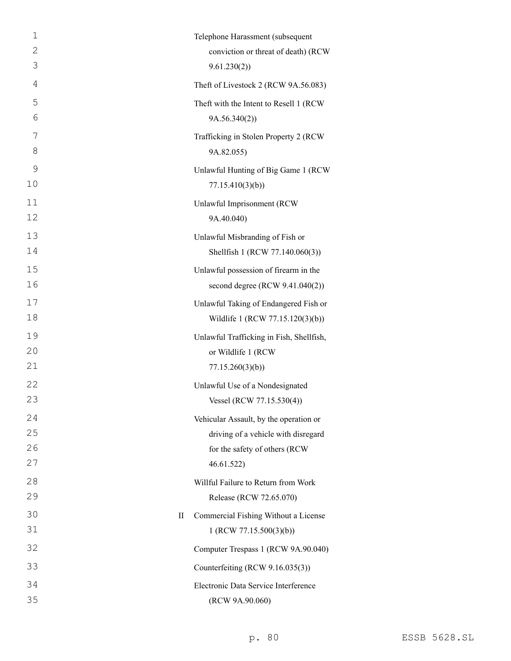| $\mathbf{1}$ | Telephone Harassment (subsequent                                               |
|--------------|--------------------------------------------------------------------------------|
| $\mathbf{2}$ | conviction or threat of death) (RCW                                            |
| 3            | 9.61.230(2)                                                                    |
| 4            | Theft of Livestock 2 (RCW 9A.56.083)                                           |
| 5            | Theft with the Intent to Resell 1 (RCW                                         |
| 6            | 9A.56.340(2)                                                                   |
| 7            | Trafficking in Stolen Property 2 (RCW                                          |
| 8            | 9A.82.055)                                                                     |
| 9            | Unlawful Hunting of Big Game 1 (RCW                                            |
| 10           | 77.15.410(3)(b)                                                                |
| 11           | Unlawful Imprisonment (RCW                                                     |
| 12           | 9A.40.040)                                                                     |
| 13           | Unlawful Misbranding of Fish or                                                |
| 14           | Shellfish 1 (RCW 77.140.060(3))                                                |
| 15           | Unlawful possession of firearm in the                                          |
| 16           | second degree $(RCW 9.41.040(2))$                                              |
| 17           | Unlawful Taking of Endangered Fish or                                          |
| 18           | Wildlife 1 (RCW 77.15.120(3)(b))                                               |
| 19           | Unlawful Trafficking in Fish, Shellfish,                                       |
| 20           | or Wildlife 1 (RCW                                                             |
| 21           | 77.15.260(3)(b)                                                                |
| 22           | Unlawful Use of a Nondesignated                                                |
| 23           | Vessel (RCW 77.15.530(4))                                                      |
| 24           | Vehicular Assault, by the operation or                                         |
| 25           | driving of a vehicle with disregard                                            |
| 26           | for the safety of others (RCW                                                  |
| 27           | 46.61.522)                                                                     |
| 28           | Willful Failure to Return from Work                                            |
| 29           | Release (RCW 72.65.070)                                                        |
| 30<br>31     | Commercial Fishing Without a License<br>$_{\rm II}$<br>1 (RCW 77.15.500(3)(b)) |
| 32           | Computer Trespass 1 (RCW 9A.90.040)                                            |
| 33           | Counterfeiting (RCW 9.16.035(3))                                               |
| 34           | Electronic Data Service Interference                                           |
| 35           | (RCW 9A.90.060)                                                                |
|              |                                                                                |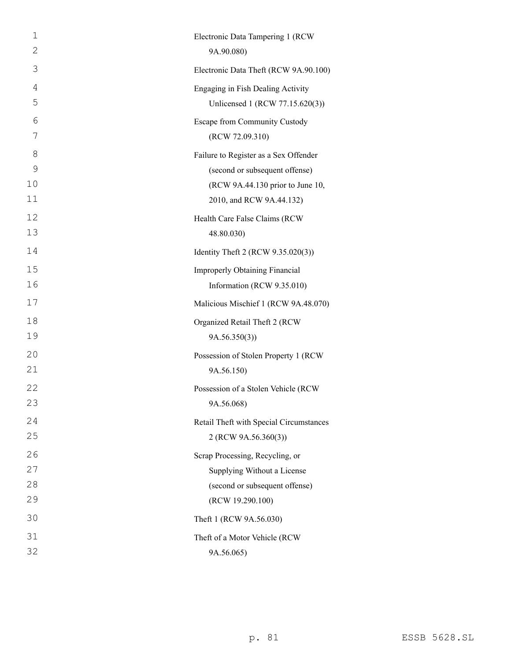| $\mathbf 1$<br>$\mathbf{2}$ | Electronic Data Tampering 1 (RCW<br>9A.90.080) |
|-----------------------------|------------------------------------------------|
| 3                           | Electronic Data Theft (RCW 9A.90.100)          |
| 4                           | Engaging in Fish Dealing Activity              |
| 5                           | Unlicensed 1 (RCW 77.15.620(3))                |
| 6                           | Escape from Community Custody                  |
| 7                           | (RCW 72.09.310)                                |
| 8                           | Failure to Register as a Sex Offender          |
| 9                           | (second or subsequent offense)                 |
| 10                          | (RCW 9A.44.130 prior to June 10,               |
| 11                          | 2010, and RCW 9A.44.132)                       |
| 12                          | Health Care False Claims (RCW                  |
| 13                          | 48.80.030)                                     |
| 14                          | Identity Theft 2 (RCW 9.35.020(3))             |
| 15                          | <b>Improperly Obtaining Financial</b>          |
| 16                          | Information (RCW 9.35.010)                     |
| 17                          | Malicious Mischief 1 (RCW 9A.48.070)           |
| 18                          | Organized Retail Theft 2 (RCW                  |
| 19                          | 9A.56.350(3)                                   |
| 20                          | Possession of Stolen Property 1 (RCW           |
| 21                          | 9A.56.150)                                     |
| 22                          | Possession of a Stolen Vehicle (RCW            |
| 23                          | 9A.56.068)                                     |
| 24                          | Retail Theft with Special Circumstances        |
| 25                          | 2 (RCW 9A.56.360(3))                           |
| 26                          | Scrap Processing, Recycling, or                |
| 27                          | Supplying Without a License                    |
| 28                          | (second or subsequent offense)                 |
| 29                          | (RCW 19.290.100)                               |
| 30                          | Theft 1 (RCW 9A.56.030)                        |
| 31                          | Theft of a Motor Vehicle (RCW                  |
| 32                          | 9A.56.065)                                     |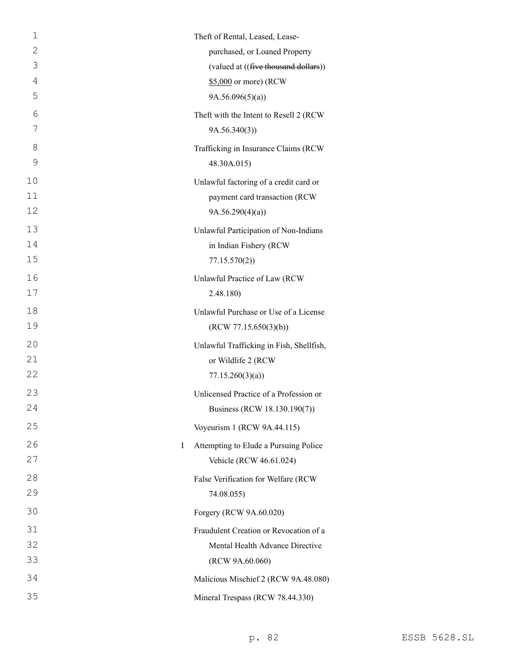| 1              | Theft of Rental, Leased, Lease-          |
|----------------|------------------------------------------|
| 2              | purchased, or Loaned Property            |
| 3              | (valued at ((five thousand dollars))     |
| $\overline{4}$ | \$5,000 or more) (RCW                    |
| 5              | 9A.56.096(5)(a)                          |
| 6              | Theft with the Intent to Resell 2 (RCW   |
| 7              | 9A.56.340(3)                             |
| 8              | Trafficking in Insurance Claims (RCW     |
| 9              | 48.30A.015)                              |
| 10             | Unlawful factoring of a credit card or   |
| 11             | payment card transaction (RCW            |
| 12             | 9A.56.290(4)(a)                          |
| 13             | Unlawful Participation of Non-Indians    |
| 14             | in Indian Fishery (RCW                   |
| 15             | 77.15.570(2)                             |
| 16             | Unlawful Practice of Law (RCW            |
| 17             | 2.48.180)                                |
| 18             | Unlawful Purchase or Use of a License    |
| 19             | (RCW 77.15.650(3)(b))                    |
| 20             | Unlawful Trafficking in Fish, Shellfish, |
| 21             | or Wildlife 2 (RCW                       |
| 22             | 77.15.260(3)(a)                          |
| 23             | Unlicensed Practice of a Profession or   |
| 24             | Business (RCW 18.130.190(7))             |
| 25             | Voyeurism 1 (RCW 9A.44.115)              |
| 26<br>I        | Attempting to Elude a Pursuing Police    |
| 27             | Vehicle (RCW 46.61.024)                  |
| 28             | False Verification for Welfare (RCW      |
| 29             | 74.08.055)                               |
| 30             | Forgery (RCW 9A.60.020)                  |
| 31             | Fraudulent Creation or Revocation of a   |
| 32             | Mental Health Advance Directive          |
| 33             | (RCW 9A.60.060)                          |
| 34             | Malicious Mischief 2 (RCW 9A.48.080)     |
| 35             | Mineral Trespass (RCW 78.44.330)         |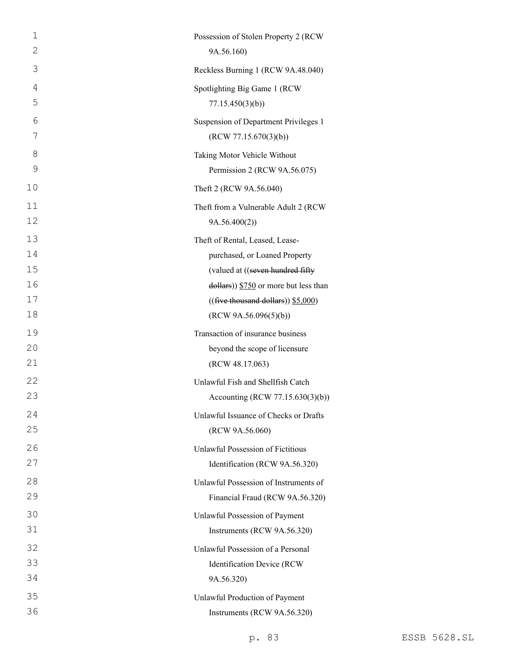| 1        | Possession of Stolen Property 2 (RCW                           |
|----------|----------------------------------------------------------------|
| 2        | 9A.56.160)                                                     |
| 3        | Reckless Burning 1 (RCW 9A.48.040)                             |
| 4<br>5   | Spotlighting Big Game 1 (RCW<br>77.15.450(3)(b)                |
| 6<br>7   | Suspension of Department Privileges 1<br>(RCW 77.15.670(3)(b)) |
| 8        | Taking Motor Vehicle Without                                   |
| 9        | Permission 2 (RCW 9A.56.075)                                   |
| 10       | Theft 2 (RCW 9A.56.040)                                        |
| 11<br>12 | Theft from a Vulnerable Adult 2 (RCW<br>9A.56.400(2)           |
| 13       | Theft of Rental, Leased, Lease-                                |
| 14       | purchased, or Loaned Property                                  |
| 15       | (valued at ((seven hundred fifty                               |
| 16       | $\frac{1}{2}$ dollars)) \$750 or more but less than            |
| 17       | $((\text{five thousand dollars}))$ \$5,000)                    |
| 18       | (RCW 9A.56.096(5)(b))                                          |
| 19       | Transaction of insurance business                              |
| 20       | beyond the scope of licensure                                  |
| 21       | (RCW 48.17.063)                                                |
| 22       | Unlawful Fish and Shellfish Catch                              |
| 23       | Accounting (RCW 77.15.630(3)(b))                               |
| 24       | Unlawful Issuance of Checks or Drafts                          |
| 25       | (RCW 9A.56.060)                                                |
| 26       | Unlawful Possession of Fictitious                              |
| 27       | Identification (RCW 9A.56.320)                                 |
| 28       | Unlawful Possession of Instruments of                          |
| 29       | Financial Fraud (RCW 9A.56.320)                                |
| 30       | Unlawful Possession of Payment                                 |
| 31       | Instruments (RCW 9A.56.320)                                    |
| 32       | Unlawful Possession of a Personal                              |
| 33       | Identification Device (RCW                                     |
| 34       | 9A.56.320)                                                     |
| 35       | Unlawful Production of Payment                                 |
| 36       | Instruments (RCW 9A.56.320)                                    |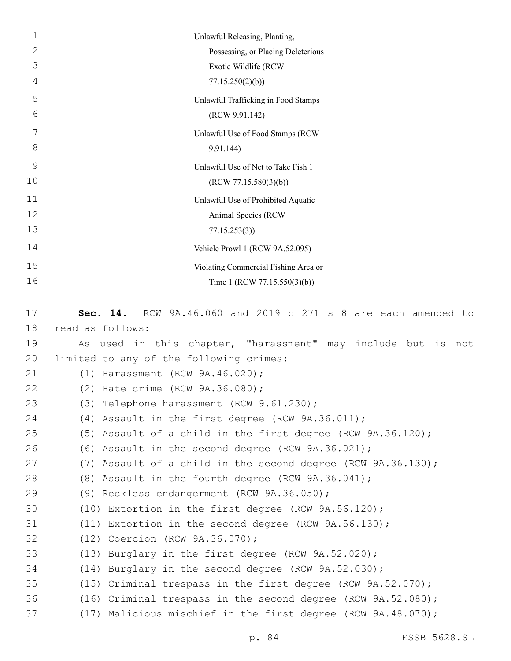| $\mathbf 1$ | Unlawful Releasing, Planting,                                    |
|-------------|------------------------------------------------------------------|
| 2           | Possessing, or Placing Deleterious                               |
| 3           | Exotic Wildlife (RCW                                             |
| 4           | 77.15.250(2)(b)                                                  |
| 5           | Unlawful Trafficking in Food Stamps                              |
| 6           | (RCW 9.91.142)                                                   |
| 7           | Unlawful Use of Food Stamps (RCW                                 |
| 8           | 9.91.144)                                                        |
| 9           | Unlawful Use of Net to Take Fish 1                               |
| 10          | (RCW 77.15.580(3)(b))                                            |
| 11          | Unlawful Use of Prohibited Aquatic                               |
| 12          | Animal Species (RCW                                              |
| 13          | 77.15.253(3)                                                     |
| 14          | Vehicle Prowl 1 (RCW 9A.52.095)                                  |
| 15          | Violating Commercial Fishing Area or                             |
| 16          | Time 1 (RCW 77.15.550(3)(b))                                     |
|             |                                                                  |
| 17          | RCW 9A.46.060 and 2019 c 271 s 8 are each amended to<br>Sec. 14. |
| 18          | read as follows:                                                 |
| 19          | As used in this chapter, "harassment" may include but is not     |
| 20          | limited to any of the following crimes:                          |
| 21          | (1) Harassment (RCW 9A.46.020);                                  |
| 22          | (2) Hate crime (RCW 9A.36.080);                                  |
| 23          | (3) Telephone harassment (RCW 9.61.230);                         |
| 24          | (4) Assault in the first degree (RCW 9A.36.011);                 |
| 25          | (5) Assault of a child in the first degree (RCW 9A.36.120);      |
| 26          | (6) Assault in the second degree (RCW 9A.36.021);                |
| 27          | (7) Assault of a child in the second degree (RCW 9A.36.130);     |
| 28          | (8) Assault in the fourth degree (RCW 9A.36.041);                |
| 29          | (9) Reckless endangerment (RCW 9A.36.050);                       |
| 30          | $(10)$ Extortion in the first degree (RCW 9A.56.120);            |
| 31          | (11) Extortion in the second degree (RCW $9A.56.130$ );          |
| 32          | (12) Coercion (RCW 9A.36.070);                                   |
| 33          | (13) Burglary in the first degree (RCW 9A.52.020);               |
| 34          | $(14)$ Burglary in the second degree (RCW 9A.52.030);            |
| 35          | (15) Criminal trespass in the first degree (RCW 9A.52.070);      |
| 36          | (16) Criminal trespass in the second degree (RCW 9A.52.080);     |
| 37          | (17) Malicious mischief in the first degree (RCW 9A.48.070);     |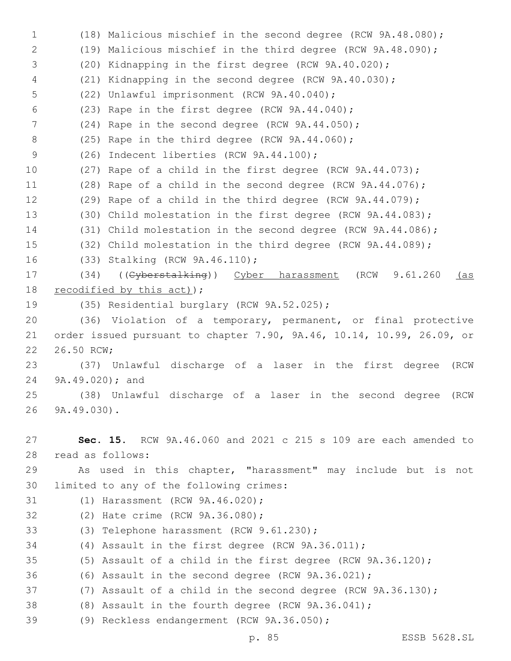1 (18) Malicious mischief in the second degree (RCW 9A.48.080); 2 (19) Malicious mischief in the third degree (RCW 9A.48.090); 3 (20) Kidnapping in the first degree (RCW 9A.40.020); 4 (21) Kidnapping in the second degree (RCW 9A.40.030); 5 (22) Unlawful imprisonment (RCW 9A.40.040); 6  $(23)$  Rape in the first degree (RCW  $9A.44.040$ ); 7 (24) Rape in the second degree (RCW 9A.44.050); 8 (25) Rape in the third degree (RCW 9A.44.060); 9 (26) Indecent liberties (RCW 9A.44.100); 10 (27) Rape of a child in the first degree (RCW 9A.44.073); 11 (28) Rape of a child in the second degree (RCW 9A.44.076); 12 (29) Rape of a child in the third degree (RCW 9A.44.079); 13 (30) Child molestation in the first degree (RCW 9A.44.083); 14 (31) Child molestation in the second degree (RCW 9A.44.086); 15 (32) Child molestation in the third degree (RCW 9A.44.089); (33) Stalking (RCW 9A.46.110);16 17 (34) ((Cyberstalking)) Cyber harassment (RCW 9.61.260 (as 18 recodified by this  $act$ ); 19 (35) Residential burglary (RCW 9A.52.025); 20 (36) Violation of a temporary, permanent, or final protective 21 order issued pursuant to chapter 7.90, 9A.46, 10.14, 10.99, 26.09, or 22 26.50 RCW; 23 (37) Unlawful discharge of a laser in the first degree (RCW 24 9A.49.020); and 25 (38) Unlawful discharge of a laser in the second degree (RCW 9A.49.030).26 27 **Sec. 15.** RCW 9A.46.060 and 2021 c 215 s 109 are each amended to read as follows:28 29 As used in this chapter, "harassment" may include but is not 30 limited to any of the following crimes: 31 (1) Harassment (RCW 9A.46.020); 32 (2) Hate crime (RCW 9A.36.080); 33 (3) Telephone harassment (RCW 9.61.230); 34 (4) Assault in the first degree (RCW 9A.36.011); 35 (5) Assault of a child in the first degree (RCW 9A.36.120); 36 (6) Assault in the second degree (RCW 9A.36.021); 37 (7) Assault of a child in the second degree (RCW 9A.36.130); 38 (8) Assault in the fourth degree (RCW 9A.36.041); 39 (9) Reckless endangerment (RCW 9A.36.050);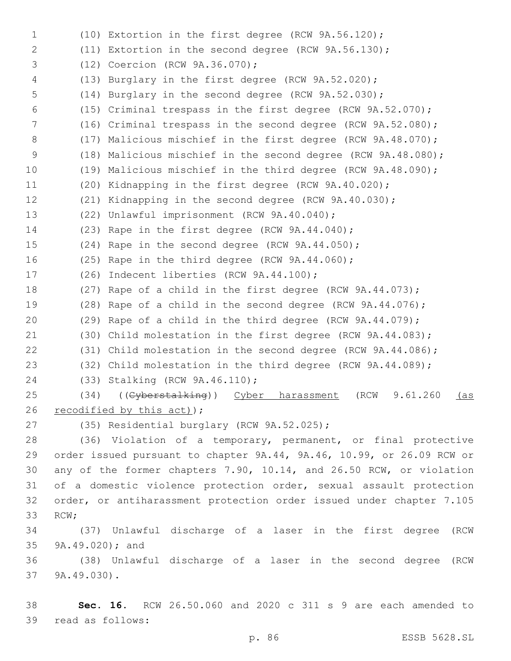(10) Extortion in the first degree (RCW 9A.56.120); (11) Extortion in the second degree (RCW 9A.56.130); 3 (12) Coercion (RCW 9A.36.070); (13) Burglary in the first degree (RCW 9A.52.020); (14) Burglary in the second degree (RCW 9A.52.030); (15) Criminal trespass in the first degree (RCW 9A.52.070); (16) Criminal trespass in the second degree (RCW 9A.52.080); 8 (17) Malicious mischief in the first degree (RCW 9A.48.070); (18) Malicious mischief in the second degree (RCW 9A.48.080); (19) Malicious mischief in the third degree (RCW 9A.48.090); (20) Kidnapping in the first degree (RCW 9A.40.020); (21) Kidnapping in the second degree (RCW 9A.40.030); 13 (22) Unlawful imprisonment (RCW 9A.40.040); (23) Rape in the first degree (RCW 9A.44.040); (24) Rape in the second degree (RCW 9A.44.050); (25) Rape in the third degree (RCW 9A.44.060); 17 (26) Indecent liberties (RCW 9A.44.100); (27) Rape of a child in the first degree (RCW 9A.44.073); (28) Rape of a child in the second degree (RCW 9A.44.076); (29) Rape of a child in the third degree (RCW 9A.44.079); (30) Child molestation in the first degree (RCW 9A.44.083); (31) Child molestation in the second degree (RCW 9A.44.086); (32) Child molestation in the third degree (RCW 9A.44.089); (33) Stalking (RCW 9A.46.110);24 25 (34) ((Cyberstalking)) Cyber harassment (RCW 9.61.260 (as 26 recodified by this  $act$ ); 27 (35) Residential burglary (RCW 9A.52.025); (36) Violation of a temporary, permanent, or final protective order issued pursuant to chapter 9A.44, 9A.46, 10.99, or 26.09 RCW or any of the former chapters 7.90, 10.14, and 26.50 RCW, or violation of a domestic violence protection order, sexual assault protection order, or antiharassment protection order issued under chapter 7.105 33 RCW; (37) Unlawful discharge of a laser in the first degree (RCW 35 9A.49.020); and (38) Unlawful discharge of a laser in the second degree (RCW 37 9A.49.030).

 **Sec. 16.** RCW 26.50.060 and 2020 c 311 s 9 are each amended to 39 read as follows: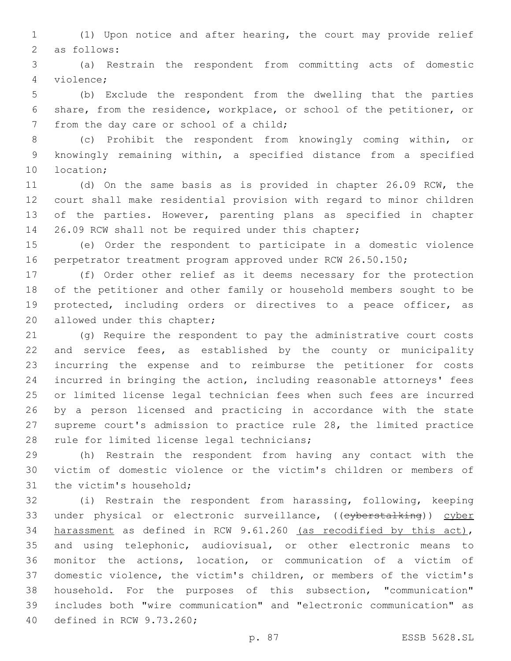(1) Upon notice and after hearing, the court may provide relief 2 as follows:

 (a) Restrain the respondent from committing acts of domestic violence;4

 (b) Exclude the respondent from the dwelling that the parties share, from the residence, workplace, or school of the petitioner, or 7 from the day care or school of a child;

 (c) Prohibit the respondent from knowingly coming within, or knowingly remaining within, a specified distance from a specified 10 location;

 (d) On the same basis as is provided in chapter 26.09 RCW, the court shall make residential provision with regard to minor children of the parties. However, parenting plans as specified in chapter 26.09 RCW shall not be required under this chapter;

 (e) Order the respondent to participate in a domestic violence 16 perpetrator treatment program approved under RCW 26.50.150;

 (f) Order other relief as it deems necessary for the protection of the petitioner and other family or household members sought to be protected, including orders or directives to a peace officer, as 20 allowed under this chapter;

 (g) Require the respondent to pay the administrative court costs and service fees, as established by the county or municipality incurring the expense and to reimburse the petitioner for costs incurred in bringing the action, including reasonable attorneys' fees or limited license legal technician fees when such fees are incurred by a person licensed and practicing in accordance with the state supreme court's admission to practice rule 28, the limited practice 28 rule for limited license legal technicians;

 (h) Restrain the respondent from having any contact with the victim of domestic violence or the victim's children or members of 31 the victim's household;

 (i) Restrain the respondent from harassing, following, keeping 33 under physical or electronic surveillance, ((eyberstalking)) cyber harassment as defined in RCW 9.61.260 (as recodified by this act), and using telephonic, audiovisual, or other electronic means to monitor the actions, location, or communication of a victim of domestic violence, the victim's children, or members of the victim's household. For the purposes of this subsection, "communication" includes both "wire communication" and "electronic communication" as 40 defined in RCW 9.73.260;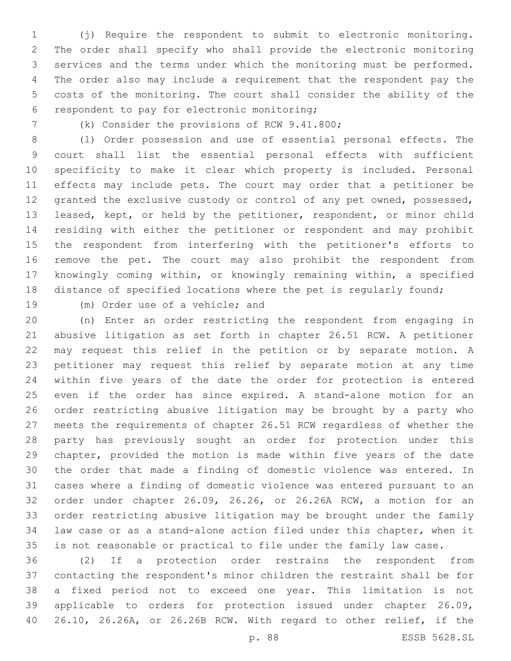(j) Require the respondent to submit to electronic monitoring. The order shall specify who shall provide the electronic monitoring services and the terms under which the monitoring must be performed. The order also may include a requirement that the respondent pay the costs of the monitoring. The court shall consider the ability of the 6 respondent to pay for electronic monitoring;

(k) Consider the provisions of RCW 9.41.800;

 (l) Order possession and use of essential personal effects. The court shall list the essential personal effects with sufficient specificity to make it clear which property is included. Personal effects may include pets. The court may order that a petitioner be granted the exclusive custody or control of any pet owned, possessed, leased, kept, or held by the petitioner, respondent, or minor child residing with either the petitioner or respondent and may prohibit the respondent from interfering with the petitioner's efforts to remove the pet. The court may also prohibit the respondent from knowingly coming within, or knowingly remaining within, a specified 18 distance of specified locations where the pet is regularly found;

19 (m) Order use of a vehicle; and

 (n) Enter an order restricting the respondent from engaging in abusive litigation as set forth in chapter 26.51 RCW. A petitioner may request this relief in the petition or by separate motion. A petitioner may request this relief by separate motion at any time within five years of the date the order for protection is entered even if the order has since expired. A stand-alone motion for an order restricting abusive litigation may be brought by a party who meets the requirements of chapter 26.51 RCW regardless of whether the party has previously sought an order for protection under this chapter, provided the motion is made within five years of the date the order that made a finding of domestic violence was entered. In cases where a finding of domestic violence was entered pursuant to an order under chapter 26.09, 26.26, or 26.26A RCW, a motion for an order restricting abusive litigation may be brought under the family law case or as a stand-alone action filed under this chapter, when it is not reasonable or practical to file under the family law case.

 (2) If a protection order restrains the respondent from contacting the respondent's minor children the restraint shall be for a fixed period not to exceed one year. This limitation is not applicable to orders for protection issued under chapter 26.09, 26.10, 26.26A, or 26.26B RCW. With regard to other relief, if the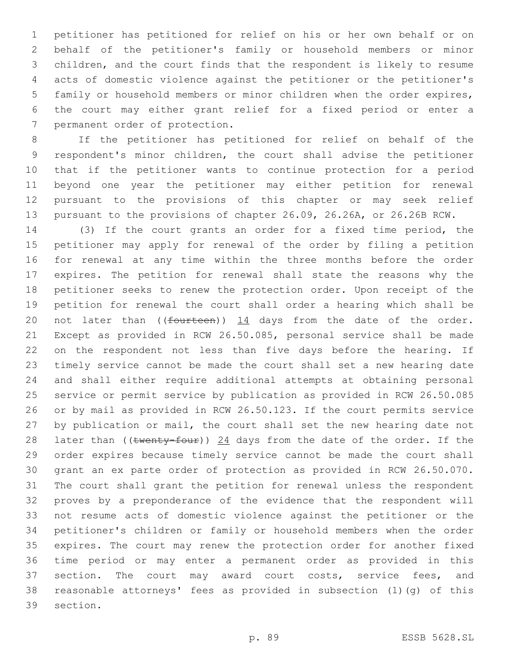petitioner has petitioned for relief on his or her own behalf or on behalf of the petitioner's family or household members or minor children, and the court finds that the respondent is likely to resume acts of domestic violence against the petitioner or the petitioner's family or household members or minor children when the order expires, the court may either grant relief for a fixed period or enter a 7 permanent order of protection.

 If the petitioner has petitioned for relief on behalf of the respondent's minor children, the court shall advise the petitioner that if the petitioner wants to continue protection for a period beyond one year the petitioner may either petition for renewal pursuant to the provisions of this chapter or may seek relief pursuant to the provisions of chapter 26.09, 26.26A, or 26.26B RCW.

 (3) If the court grants an order for a fixed time period, the petitioner may apply for renewal of the order by filing a petition for renewal at any time within the three months before the order expires. The petition for renewal shall state the reasons why the petitioner seeks to renew the protection order. Upon receipt of the petition for renewal the court shall order a hearing which shall be 20 not later than  $($  (fourteen))  $\frac{14}{14}$  days from the date of the order. Except as provided in RCW 26.50.085, personal service shall be made on the respondent not less than five days before the hearing. If timely service cannot be made the court shall set a new hearing date and shall either require additional attempts at obtaining personal service or permit service by publication as provided in RCW 26.50.085 or by mail as provided in RCW 26.50.123. If the court permits service by publication or mail, the court shall set the new hearing date not 28 later than ((twenty-four)) 24 days from the date of the order. If the order expires because timely service cannot be made the court shall grant an ex parte order of protection as provided in RCW 26.50.070. The court shall grant the petition for renewal unless the respondent proves by a preponderance of the evidence that the respondent will not resume acts of domestic violence against the petitioner or the petitioner's children or family or household members when the order expires. The court may renew the protection order for another fixed time period or may enter a permanent order as provided in this 37 section. The court may award court costs, service fees, and reasonable attorneys' fees as provided in subsection (1)(g) of this 39 section.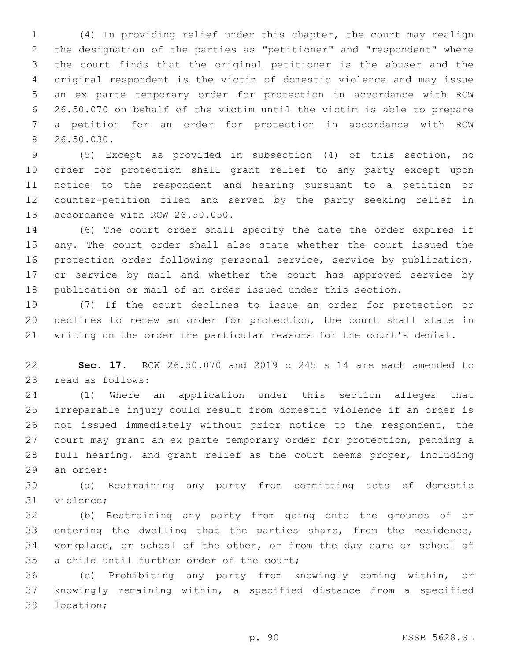(4) In providing relief under this chapter, the court may realign the designation of the parties as "petitioner" and "respondent" where the court finds that the original petitioner is the abuser and the original respondent is the victim of domestic violence and may issue an ex parte temporary order for protection in accordance with RCW 26.50.070 on behalf of the victim until the victim is able to prepare a petition for an order for protection in accordance with RCW 26.50.030.8

 (5) Except as provided in subsection (4) of this section, no order for protection shall grant relief to any party except upon notice to the respondent and hearing pursuant to a petition or counter-petition filed and served by the party seeking relief in 13 accordance with RCW 26.50.050.

 (6) The court order shall specify the date the order expires if any. The court order shall also state whether the court issued the protection order following personal service, service by publication, or service by mail and whether the court has approved service by publication or mail of an order issued under this section.

 (7) If the court declines to issue an order for protection or declines to renew an order for protection, the court shall state in writing on the order the particular reasons for the court's denial.

 **Sec. 17.** RCW 26.50.070 and 2019 c 245 s 14 are each amended to 23 read as follows:

 (1) Where an application under this section alleges that irreparable injury could result from domestic violence if an order is not issued immediately without prior notice to the respondent, the court may grant an ex parte temporary order for protection, pending a full hearing, and grant relief as the court deems proper, including 29 an order:

 (a) Restraining any party from committing acts of domestic 31 violence;

 (b) Restraining any party from going onto the grounds of or entering the dwelling that the parties share, from the residence, workplace, or school of the other, or from the day care or school of 35 a child until further order of the court;

 (c) Prohibiting any party from knowingly coming within, or knowingly remaining within, a specified distance from a specified 38 location;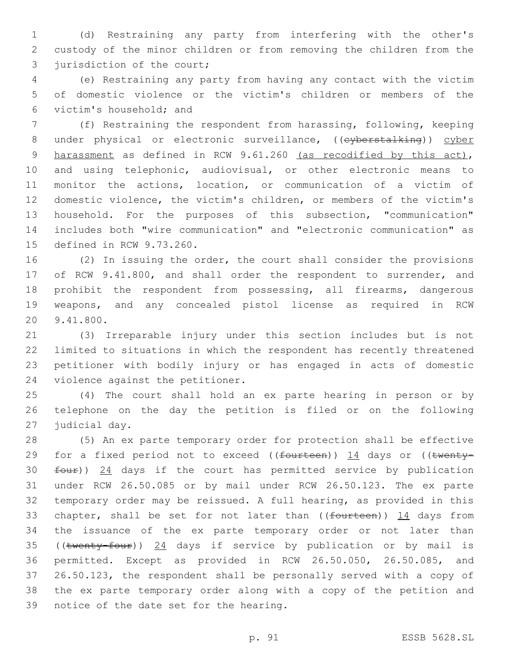(d) Restraining any party from interfering with the other's custody of the minor children or from removing the children from the 3 jurisdiction of the court;

 (e) Restraining any party from having any contact with the victim of domestic violence or the victim's children or members of the victim's household; and6

 (f) Restraining the respondent from harassing, following, keeping 8 under physical or electronic surveillance, ((eyberstalking)) cyber harassment as defined in RCW 9.61.260 (as recodified by this act), and using telephonic, audiovisual, or other electronic means to monitor the actions, location, or communication of a victim of domestic violence, the victim's children, or members of the victim's household. For the purposes of this subsection, "communication" includes both "wire communication" and "electronic communication" as 15 defined in RCW 9.73.260.

 (2) In issuing the order, the court shall consider the provisions of RCW 9.41.800, and shall order the respondent to surrender, and prohibit the respondent from possessing, all firearms, dangerous weapons, and any concealed pistol license as required in RCW 20 9.41.800.

 (3) Irreparable injury under this section includes but is not limited to situations in which the respondent has recently threatened petitioner with bodily injury or has engaged in acts of domestic 24 violence against the petitioner.

 (4) The court shall hold an ex parte hearing in person or by telephone on the day the petition is filed or on the following 27 judicial day.

 (5) An ex parte temporary order for protection shall be effective 29 for a fixed period not to exceed ( $(f<sub>outteen</sub>)$ ) 14 days or ( $(t<sub>wenty</sub> four)$ ) 24 days if the court has permitted service by publication under RCW 26.50.085 or by mail under RCW 26.50.123. The ex parte temporary order may be reissued. A full hearing, as provided in this 33 chapter, shall be set for not later than  $($  (fourteen))  $14$  days from the issuance of the ex parte temporary order or not later than 35 ((twenty-four)) 24 days if service by publication or by mail is permitted. Except as provided in RCW 26.50.050, 26.50.085, and 26.50.123, the respondent shall be personally served with a copy of the ex parte temporary order along with a copy of the petition and 39 notice of the date set for the hearing.